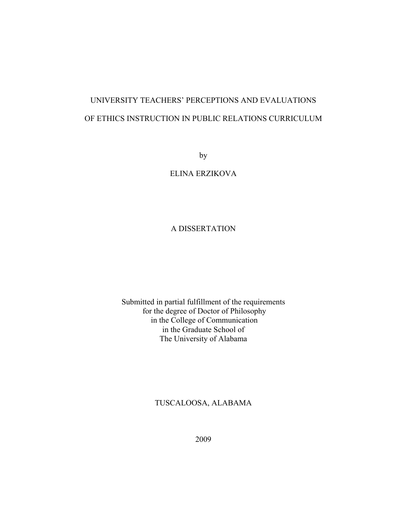# UNIVERSITY TEACHERS' PERCEPTIONS AND EVALUATIONS OF ETHICS INSTRUCTION IN PUBLIC RELATIONS CURRICULUM

by

ELINA ERZIKOVA

### A DISSERTATION

Submitted in partial fulfillment of the requirements for the degree of Doctor of Philosophy in the College of Communication in the Graduate School of The University of Alabama

### TUSCALOOSA, ALABAMA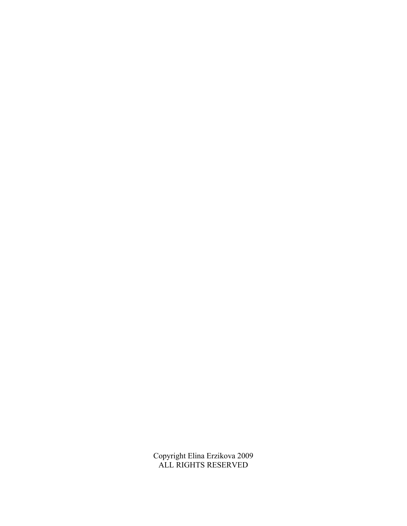Copyright Elina Erzikova 2009 ALL RIGHTS RESERVED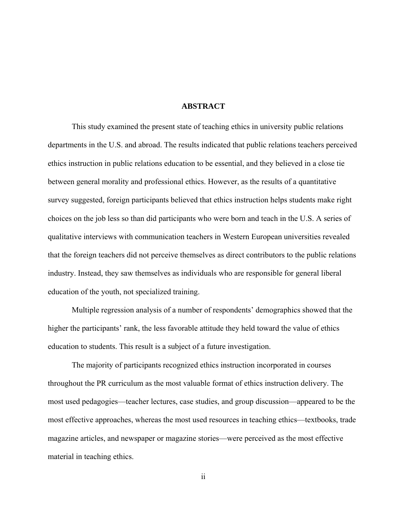#### **ABSTRACT**

This study examined the present state of teaching ethics in university public relations departments in the U.S. and abroad. The results indicated that public relations teachers perceived ethics instruction in public relations education to be essential, and they believed in a close tie between general morality and professional ethics. However, as the results of a quantitative survey suggested, foreign participants believed that ethics instruction helps students make right choices on the job less so than did participants who were born and teach in the U.S. A series of qualitative interviews with communication teachers in Western European universities revealed that the foreign teachers did not perceive themselves as direct contributors to the public relations industry. Instead, they saw themselves as individuals who are responsible for general liberal education of the youth, not specialized training.

Multiple regression analysis of a number of respondents' demographics showed that the higher the participants' rank, the less favorable attitude they held toward the value of ethics education to students. This result is a subject of a future investigation.

The majority of participants recognized ethics instruction incorporated in courses throughout the PR curriculum as the most valuable format of ethics instruction delivery. The most used pedagogies—teacher lectures, case studies, and group discussion—appeared to be the most effective approaches, whereas the most used resources in teaching ethics—textbooks, trade magazine articles, and newspaper or magazine stories—were perceived as the most effective material in teaching ethics.

ii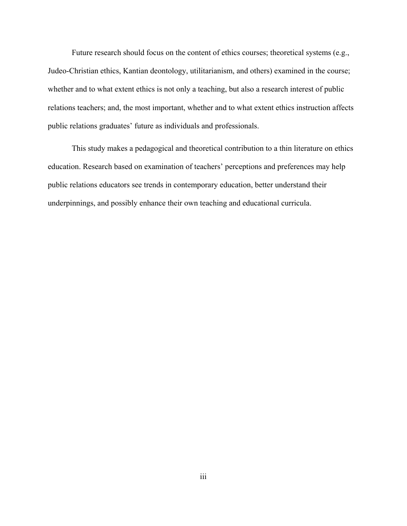Future research should focus on the content of ethics courses; theoretical systems (e.g., Judeo-Christian ethics, Kantian deontology, utilitarianism, and others) examined in the course; whether and to what extent ethics is not only a teaching, but also a research interest of public relations teachers; and, the most important, whether and to what extent ethics instruction affects public relations graduates' future as individuals and professionals.

 This study makes a pedagogical and theoretical contribution to a thin literature on ethics education. Research based on examination of teachers' perceptions and preferences may help public relations educators see trends in contemporary education, better understand their underpinnings, and possibly enhance their own teaching and educational curricula.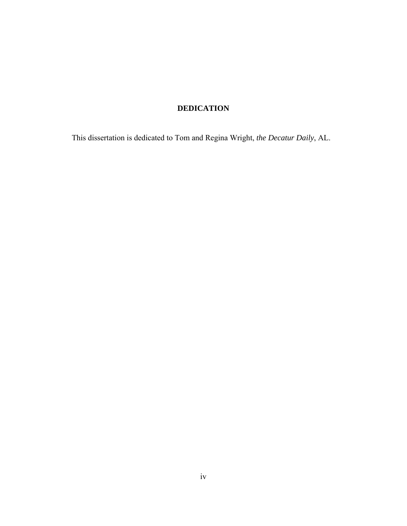## **DEDICATION**

This dissertation is dedicated to Tom and Regina Wright, *the Decatur Daily*, AL.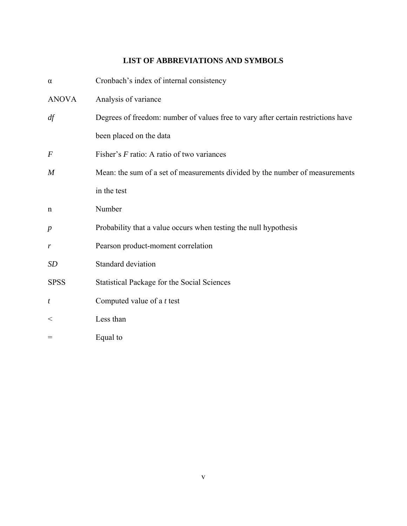## **LIST OF ABBREVIATIONS AND SYMBOLS**

| $\alpha$         | Cronbach's index of internal consistency                                          |
|------------------|-----------------------------------------------------------------------------------|
| <b>ANOVA</b>     | Analysis of variance                                                              |
| df               | Degrees of freedom: number of values free to vary after certain restrictions have |
|                  | been placed on the data                                                           |
| $\boldsymbol{F}$ | Fisher's $F$ ratio: A ratio of two variances                                      |
| $\boldsymbol{M}$ | Mean: the sum of a set of measurements divided by the number of measurements      |
|                  | in the test                                                                       |
| $\mathbf n$      | Number                                                                            |
| $\boldsymbol{p}$ | Probability that a value occurs when testing the null hypothesis                  |
| r                | Pearson product-moment correlation                                                |
| <b>SD</b>        | Standard deviation                                                                |
| <b>SPSS</b>      | <b>Statistical Package for the Social Sciences</b>                                |
| t                | Computed value of a $t$ test                                                      |
| $\,<\,$          | Less than                                                                         |
| $=$              | Equal to                                                                          |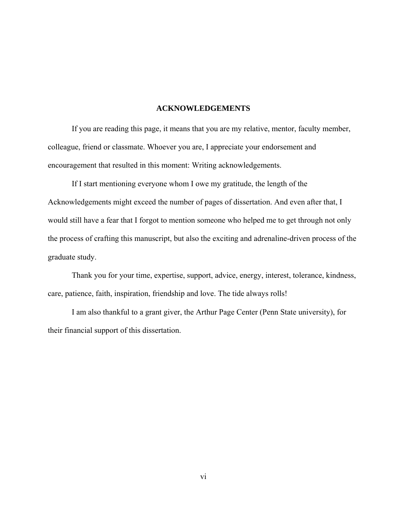#### **ACKNOWLEDGEMENTS**

 If you are reading this page, it means that you are my relative, mentor, faculty member, colleague, friend or classmate. Whoever you are, I appreciate your endorsement and encouragement that resulted in this moment: Writing acknowledgements.

If I start mentioning everyone whom I owe my gratitude, the length of the Acknowledgements might exceed the number of pages of dissertation. And even after that, I would still have a fear that I forgot to mention someone who helped me to get through not only the process of crafting this manuscript, but also the exciting and adrenaline-driven process of the graduate study.

Thank you for your time, expertise, support, advice, energy, interest, tolerance, kindness, care, patience, faith, inspiration, friendship and love. The tide always rolls!

I am also thankful to a grant giver, the Arthur Page Center (Penn State university), for their financial support of this dissertation.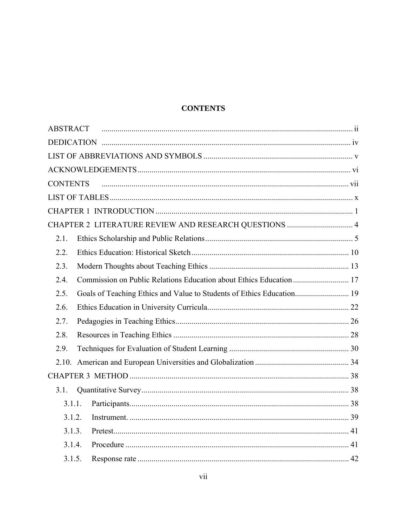## **CONTENTS**

| <b>ABSTRACT</b>                                                               |  |
|-------------------------------------------------------------------------------|--|
|                                                                               |  |
|                                                                               |  |
|                                                                               |  |
| <b>CONTENTS</b>                                                               |  |
|                                                                               |  |
|                                                                               |  |
| CHAPTER 2 LITERATURE REVIEW AND RESEARCH QUESTIONS  4                         |  |
| 2.1.                                                                          |  |
| 2.2.                                                                          |  |
| 2.3.                                                                          |  |
| 2.4.                                                                          |  |
| 2.5.<br>Goals of Teaching Ethics and Value to Students of Ethics Education 19 |  |
| 2.6.                                                                          |  |
| 2.7.                                                                          |  |
| 2.8.                                                                          |  |
| 2.9.                                                                          |  |
|                                                                               |  |
|                                                                               |  |
| 3.1.                                                                          |  |
| 3.1.1.                                                                        |  |
| 3.1.2.                                                                        |  |
| 3.1.3.                                                                        |  |
| 3.1.4.                                                                        |  |
| 3.1.5.                                                                        |  |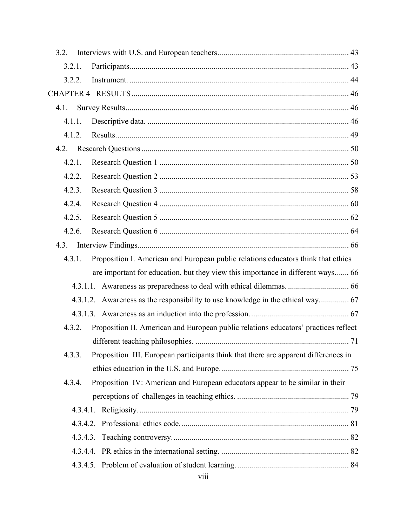| 3.2.   |                                                                                     |  |
|--------|-------------------------------------------------------------------------------------|--|
| 3.2.1. |                                                                                     |  |
| 3.2.2. |                                                                                     |  |
|        |                                                                                     |  |
| 4.1.   |                                                                                     |  |
| 4.1.1. |                                                                                     |  |
| 4.1.2. |                                                                                     |  |
|        |                                                                                     |  |
| 4.2.1. |                                                                                     |  |
| 4.2.2. |                                                                                     |  |
| 4.2.3. |                                                                                     |  |
| 4.2.4. |                                                                                     |  |
| 4.2.5. |                                                                                     |  |
| 4.2.6. |                                                                                     |  |
| 4.3.   |                                                                                     |  |
| 4.3.1. | Proposition I. American and European public relations educators think that ethics   |  |
|        | are important for education, but they view this importance in different ways 66     |  |
|        |                                                                                     |  |
|        |                                                                                     |  |
|        |                                                                                     |  |
| 4.3.2. | Proposition II. American and European public relations educators' practices reflect |  |
|        |                                                                                     |  |
| 4.3.3. | Proposition III. European participants think that there are apparent differences in |  |
|        |                                                                                     |  |
| 4.3.4. | Proposition IV: American and European educators appear to be similar in their       |  |
|        |                                                                                     |  |
|        |                                                                                     |  |
|        |                                                                                     |  |
|        |                                                                                     |  |
|        |                                                                                     |  |
|        |                                                                                     |  |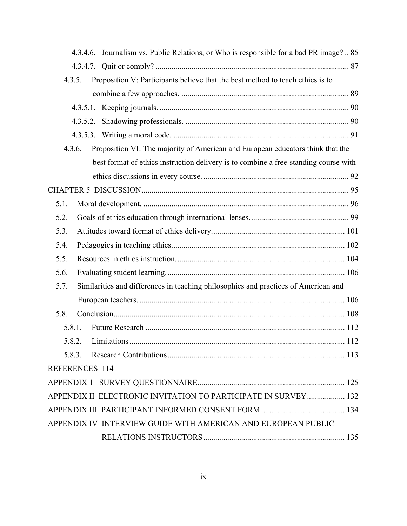|      | 4.3.4.6. Journalism vs. Public Relations, or Who is responsible for a bad PR image?  85  |  |
|------|------------------------------------------------------------------------------------------|--|
|      |                                                                                          |  |
|      | Proposition V: Participants believe that the best method to teach ethics is to<br>4.3.5. |  |
|      |                                                                                          |  |
|      |                                                                                          |  |
|      |                                                                                          |  |
|      |                                                                                          |  |
|      | Proposition VI: The majority of American and European educators think that the<br>4.3.6. |  |
|      | best format of ethics instruction delivery is to combine a free-standing course with     |  |
|      |                                                                                          |  |
|      |                                                                                          |  |
| 5.1. |                                                                                          |  |
| 5.2. |                                                                                          |  |
| 5.3. |                                                                                          |  |
| 5.4. |                                                                                          |  |
| 5.5. |                                                                                          |  |
| 5.6. |                                                                                          |  |
| 5.7. | Similarities and differences in teaching philosophies and practices of American and      |  |
|      |                                                                                          |  |
| 5.8. |                                                                                          |  |
|      | 5.8.1.                                                                                   |  |
|      | 5.8.2.                                                                                   |  |
|      | 5.8.3.                                                                                   |  |
|      | REFERENCES 114                                                                           |  |
|      |                                                                                          |  |
|      | APPENDIX II ELECTRONIC INVITATION TO PARTICIPATE IN SURVEY 132                           |  |
|      |                                                                                          |  |
|      | APPENDIX IV INTERVIEW GUIDE WITH AMERICAN AND EUROPEAN PUBLIC                            |  |
|      |                                                                                          |  |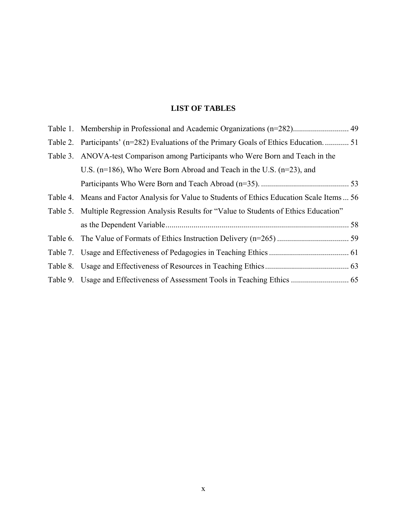## **LIST OF TABLES**

| Table 2. Participants' (n=282) Evaluations of the Primary Goals of Ethics Education 51       |  |
|----------------------------------------------------------------------------------------------|--|
| Table 3. ANOVA-test Comparison among Participants who Were Born and Teach in the             |  |
| U.S. ( $n=186$ ), Who Were Born Abroad and Teach in the U.S. ( $n=23$ ), and                 |  |
|                                                                                              |  |
| Table 4. Means and Factor Analysis for Value to Students of Ethics Education Scale Items  56 |  |
| Table 5. Multiple Regression Analysis Results for "Value to Students of Ethics Education"    |  |
|                                                                                              |  |
|                                                                                              |  |
|                                                                                              |  |
|                                                                                              |  |
|                                                                                              |  |
|                                                                                              |  |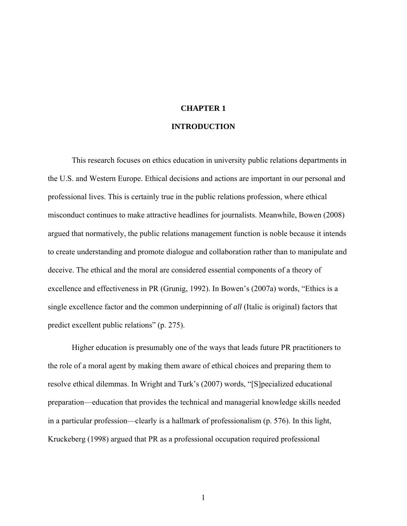# **CHAPTER 1**

#### **INTRODUCTION**

This research focuses on ethics education in university public relations departments in the U.S. and Western Europe. Ethical decisions and actions are important in our personal and professional lives. This is certainly true in the public relations profession, where ethical misconduct continues to make attractive headlines for journalists. Meanwhile, Bowen (2008) argued that normatively, the public relations management function is noble because it intends to create understanding and promote dialogue and collaboration rather than to manipulate and deceive. The ethical and the moral are considered essential components of a theory of excellence and effectiveness in PR (Grunig, 1992). In Bowen's (2007a) words, "Ethics is a single excellence factor and the common underpinning of *all* (Italic is original) factors that predict excellent public relations" (p. 275).

Higher education is presumably one of the ways that leads future PR practitioners to the role of a moral agent by making them aware of ethical choices and preparing them to resolve ethical dilemmas. In Wright and Turk's (2007) words, "[S]pecialized educational preparation—education that provides the technical and managerial knowledge skills needed in a particular profession—clearly is a hallmark of professionalism (p. 576). In this light, Kruckeberg (1998) argued that PR as a professional occupation required professional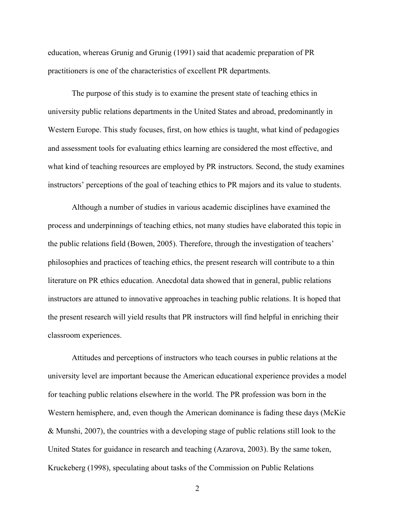education, whereas Grunig and Grunig (1991) said that academic preparation of PR practitioners is one of the characteristics of excellent PR departments.

The purpose of this study is to examine the present state of teaching ethics in university public relations departments in the United States and abroad, predominantly in Western Europe. This study focuses, first, on how ethics is taught, what kind of pedagogies and assessment tools for evaluating ethics learning are considered the most effective, and what kind of teaching resources are employed by PR instructors. Second, the study examines instructors' perceptions of the goal of teaching ethics to PR majors and its value to students.

Although a number of studies in various academic disciplines have examined the process and underpinnings of teaching ethics, not many studies have elaborated this topic in the public relations field (Bowen, 2005). Therefore, through the investigation of teachers' philosophies and practices of teaching ethics, the present research will contribute to a thin literature on PR ethics education. Anecdotal data showed that in general, public relations instructors are attuned to innovative approaches in teaching public relations. It is hoped that the present research will yield results that PR instructors will find helpful in enriching their classroom experiences.

Attitudes and perceptions of instructors who teach courses in public relations at the university level are important because the American educational experience provides a model for teaching public relations elsewhere in the world. The PR profession was born in the Western hemisphere, and, even though the American dominance is fading these days (McKie & Munshi, 2007), the countries with a developing stage of public relations still look to the United States for guidance in research and teaching (Azarova, 2003). By the same token, Kruckeberg (1998), speculating about tasks of the Commission on Public Relations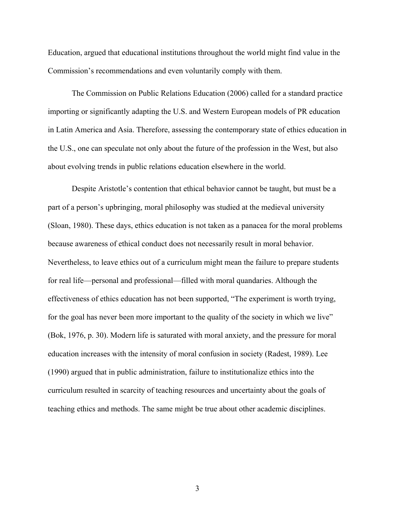Education, argued that educational institutions throughout the world might find value in the Commission's recommendations and even voluntarily comply with them.

The Commission on Public Relations Education (2006) called for a standard practice importing or significantly adapting the U.S. and Western European models of PR education in Latin America and Asia. Therefore, assessing the contemporary state of ethics education in the U.S., one can speculate not only about the future of the profession in the West, but also about evolving trends in public relations education elsewhere in the world.

Despite Aristotle's contention that ethical behavior cannot be taught, but must be a part of a person's upbringing, moral philosophy was studied at the medieval university (Sloan, 1980). These days, ethics education is not taken as a panacea for the moral problems because awareness of ethical conduct does not necessarily result in moral behavior. Nevertheless, to leave ethics out of a curriculum might mean the failure to prepare students for real life—personal and professional—filled with moral quandaries. Although the effectiveness of ethics education has not been supported, "The experiment is worth trying, for the goal has never been more important to the quality of the society in which we live" (Bok, 1976, p. 30). Modern life is saturated with moral anxiety, and the pressure for moral education increases with the intensity of moral confusion in society (Radest, 1989). Lee (1990) argued that in public administration, failure to institutionalize ethics into the curriculum resulted in scarcity of teaching resources and uncertainty about the goals of teaching ethics and methods. The same might be true about other academic disciplines.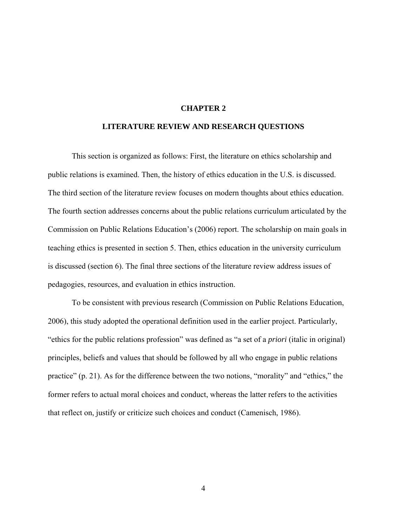#### **CHAPTER 2**

#### **LITERATURE REVIEW AND RESEARCH QUESTIONS**

This section is organized as follows: First, the literature on ethics scholarship and public relations is examined. Then, the history of ethics education in the U.S. is discussed. The third section of the literature review focuses on modern thoughts about ethics education. The fourth section addresses concerns about the public relations curriculum articulated by the Commission on Public Relations Education's (2006) report. The scholarship on main goals in teaching ethics is presented in section 5. Then, ethics education in the university curriculum is discussed (section 6). The final three sections of the literature review address issues of pedagogies, resources, and evaluation in ethics instruction.

To be consistent with previous research (Commission on Public Relations Education, 2006), this study adopted the operational definition used in the earlier project. Particularly, "ethics for the public relations profession" was defined as "a set of a *priori* (italic in original) principles, beliefs and values that should be followed by all who engage in public relations practice" (p. 21). As for the difference between the two notions, "morality" and "ethics," the former refers to actual moral choices and conduct, whereas the latter refers to the activities that reflect on, justify or criticize such choices and conduct (Camenisch, 1986).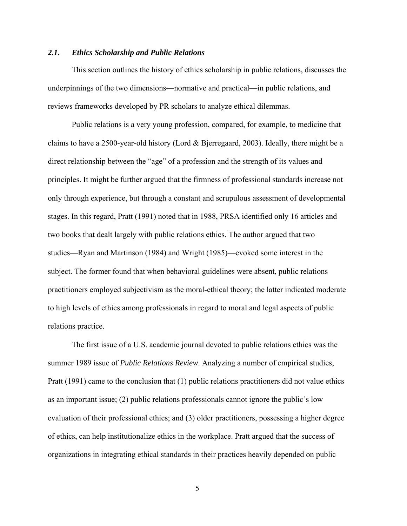#### *2.1. Ethics Scholarship and Public Relations*

This section outlines the history of ethics scholarship in public relations, discusses the underpinnings of the two dimensions—normative and practical—in public relations, and reviews frameworks developed by PR scholars to analyze ethical dilemmas.

Public relations is a very young profession, compared, for example, to medicine that claims to have a 2500-year-old history (Lord & Bjerregaard, 2003). Ideally, there might be a direct relationship between the "age" of a profession and the strength of its values and principles. It might be further argued that the firmness of professional standards increase not only through experience, but through a constant and scrupulous assessment of developmental stages. In this regard, Pratt (1991) noted that in 1988, PRSA identified only 16 articles and two books that dealt largely with public relations ethics. The author argued that two studies—Ryan and Martinson (1984) and Wright (1985)—evoked some interest in the subject. The former found that when behavioral guidelines were absent, public relations practitioners employed subjectivism as the moral-ethical theory; the latter indicated moderate to high levels of ethics among professionals in regard to moral and legal aspects of public relations practice.

The first issue of a U.S. academic journal devoted to public relations ethics was the summer 1989 issue of *Public Relations Review*. Analyzing a number of empirical studies, Pratt (1991) came to the conclusion that (1) public relations practitioners did not value ethics as an important issue; (2) public relations professionals cannot ignore the public's low evaluation of their professional ethics; and (3) older practitioners, possessing a higher degree of ethics, can help institutionalize ethics in the workplace. Pratt argued that the success of organizations in integrating ethical standards in their practices heavily depended on public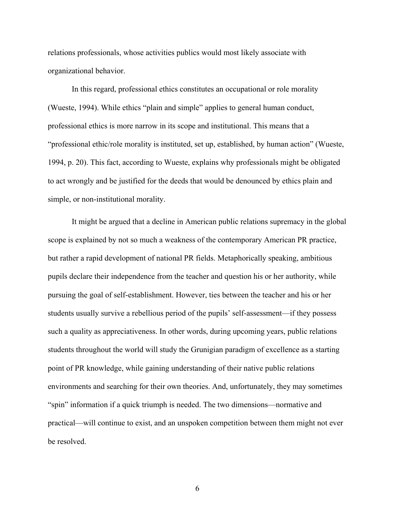relations professionals, whose activities publics would most likely associate with organizational behavior.

In this regard, professional ethics constitutes an occupational or role morality (Wueste, 1994). While ethics "plain and simple" applies to general human conduct, professional ethics is more narrow in its scope and institutional. This means that a "professional ethic/role morality is instituted, set up, established, by human action" (Wueste, 1994, p. 20). This fact, according to Wueste, explains why professionals might be obligated to act wrongly and be justified for the deeds that would be denounced by ethics plain and simple, or non-institutional morality.

It might be argued that a decline in American public relations supremacy in the global scope is explained by not so much a weakness of the contemporary American PR practice, but rather a rapid development of national PR fields. Metaphorically speaking, ambitious pupils declare their independence from the teacher and question his or her authority, while pursuing the goal of self-establishment. However, ties between the teacher and his or her students usually survive a rebellious period of the pupils' self-assessment—if they possess such a quality as appreciativeness. In other words, during upcoming years, public relations students throughout the world will study the Grunigian paradigm of excellence as a starting point of PR knowledge, while gaining understanding of their native public relations environments and searching for their own theories. And, unfortunately, they may sometimes "spin" information if a quick triumph is needed. The two dimensions—normative and practical—will continue to exist, and an unspoken competition between them might not ever be resolved.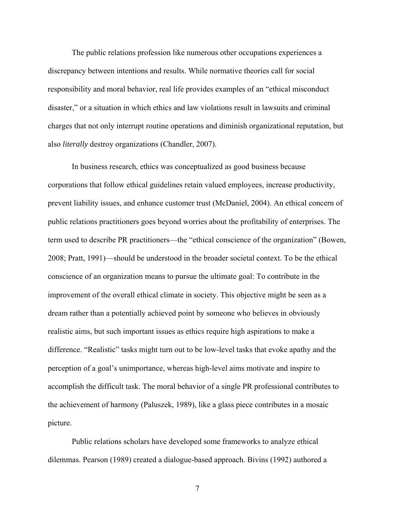The public relations profession like numerous other occupations experiences a discrepancy between intentions and results. While normative theories call for social responsibility and moral behavior, real life provides examples of an "ethical misconduct disaster," or a situation in which ethics and law violations result in lawsuits and criminal charges that not only interrupt routine operations and diminish organizational reputation, but also *literally* destroy organizations (Chandler, 2007).

In business research, ethics was conceptualized as good business because corporations that follow ethical guidelines retain valued employees, increase productivity, prevent liability issues, and enhance customer trust (McDaniel, 2004). An ethical concern of public relations practitioners goes beyond worries about the profitability of enterprises. The term used to describe PR practitioners—the "ethical conscience of the organization" (Bowen, 2008; Pratt, 1991)—should be understood in the broader societal context. To be the ethical conscience of an organization means to pursue the ultimate goal: To contribute in the improvement of the overall ethical climate in society. This objective might be seen as a dream rather than a potentially achieved point by someone who believes in obviously realistic aims, but such important issues as ethics require high aspirations to make a difference. "Realistic" tasks might turn out to be low-level tasks that evoke apathy and the perception of a goal's unimportance, whereas high-level aims motivate and inspire to accomplish the difficult task. The moral behavior of a single PR professional contributes to the achievement of harmony (Paluszek, 1989), like a glass piece contributes in a mosaic picture.

Public relations scholars have developed some frameworks to analyze ethical dilemmas. Pearson (1989) created a dialogue-based approach. Bivins (1992) authored a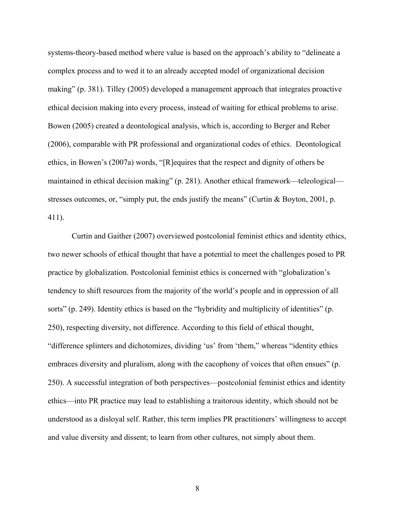systems-theory-based method where value is based on the approach's ability to "delineate a complex process and to wed it to an already accepted model of organizational decision making" (p. 381). Tilley (2005) developed a management approach that integrates proactive ethical decision making into every process, instead of waiting for ethical problems to arise. Bowen (2005) created a deontological analysis, which is, according to Berger and Reber (2006), comparable with PR professional and organizational codes of ethics. Deontological ethics, in Bowen's (2007a) words, "[R]equires that the respect and dignity of others be maintained in ethical decision making" (p. 281). Another ethical framework—teleological stresses outcomes, or, "simply put, the ends justify the means" (Curtin & Boyton, 2001, p. 411).

Curtin and Gaither (2007) overviewed postcolonial feminist ethics and identity ethics, two newer schools of ethical thought that have a potential to meet the challenges posed to PR practice by globalization. Postcolonial feminist ethics is concerned with "globalization's tendency to shift resources from the majority of the world's people and in oppression of all sorts" (p. 249). Identity ethics is based on the "hybridity and multiplicity of identities" (p. 250), respecting diversity, not difference. According to this field of ethical thought, "difference splinters and dichotomizes, dividing 'us' from 'them," whereas "identity ethics embraces diversity and pluralism, along with the cacophony of voices that often ensues" (p. 250). A successful integration of both perspectives—postcolonial feminist ethics and identity ethics—into PR practice may lead to establishing a traitorous identity, which should not be understood as a disloyal self. Rather, this term implies PR practitioners' willingness to accept and value diversity and dissent; to learn from other cultures, not simply about them.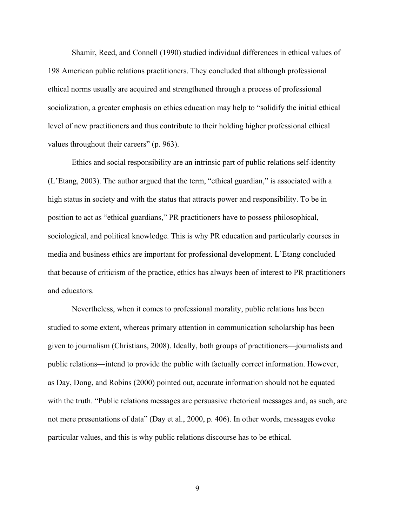Shamir, Reed, and Connell (1990) studied individual differences in ethical values of 198 American public relations practitioners. They concluded that although professional ethical norms usually are acquired and strengthened through a process of professional socialization, a greater emphasis on ethics education may help to "solidify the initial ethical level of new practitioners and thus contribute to their holding higher professional ethical values throughout their careers" (p. 963).

Ethics and social responsibility are an intrinsic part of public relations self-identity (L'Etang, 2003). The author argued that the term, "ethical guardian," is associated with a high status in society and with the status that attracts power and responsibility. To be in position to act as "ethical guardians," PR practitioners have to possess philosophical, sociological, and political knowledge. This is why PR education and particularly courses in media and business ethics are important for professional development. L'Etang concluded that because of criticism of the practice, ethics has always been of interest to PR practitioners and educators.

Nevertheless, when it comes to professional morality, public relations has been studied to some extent, whereas primary attention in communication scholarship has been given to journalism (Christians, 2008). Ideally, both groups of practitioners—journalists and public relations—intend to provide the public with factually correct information. However, as Day, Dong, and Robins (2000) pointed out, accurate information should not be equated with the truth. "Public relations messages are persuasive rhetorical messages and, as such, are not mere presentations of data" (Day et al., 2000, p. 406). In other words, messages evoke particular values, and this is why public relations discourse has to be ethical.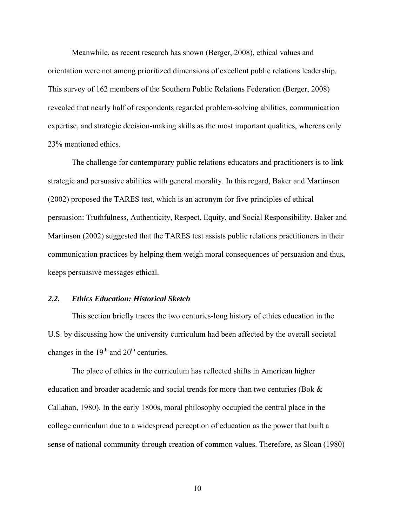Meanwhile, as recent research has shown (Berger, 2008), ethical values and orientation were not among prioritized dimensions of excellent public relations leadership. This survey of 162 members of the Southern Public Relations Federation (Berger, 2008) revealed that nearly half of respondents regarded problem-solving abilities, communication expertise, and strategic decision-making skills as the most important qualities, whereas only 23% mentioned ethics.

The challenge for contemporary public relations educators and practitioners is to link strategic and persuasive abilities with general morality. In this regard, Baker and Martinson (2002) proposed the TARES test, which is an acronym for five principles of ethical persuasion: Truthfulness, Authenticity, Respect, Equity, and Social Responsibility. Baker and Martinson (2002) suggested that the TARES test assists public relations practitioners in their communication practices by helping them weigh moral consequences of persuasion and thus, keeps persuasive messages ethical.

#### *2.2. Ethics Education: Historical Sketch*

This section briefly traces the two centuries-long history of ethics education in the U.S. by discussing how the university curriculum had been affected by the overall societal changes in the  $19<sup>th</sup>$  and  $20<sup>th</sup>$  centuries.

The place of ethics in the curriculum has reflected shifts in American higher education and broader academic and social trends for more than two centuries (Bok & Callahan, 1980). In the early 1800s, moral philosophy occupied the central place in the college curriculum due to a widespread perception of education as the power that built a sense of national community through creation of common values. Therefore, as Sloan (1980)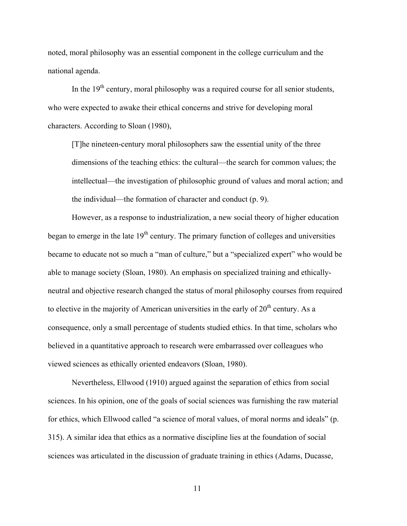noted, moral philosophy was an essential component in the college curriculum and the national agenda.

In the  $19<sup>th</sup>$  century, moral philosophy was a required course for all senior students. who were expected to awake their ethical concerns and strive for developing moral characters. According to Sloan (1980),

[T]he nineteen-century moral philosophers saw the essential unity of the three dimensions of the teaching ethics: the cultural—the search for common values; the intellectual—the investigation of philosophic ground of values and moral action; and the individual—the formation of character and conduct (p. 9).

However, as a response to industrialization, a new social theory of higher education began to emerge in the late  $19<sup>th</sup>$  century. The primary function of colleges and universities became to educate not so much a "man of culture," but a "specialized expert" who would be able to manage society (Sloan, 1980). An emphasis on specialized training and ethicallyneutral and objective research changed the status of moral philosophy courses from required to elective in the majority of American universities in the early of  $20<sup>th</sup>$  century. As a consequence, only a small percentage of students studied ethics. In that time, scholars who believed in a quantitative approach to research were embarrassed over colleagues who viewed sciences as ethically oriented endeavors (Sloan, 1980).

Nevertheless, Ellwood (1910) argued against the separation of ethics from social sciences. In his opinion, one of the goals of social sciences was furnishing the raw material for ethics, which Ellwood called "a science of moral values, of moral norms and ideals" (p. 315). A similar idea that ethics as a normative discipline lies at the foundation of social sciences was articulated in the discussion of graduate training in ethics (Adams, Ducasse,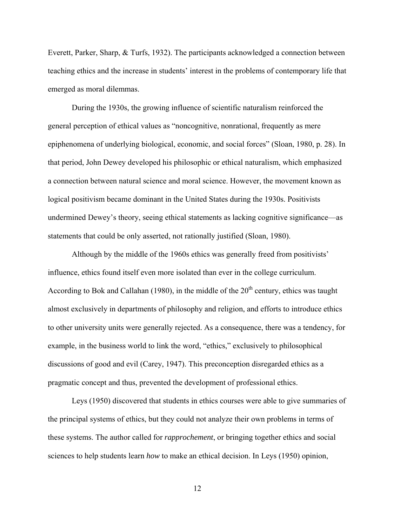Everett, Parker, Sharp, & Turfs, 1932). The participants acknowledged a connection between teaching ethics and the increase in students' interest in the problems of contemporary life that emerged as moral dilemmas.

During the 1930s, the growing influence of scientific naturalism reinforced the general perception of ethical values as "noncognitive, nonrational, frequently as mere epiphenomena of underlying biological, economic, and social forces" (Sloan, 1980, p. 28). In that period, John Dewey developed his philosophic or ethical naturalism, which emphasized a connection between natural science and moral science. However, the movement known as logical positivism became dominant in the United States during the 1930s. Positivists undermined Dewey's theory, seeing ethical statements as lacking cognitive significance—as statements that could be only asserted, not rationally justified (Sloan, 1980).

Although by the middle of the 1960s ethics was generally freed from positivists' influence, ethics found itself even more isolated than ever in the college curriculum. According to Bok and Callahan (1980), in the middle of the  $20<sup>th</sup>$  century, ethics was taught almost exclusively in departments of philosophy and religion, and efforts to introduce ethics to other university units were generally rejected. As a consequence, there was a tendency, for example, in the business world to link the word, "ethics," exclusively to philosophical discussions of good and evil (Carey, 1947). This preconception disregarded ethics as a pragmatic concept and thus, prevented the development of professional ethics.

Leys (1950) discovered that students in ethics courses were able to give summaries of the principal systems of ethics, but they could not analyze their own problems in terms of these systems. The author called for *rapprochement*, or bringing together ethics and social sciences to help students learn *how* to make an ethical decision. In Leys (1950) opinion,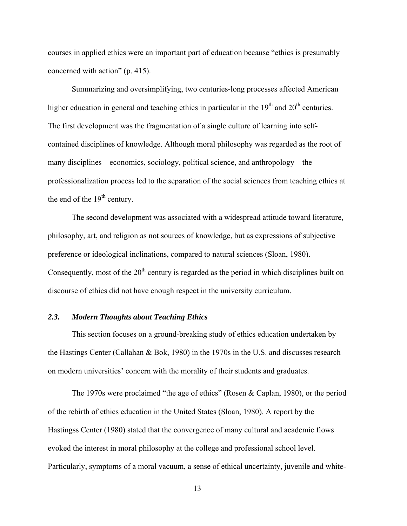courses in applied ethics were an important part of education because "ethics is presumably concerned with action" (p. 415).

Summarizing and oversimplifying, two centuries-long processes affected American higher education in general and teaching ethics in particular in the  $19<sup>th</sup>$  and  $20<sup>th</sup>$  centuries. The first development was the fragmentation of a single culture of learning into selfcontained disciplines of knowledge. Although moral philosophy was regarded as the root of many disciplines—economics, sociology, political science, and anthropology—the professionalization process led to the separation of the social sciences from teaching ethics at the end of the  $19<sup>th</sup>$  century.

The second development was associated with a widespread attitude toward literature, philosophy, art, and religion as not sources of knowledge, but as expressions of subjective preference or ideological inclinations, compared to natural sciences (Sloan, 1980). Consequently, most of the  $20<sup>th</sup>$  century is regarded as the period in which disciplines built on discourse of ethics did not have enough respect in the university curriculum.

#### *2.3. Modern Thoughts about Teaching Ethics*

This section focuses on a ground-breaking study of ethics education undertaken by the Hastings Center (Callahan & Bok, 1980) in the 1970s in the U.S. and discusses research on modern universities' concern with the morality of their students and graduates.

The 1970s were proclaimed "the age of ethics" (Rosen & Caplan, 1980), or the period of the rebirth of ethics education in the United States (Sloan, 1980). A report by the Hastingss Center (1980) stated that the convergence of many cultural and academic flows evoked the interest in moral philosophy at the college and professional school level. Particularly, symptoms of a moral vacuum, a sense of ethical uncertainty, juvenile and white-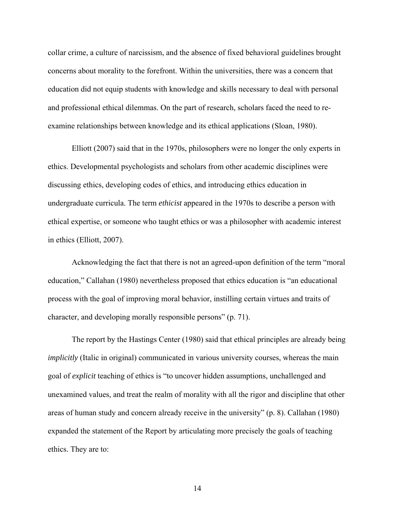collar crime, a culture of narcissism, and the absence of fixed behavioral guidelines brought concerns about morality to the forefront. Within the universities, there was a concern that education did not equip students with knowledge and skills necessary to deal with personal and professional ethical dilemmas. On the part of research, scholars faced the need to reexamine relationships between knowledge and its ethical applications (Sloan, 1980).

Elliott (2007) said that in the 1970s, philosophers were no longer the only experts in ethics. Developmental psychologists and scholars from other academic disciplines were discussing ethics, developing codes of ethics, and introducing ethics education in undergraduate curricula. The term *ethicist* appeared in the 1970s to describe a person with ethical expertise, or someone who taught ethics or was a philosopher with academic interest in ethics (Elliott, 2007).

Acknowledging the fact that there is not an agreed-upon definition of the term "moral education," Callahan (1980) nevertheless proposed that ethics education is "an educational process with the goal of improving moral behavior, instilling certain virtues and traits of character, and developing morally responsible persons" (p. 71).

The report by the Hastings Center (1980) said that ethical principles are already being *implicitly* (Italic in original) communicated in various university courses, whereas the main goal of *explicit* teaching of ethics is "to uncover hidden assumptions, unchallenged and unexamined values, and treat the realm of morality with all the rigor and discipline that other areas of human study and concern already receive in the university" (p. 8). Callahan (1980) expanded the statement of the Report by articulating more precisely the goals of teaching ethics. They are to: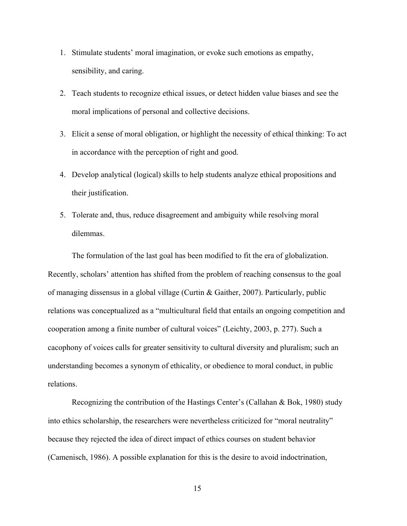- 1. Stimulate students' moral imagination, or evoke such emotions as empathy, sensibility, and caring.
- 2. Teach students to recognize ethical issues, or detect hidden value biases and see the moral implications of personal and collective decisions.
- 3. Elicit a sense of moral obligation, or highlight the necessity of ethical thinking: To act in accordance with the perception of right and good.
- 4. Develop analytical (logical) skills to help students analyze ethical propositions and their justification.
- 5. Tolerate and, thus, reduce disagreement and ambiguity while resolving moral dilemmas.

The formulation of the last goal has been modified to fit the era of globalization. Recently, scholars' attention has shifted from the problem of reaching consensus to the goal of managing dissensus in a global village (Curtin & Gaither, 2007). Particularly, public relations was conceptualized as a "multicultural field that entails an ongoing competition and cooperation among a finite number of cultural voices" (Leichty, 2003, p. 277). Such a cacophony of voices calls for greater sensitivity to cultural diversity and pluralism; such an understanding becomes a synonym of ethicality, or obedience to moral conduct, in public relations.

Recognizing the contribution of the Hastings Center's (Callahan & Bok, 1980) study into ethics scholarship, the researchers were nevertheless criticized for "moral neutrality" because they rejected the idea of direct impact of ethics courses on student behavior (Camenisch, 1986). A possible explanation for this is the desire to avoid indoctrination,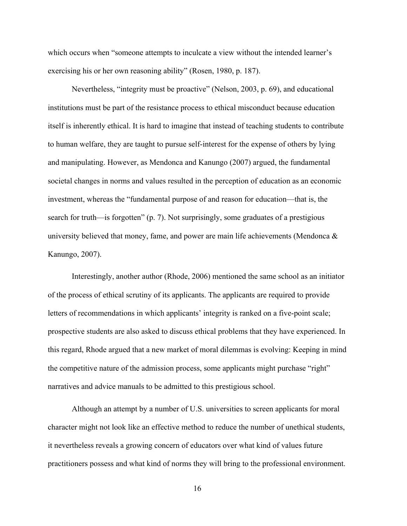which occurs when "someone attempts to inculcate a view without the intended learner's exercising his or her own reasoning ability" (Rosen, 1980, p. 187).

Nevertheless, "integrity must be proactive" (Nelson, 2003, p. 69), and educational institutions must be part of the resistance process to ethical misconduct because education itself is inherently ethical. It is hard to imagine that instead of teaching students to contribute to human welfare, they are taught to pursue self-interest for the expense of others by lying and manipulating. However, as Mendonca and Kanungo (2007) argued, the fundamental societal changes in norms and values resulted in the perception of education as an economic investment, whereas the "fundamental purpose of and reason for education—that is, the search for truth—is forgotten" (p. 7). Not surprisingly, some graduates of a prestigious university believed that money, fame, and power are main life achievements (Mendonca  $\&$ Kanungo, 2007).

Interestingly, another author (Rhode, 2006) mentioned the same school as an initiator of the process of ethical scrutiny of its applicants. The applicants are required to provide letters of recommendations in which applicants' integrity is ranked on a five-point scale; prospective students are also asked to discuss ethical problems that they have experienced. In this regard, Rhode argued that a new market of moral dilemmas is evolving: Keeping in mind the competitive nature of the admission process, some applicants might purchase "right" narratives and advice manuals to be admitted to this prestigious school.

Although an attempt by a number of U.S. universities to screen applicants for moral character might not look like an effective method to reduce the number of unethical students, it nevertheless reveals a growing concern of educators over what kind of values future practitioners possess and what kind of norms they will bring to the professional environment.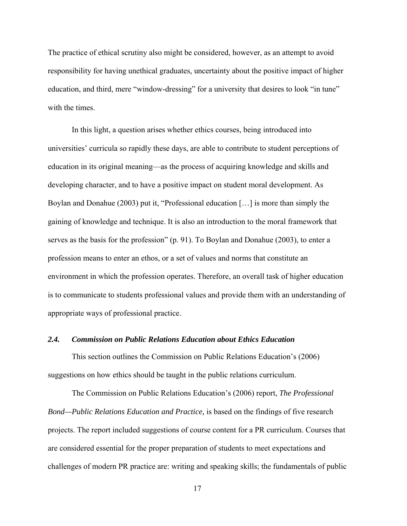The practice of ethical scrutiny also might be considered, however, as an attempt to avoid responsibility for having unethical graduates, uncertainty about the positive impact of higher education, and third, mere "window-dressing" for a university that desires to look "in tune" with the times.

In this light, a question arises whether ethics courses, being introduced into universities' curricula so rapidly these days, are able to contribute to student perceptions of education in its original meaning—as the process of acquiring knowledge and skills and developing character, and to have a positive impact on student moral development. As Boylan and Donahue (2003) put it, "Professional education […] is more than simply the gaining of knowledge and technique. It is also an introduction to the moral framework that serves as the basis for the profession" (p. 91). To Boylan and Donahue (2003), to enter a profession means to enter an ethos, or a set of values and norms that constitute an environment in which the profession operates. Therefore, an overall task of higher education is to communicate to students professional values and provide them with an understanding of appropriate ways of professional practice.

#### *2.4. Commission on Public Relations Education about Ethics Education*

This section outlines the Commission on Public Relations Education's (2006) suggestions on how ethics should be taught in the public relations curriculum.

The Commission on Public Relations Education's (2006) report, *The Professional Bond—Public Relations Education and Practice,* is based on the findings of five research projects. The report included suggestions of course content for a PR curriculum. Courses that are considered essential for the proper preparation of students to meet expectations and challenges of modern PR practice are: writing and speaking skills; the fundamentals of public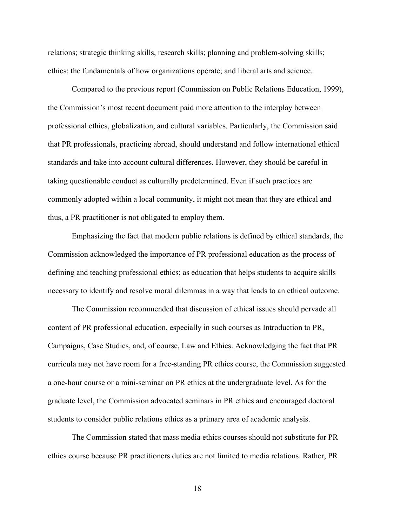relations; strategic thinking skills, research skills; planning and problem-solving skills; ethics; the fundamentals of how organizations operate; and liberal arts and science.

Compared to the previous report (Commission on Public Relations Education, 1999), the Commission's most recent document paid more attention to the interplay between professional ethics, globalization, and cultural variables. Particularly, the Commission said that PR professionals, practicing abroad, should understand and follow international ethical standards and take into account cultural differences. However, they should be careful in taking questionable conduct as culturally predetermined. Even if such practices are commonly adopted within a local community, it might not mean that they are ethical and thus, a PR practitioner is not obligated to employ them.

Emphasizing the fact that modern public relations is defined by ethical standards, the Commission acknowledged the importance of PR professional education as the process of defining and teaching professional ethics; as education that helps students to acquire skills necessary to identify and resolve moral dilemmas in a way that leads to an ethical outcome.

The Commission recommended that discussion of ethical issues should pervade all content of PR professional education, especially in such courses as Introduction to PR, Campaigns, Case Studies, and, of course, Law and Ethics. Acknowledging the fact that PR curricula may not have room for a free-standing PR ethics course, the Commission suggested a one-hour course or a mini-seminar on PR ethics at the undergraduate level. As for the graduate level, the Commission advocated seminars in PR ethics and encouraged doctoral students to consider public relations ethics as a primary area of academic analysis.

The Commission stated that mass media ethics courses should not substitute for PR ethics course because PR practitioners duties are not limited to media relations. Rather, PR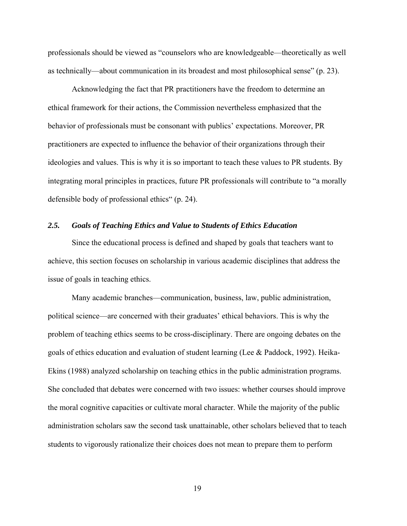professionals should be viewed as "counselors who are knowledgeable—theoretically as well as technically—about communication in its broadest and most philosophical sense" (p. 23).

Acknowledging the fact that PR practitioners have the freedom to determine an ethical framework for their actions, the Commission nevertheless emphasized that the behavior of professionals must be consonant with publics' expectations. Moreover, PR practitioners are expected to influence the behavior of their organizations through their ideologies and values. This is why it is so important to teach these values to PR students. By integrating moral principles in practices, future PR professionals will contribute to "a morally defensible body of professional ethics" (p. 24).

#### *2.5. Goals of Teaching Ethics and Value to Students of Ethics Education*

Since the educational process is defined and shaped by goals that teachers want to achieve, this section focuses on scholarship in various academic disciplines that address the issue of goals in teaching ethics.

Many academic branches—communication, business, law, public administration, political science—are concerned with their graduates' ethical behaviors. This is why the problem of teaching ethics seems to be cross-disciplinary. There are ongoing debates on the goals of ethics education and evaluation of student learning (Lee & Paddock, 1992). Heika-Ekins (1988) analyzed scholarship on teaching ethics in the public administration programs. She concluded that debates were concerned with two issues: whether courses should improve the moral cognitive capacities or cultivate moral character. While the majority of the public administration scholars saw the second task unattainable, other scholars believed that to teach students to vigorously rationalize their choices does not mean to prepare them to perform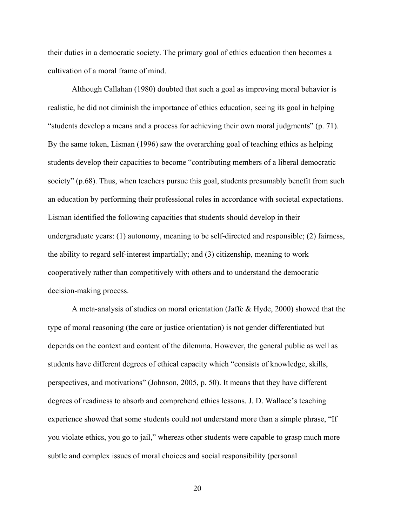their duties in a democratic society. The primary goal of ethics education then becomes a cultivation of a moral frame of mind.

Although Callahan (1980) doubted that such a goal as improving moral behavior is realistic, he did not diminish the importance of ethics education, seeing its goal in helping "students develop a means and a process for achieving their own moral judgments" (p. 71). By the same token, Lisman (1996) saw the overarching goal of teaching ethics as helping students develop their capacities to become "contributing members of a liberal democratic society" (p.68). Thus, when teachers pursue this goal, students presumably benefit from such an education by performing their professional roles in accordance with societal expectations. Lisman identified the following capacities that students should develop in their undergraduate years: (1) autonomy, meaning to be self-directed and responsible; (2) fairness, the ability to regard self-interest impartially; and (3) citizenship, meaning to work cooperatively rather than competitively with others and to understand the democratic decision-making process.

A meta-analysis of studies on moral orientation (Jaffe & Hyde, 2000) showed that the type of moral reasoning (the care or justice orientation) is not gender differentiated but depends on the context and content of the dilemma. However, the general public as well as students have different degrees of ethical capacity which "consists of knowledge, skills, perspectives, and motivations" (Johnson, 2005, p. 50). It means that they have different degrees of readiness to absorb and comprehend ethics lessons. J. D. Wallace's teaching experience showed that some students could not understand more than a simple phrase, "If you violate ethics, you go to jail," whereas other students were capable to grasp much more subtle and complex issues of moral choices and social responsibility (personal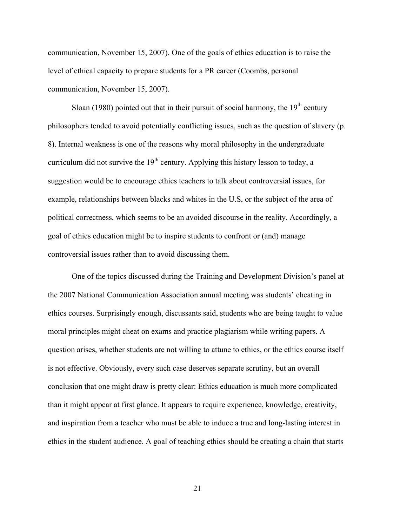communication, November 15, 2007). One of the goals of ethics education is to raise the level of ethical capacity to prepare students for a PR career (Coombs, personal communication, November 15, 2007).

Sloan (1980) pointed out that in their pursuit of social harmony, the  $19<sup>th</sup>$  century philosophers tended to avoid potentially conflicting issues, such as the question of slavery (p. 8). Internal weakness is one of the reasons why moral philosophy in the undergraduate curriculum did not survive the  $19<sup>th</sup>$  century. Applying this history lesson to today, a suggestion would be to encourage ethics teachers to talk about controversial issues, for example, relationships between blacks and whites in the U.S, or the subject of the area of political correctness, which seems to be an avoided discourse in the reality. Accordingly, a goal of ethics education might be to inspire students to confront or (and) manage controversial issues rather than to avoid discussing them.

One of the topics discussed during the Training and Development Division's panel at the 2007 National Communication Association annual meeting was students' cheating in ethics courses. Surprisingly enough, discussants said, students who are being taught to value moral principles might cheat on exams and practice plagiarism while writing papers. A question arises, whether students are not willing to attune to ethics, or the ethics course itself is not effective. Obviously, every such case deserves separate scrutiny, but an overall conclusion that one might draw is pretty clear: Ethics education is much more complicated than it might appear at first glance. It appears to require experience, knowledge, creativity, and inspiration from a teacher who must be able to induce a true and long-lasting interest in ethics in the student audience. A goal of teaching ethics should be creating a chain that starts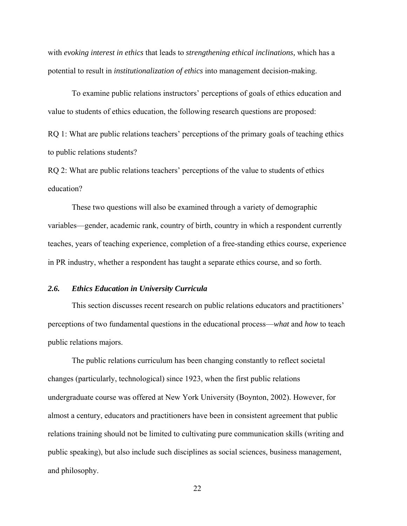with *evoking interest in ethics* that leads to *strengthening ethical inclinations,* which has a potential to result in *institutionalization of ethics* into management decision-making.

To examine public relations instructors' perceptions of goals of ethics education and value to students of ethics education, the following research questions are proposed:

RQ 1: What are public relations teachers' perceptions of the primary goals of teaching ethics to public relations students?

RQ 2: What are public relations teachers' perceptions of the value to students of ethics education?

These two questions will also be examined through a variety of demographic variables—gender, academic rank, country of birth, country in which a respondent currently teaches, years of teaching experience, completion of a free-standing ethics course, experience in PR industry, whether a respondent has taught a separate ethics course, and so forth.

#### *2.6. Ethics Education in University Curricula*

This section discusses recent research on public relations educators and practitioners' perceptions of two fundamental questions in the educational process—*what* and *how* to teach public relations majors.

The public relations curriculum has been changing constantly to reflect societal changes (particularly, technological) since 1923, when the first public relations undergraduate course was offered at New York University (Boynton, 2002). However, for almost a century, educators and practitioners have been in consistent agreement that public relations training should not be limited to cultivating pure communication skills (writing and public speaking), but also include such disciplines as social sciences, business management, and philosophy.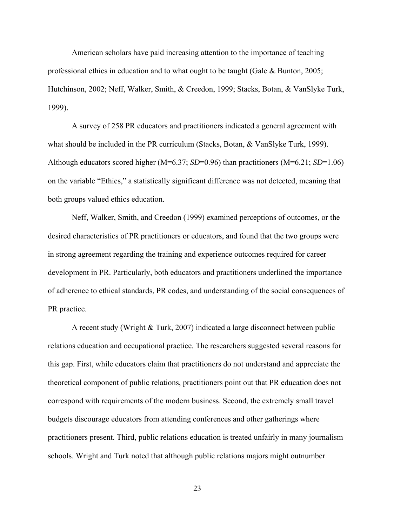American scholars have paid increasing attention to the importance of teaching professional ethics in education and to what ought to be taught (Gale & Bunton, 2005; Hutchinson, 2002; Neff, Walker, Smith, & Creedon, 1999; Stacks, Botan, & VanSlyke Turk, 1999).

A survey of 258 PR educators and practitioners indicated a general agreement with what should be included in the PR curriculum (Stacks, Botan, & VanSlyke Turk, 1999). Although educators scored higher (M=6.37; *SD*=0.96) than practitioners (M=6.21; *SD*=1.06) on the variable "Ethics," a statistically significant difference was not detected, meaning that both groups valued ethics education.

Neff, Walker, Smith, and Creedon (1999) examined perceptions of outcomes, or the desired characteristics of PR practitioners or educators, and found that the two groups were in strong agreement regarding the training and experience outcomes required for career development in PR. Particularly, both educators and practitioners underlined the importance of adherence to ethical standards, PR codes, and understanding of the social consequences of PR practice.

A recent study (Wright & Turk, 2007) indicated a large disconnect between public relations education and occupational practice. The researchers suggested several reasons for this gap. First, while educators claim that practitioners do not understand and appreciate the theoretical component of public relations, practitioners point out that PR education does not correspond with requirements of the modern business. Second, the extremely small travel budgets discourage educators from attending conferences and other gatherings where practitioners present. Third, public relations education is treated unfairly in many journalism schools. Wright and Turk noted that although public relations majors might outnumber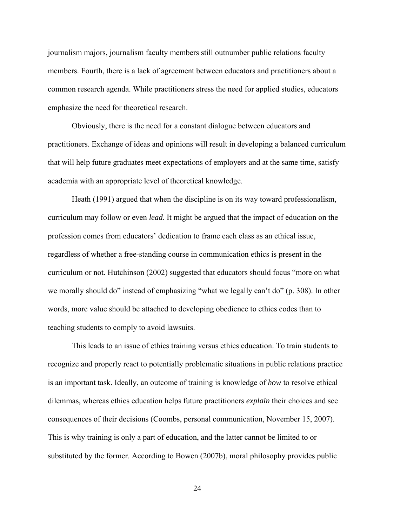journalism majors, journalism faculty members still outnumber public relations faculty members. Fourth, there is a lack of agreement between educators and practitioners about a common research agenda. While practitioners stress the need for applied studies, educators emphasize the need for theoretical research.

Obviously, there is the need for a constant dialogue between educators and practitioners. Exchange of ideas and opinions will result in developing a balanced curriculum that will help future graduates meet expectations of employers and at the same time, satisfy academia with an appropriate level of theoretical knowledge.

Heath (1991) argued that when the discipline is on its way toward professionalism, curriculum may follow or even *lead*. It might be argued that the impact of education on the profession comes from educators' dedication to frame each class as an ethical issue, regardless of whether a free-standing course in communication ethics is present in the curriculum or not. Hutchinson (2002) suggested that educators should focus "more on what we morally should do" instead of emphasizing "what we legally can't do" (p. 308). In other words, more value should be attached to developing obedience to ethics codes than to teaching students to comply to avoid lawsuits.

This leads to an issue of ethics training versus ethics education. To train students to recognize and properly react to potentially problematic situations in public relations practice is an important task. Ideally, an outcome of training is knowledge of *how* to resolve ethical dilemmas, whereas ethics education helps future practitioners *explain* their choices and see consequences of their decisions (Coombs, personal communication, November 15, 2007). This is why training is only a part of education, and the latter cannot be limited to or substituted by the former. According to Bowen (2007b), moral philosophy provides public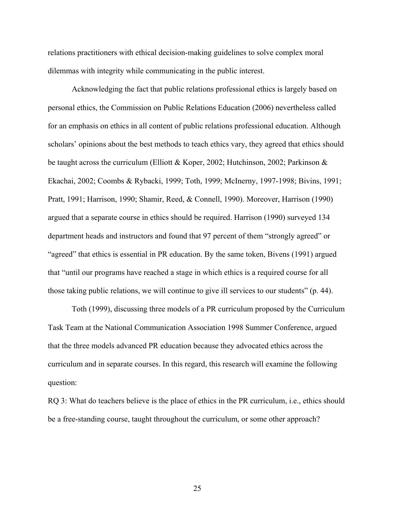relations practitioners with ethical decision-making guidelines to solve complex moral dilemmas with integrity while communicating in the public interest.

Acknowledging the fact that public relations professional ethics is largely based on personal ethics, the Commission on Public Relations Education (2006) nevertheless called for an emphasis on ethics in all content of public relations professional education. Although scholars' opinions about the best methods to teach ethics vary, they agreed that ethics should be taught across the curriculum (Elliott & Koper, 2002; Hutchinson, 2002; Parkinson & Ekachai, 2002; Coombs & Rybacki, 1999; Toth, 1999; McInerny, 1997-1998; Bivins, 1991; Pratt, 1991; Harrison, 1990; Shamir, Reed, & Connell, 1990). Moreover, Harrison (1990) argued that a separate course in ethics should be required. Harrison (1990) surveyed 134 department heads and instructors and found that 97 percent of them "strongly agreed" or "agreed" that ethics is essential in PR education. By the same token, Bivens (1991) argued that "until our programs have reached a stage in which ethics is a required course for all those taking public relations, we will continue to give ill services to our students" (p. 44).

Toth (1999), discussing three models of a PR curriculum proposed by the Curriculum Task Team at the National Communication Association 1998 Summer Conference, argued that the three models advanced PR education because they advocated ethics across the curriculum and in separate courses. In this regard, this research will examine the following question:

RQ 3: What do teachers believe is the place of ethics in the PR curriculum, i.e., ethics should be a free-standing course, taught throughout the curriculum, or some other approach?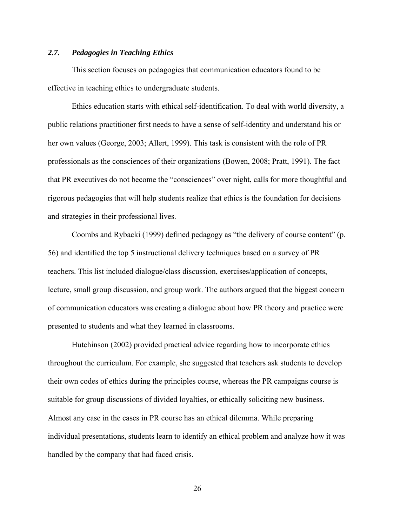# *2.7. Pedagogies in Teaching Ethics*

This section focuses on pedagogies that communication educators found to be effective in teaching ethics to undergraduate students.

Ethics education starts with ethical self-identification. To deal with world diversity, a public relations practitioner first needs to have a sense of self-identity and understand his or her own values (George, 2003; Allert, 1999). This task is consistent with the role of PR professionals as the consciences of their organizations (Bowen, 2008; Pratt, 1991). The fact that PR executives do not become the "consciences" over night, calls for more thoughtful and rigorous pedagogies that will help students realize that ethics is the foundation for decisions and strategies in their professional lives.

Coombs and Rybacki (1999) defined pedagogy as "the delivery of course content" (p. 56) and identified the top 5 instructional delivery techniques based on a survey of PR teachers. This list included dialogue/class discussion, exercises/application of concepts, lecture, small group discussion, and group work. The authors argued that the biggest concern of communication educators was creating a dialogue about how PR theory and practice were presented to students and what they learned in classrooms.

Hutchinson (2002) provided practical advice regarding how to incorporate ethics throughout the curriculum. For example, she suggested that teachers ask students to develop their own codes of ethics during the principles course, whereas the PR campaigns course is suitable for group discussions of divided loyalties, or ethically soliciting new business. Almost any case in the cases in PR course has an ethical dilemma. While preparing individual presentations, students learn to identify an ethical problem and analyze how it was handled by the company that had faced crisis.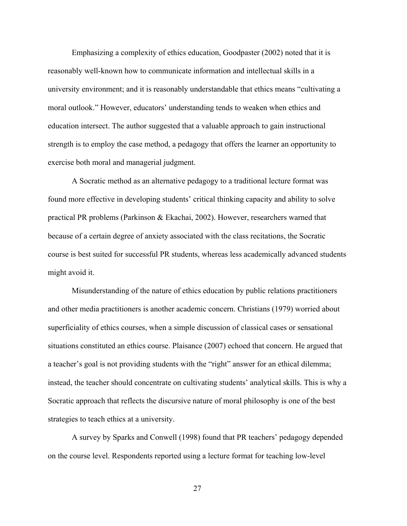Emphasizing a complexity of ethics education, Goodpaster (2002) noted that it is reasonably well-known how to communicate information and intellectual skills in a university environment; and it is reasonably understandable that ethics means "cultivating a moral outlook." However, educators' understanding tends to weaken when ethics and education intersect. The author suggested that a valuable approach to gain instructional strength is to employ the case method, a pedagogy that offers the learner an opportunity to exercise both moral and managerial judgment.

A Socratic method as an alternative pedagogy to a traditional lecture format was found more effective in developing students' critical thinking capacity and ability to solve practical PR problems (Parkinson & Ekachai, 2002). However, researchers warned that because of a certain degree of anxiety associated with the class recitations, the Socratic course is best suited for successful PR students, whereas less academically advanced students might avoid it.

Misunderstanding of the nature of ethics education by public relations practitioners and other media practitioners is another academic concern. Christians (1979) worried about superficiality of ethics courses, when a simple discussion of classical cases or sensational situations constituted an ethics course. Plaisance (2007) echoed that concern. He argued that a teacher's goal is not providing students with the "right" answer for an ethical dilemma; instead, the teacher should concentrate on cultivating students' analytical skills. This is why a Socratic approach that reflects the discursive nature of moral philosophy is one of the best strategies to teach ethics at a university.

A survey by Sparks and Conwell (1998) found that PR teachers' pedagogy depended on the course level. Respondents reported using a lecture format for teaching low-level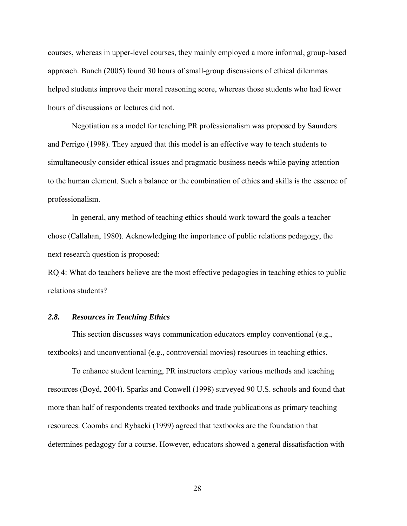courses, whereas in upper-level courses, they mainly employed a more informal, group-based approach. Bunch (2005) found 30 hours of small-group discussions of ethical dilemmas helped students improve their moral reasoning score, whereas those students who had fewer hours of discussions or lectures did not.

Negotiation as a model for teaching PR professionalism was proposed by Saunders and Perrigo (1998). They argued that this model is an effective way to teach students to simultaneously consider ethical issues and pragmatic business needs while paying attention to the human element. Such a balance or the combination of ethics and skills is the essence of professionalism.

In general, any method of teaching ethics should work toward the goals a teacher chose (Callahan, 1980). Acknowledging the importance of public relations pedagogy, the next research question is proposed:

RQ 4: What do teachers believe are the most effective pedagogies in teaching ethics to public relations students?

#### *2.8. Resources in Teaching Ethics*

This section discusses ways communication educators employ conventional (e.g., textbooks) and unconventional (e.g., controversial movies) resources in teaching ethics.

To enhance student learning, PR instructors employ various methods and teaching resources (Boyd, 2004). Sparks and Conwell (1998) surveyed 90 U.S. schools and found that more than half of respondents treated textbooks and trade publications as primary teaching resources. Coombs and Rybacki (1999) agreed that textbooks are the foundation that determines pedagogy for a course. However, educators showed a general dissatisfaction with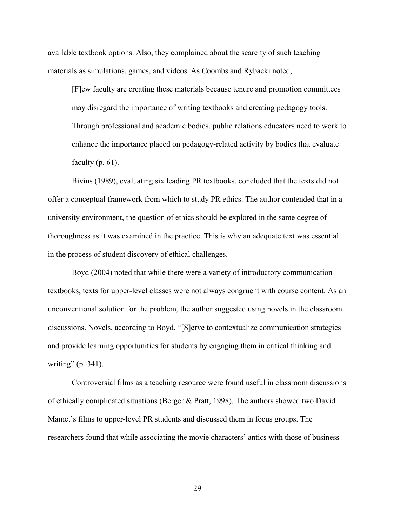available textbook options. Also, they complained about the scarcity of such teaching materials as simulations, games, and videos. As Coombs and Rybacki noted,

[F]ew faculty are creating these materials because tenure and promotion committees may disregard the importance of writing textbooks and creating pedagogy tools. Through professional and academic bodies, public relations educators need to work to enhance the importance placed on pedagogy-related activity by bodies that evaluate faculty  $(p. 61)$ .

 Bivins (1989), evaluating six leading PR textbooks, concluded that the texts did not offer a conceptual framework from which to study PR ethics. The author contended that in a university environment, the question of ethics should be explored in the same degree of thoroughness as it was examined in the practice. This is why an adequate text was essential in the process of student discovery of ethical challenges.

Boyd (2004) noted that while there were a variety of introductory communication textbooks, texts for upper-level classes were not always congruent with course content. As an unconventional solution for the problem, the author suggested using novels in the classroom discussions. Novels, according to Boyd, "[S]erve to contextualize communication strategies and provide learning opportunities for students by engaging them in critical thinking and writing" (p. 341).

Controversial films as a teaching resource were found useful in classroom discussions of ethically complicated situations (Berger & Pratt, 1998). The authors showed two David Mamet's films to upper-level PR students and discussed them in focus groups. The researchers found that while associating the movie characters' antics with those of business-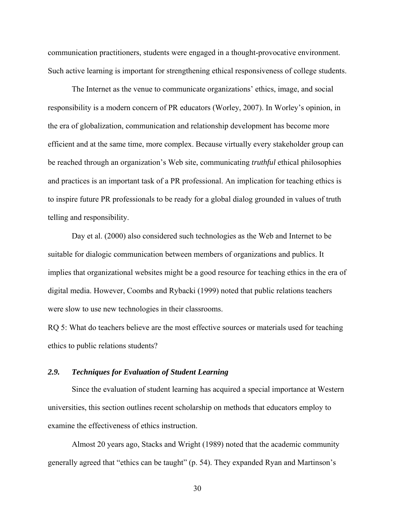communication practitioners, students were engaged in a thought-provocative environment. Such active learning is important for strengthening ethical responsiveness of college students.

The Internet as the venue to communicate organizations' ethics, image, and social responsibility is a modern concern of PR educators (Worley, 2007). In Worley's opinion, in the era of globalization, communication and relationship development has become more efficient and at the same time, more complex. Because virtually every stakeholder group can be reached through an organization's Web site, communicating *truthful* ethical philosophies and practices is an important task of a PR professional. An implication for teaching ethics is to inspire future PR professionals to be ready for a global dialog grounded in values of truth telling and responsibility.

Day et al. (2000) also considered such technologies as the Web and Internet to be suitable for dialogic communication between members of organizations and publics. It implies that organizational websites might be a good resource for teaching ethics in the era of digital media. However, Coombs and Rybacki (1999) noted that public relations teachers were slow to use new technologies in their classrooms.

RQ 5: What do teachers believe are the most effective sources or materials used for teaching ethics to public relations students?

# *2.9. Techniques for Evaluation of Student Learning*

Since the evaluation of student learning has acquired a special importance at Western universities, this section outlines recent scholarship on methods that educators employ to examine the effectiveness of ethics instruction.

Almost 20 years ago, Stacks and Wright (1989) noted that the academic community generally agreed that "ethics can be taught" (p. 54). They expanded Ryan and Martinson's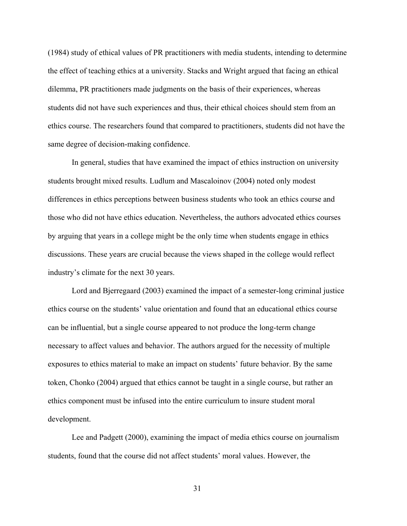(1984) study of ethical values of PR practitioners with media students, intending to determine the effect of teaching ethics at a university. Stacks and Wright argued that facing an ethical dilemma, PR practitioners made judgments on the basis of their experiences, whereas students did not have such experiences and thus, their ethical choices should stem from an ethics course. The researchers found that compared to practitioners, students did not have the same degree of decision-making confidence.

In general, studies that have examined the impact of ethics instruction on university students brought mixed results. Ludlum and Mascaloinov (2004) noted only modest differences in ethics perceptions between business students who took an ethics course and those who did not have ethics education. Nevertheless, the authors advocated ethics courses by arguing that years in a college might be the only time when students engage in ethics discussions. These years are crucial because the views shaped in the college would reflect industry's climate for the next 30 years.

Lord and Bjerregaard (2003) examined the impact of a semester-long criminal justice ethics course on the students' value orientation and found that an educational ethics course can be influential, but a single course appeared to not produce the long-term change necessary to affect values and behavior. The authors argued for the necessity of multiple exposures to ethics material to make an impact on students' future behavior. By the same token, Chonko (2004) argued that ethics cannot be taught in a single course, but rather an ethics component must be infused into the entire curriculum to insure student moral development.

Lee and Padgett (2000), examining the impact of media ethics course on journalism students, found that the course did not affect students' moral values. However, the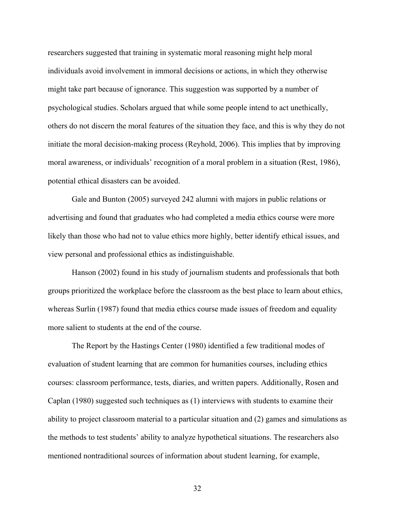researchers suggested that training in systematic moral reasoning might help moral individuals avoid involvement in immoral decisions or actions, in which they otherwise might take part because of ignorance. This suggestion was supported by a number of psychological studies. Scholars argued that while some people intend to act unethically, others do not discern the moral features of the situation they face, and this is why they do not initiate the moral decision-making process (Reyhold, 2006). This implies that by improving moral awareness, or individuals' recognition of a moral problem in a situation (Rest, 1986), potential ethical disasters can be avoided.

Gale and Bunton (2005) surveyed 242 alumni with majors in public relations or advertising and found that graduates who had completed a media ethics course were more likely than those who had not to value ethics more highly, better identify ethical issues, and view personal and professional ethics as indistinguishable.

Hanson (2002) found in his study of journalism students and professionals that both groups prioritized the workplace before the classroom as the best place to learn about ethics, whereas Surlin (1987) found that media ethics course made issues of freedom and equality more salient to students at the end of the course.

The Report by the Hastings Center (1980) identified a few traditional modes of evaluation of student learning that are common for humanities courses, including ethics courses: classroom performance, tests, diaries, and written papers. Additionally, Rosen and Caplan (1980) suggested such techniques as (1) interviews with students to examine their ability to project classroom material to a particular situation and (2) games and simulations as the methods to test students' ability to analyze hypothetical situations. The researchers also mentioned nontraditional sources of information about student learning, for example,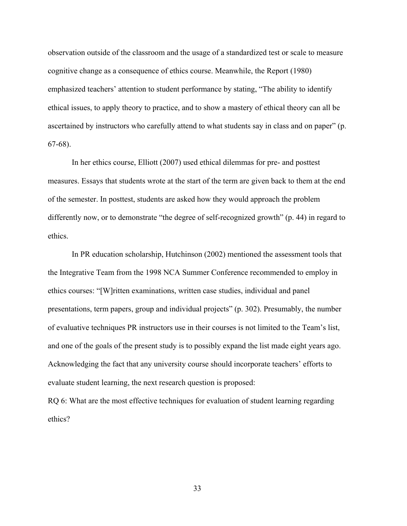observation outside of the classroom and the usage of a standardized test or scale to measure cognitive change as a consequence of ethics course. Meanwhile, the Report (1980) emphasized teachers' attention to student performance by stating, "The ability to identify ethical issues, to apply theory to practice, and to show a mastery of ethical theory can all be ascertained by instructors who carefully attend to what students say in class and on paper" (p. 67-68).

In her ethics course, Elliott (2007) used ethical dilemmas for pre- and posttest measures. Essays that students wrote at the start of the term are given back to them at the end of the semester. In posttest, students are asked how they would approach the problem differently now, or to demonstrate "the degree of self-recognized growth" (p. 44) in regard to ethics.

In PR education scholarship, Hutchinson (2002) mentioned the assessment tools that the Integrative Team from the 1998 NCA Summer Conference recommended to employ in ethics courses: "[W]ritten examinations, written case studies, individual and panel presentations, term papers, group and individual projects" (p. 302). Presumably, the number of evaluative techniques PR instructors use in their courses is not limited to the Team's list, and one of the goals of the present study is to possibly expand the list made eight years ago. Acknowledging the fact that any university course should incorporate teachers' efforts to evaluate student learning, the next research question is proposed:

RQ 6: What are the most effective techniques for evaluation of student learning regarding ethics?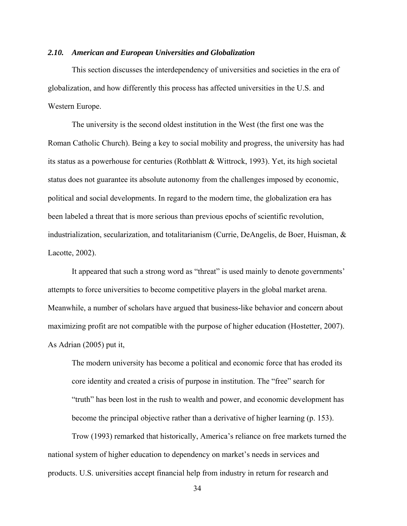## *2.10. American and European Universities and Globalization*

This section discusses the interdependency of universities and societies in the era of globalization, and how differently this process has affected universities in the U.S. and Western Europe.

The university is the second oldest institution in the West (the first one was the Roman Catholic Church). Being a key to social mobility and progress, the university has had its status as a powerhouse for centuries (Rothblatt & Wittrock, 1993). Yet, its high societal status does not guarantee its absolute autonomy from the challenges imposed by economic, political and social developments. In regard to the modern time, the globalization era has been labeled a threat that is more serious than previous epochs of scientific revolution, industrialization, secularization, and totalitarianism (Currie, DeAngelis, de Boer, Huisman, & Lacotte, 2002).

It appeared that such a strong word as "threat" is used mainly to denote governments' attempts to force universities to become competitive players in the global market arena. Meanwhile, a number of scholars have argued that business-like behavior and concern about maximizing profit are not compatible with the purpose of higher education (Hostetter, 2007). As Adrian (2005) put it,

The modern university has become a political and economic force that has eroded its core identity and created a crisis of purpose in institution. The "free" search for "truth" has been lost in the rush to wealth and power, and economic development has become the principal objective rather than a derivative of higher learning (p. 153).

Trow (1993) remarked that historically, America's reliance on free markets turned the national system of higher education to dependency on market's needs in services and products. U.S. universities accept financial help from industry in return for research and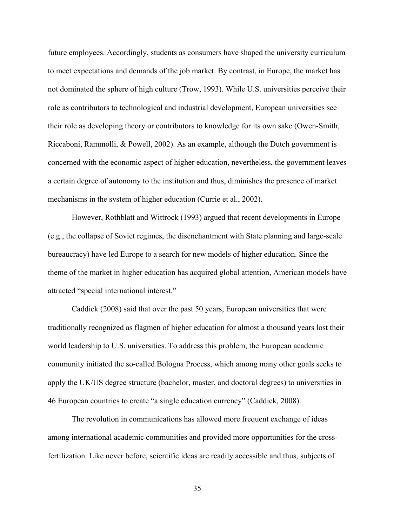future employees. Accordingly, students as consumers have shaped the university curriculum to meet expectations and demands of the job market. By contrast, in Europe, the market has not dominated the sphere of high culture (Trow, 1993). While U.S. universities perceive their role as contributors to technological and industrial development, European universities see their role as developing theory or contributors to knowledge for its own sake (Owen-Smith, Riccaboni, Rammolli, & Powell, 2002). As an example, although the Dutch government is concerned with the economic aspect of higher education, nevertheless, the government leaves a certain degree of autonomy to the institution and thus, diminishes the presence of market mechanisms in the system of higher education (Currie et al., 2002).

However, Rothblatt and Wittrock (1993) argued that recent developments in Europe (e.g., the collapse of Soviet regimes, the disenchantment with State planning and large-scale bureaucracy) have led Europe to a search for new models of higher education. Since the theme of the market in higher education has acquired global attention, American models have attracted "special international interest."

Caddick (2008) said that over the past 50 years, European universities that were traditionally recognized as flagmen of higher education for almost a thousand years lost their world leadership to U.S. universities. To address this problem, the European academic community initiated the so-called Bologna Process, which among many other goals seeks to apply the UK/US degree structure (bachelor, master, and doctoral degrees) to universities in 46 European countries to create "a single education currency" (Caddick, 2008).

The revolution in communications has allowed more frequent exchange of ideas among international academic communities and provided more opportunities for the crossfertilization. Like never before, scientific ideas are readily accessible and thus, subjects of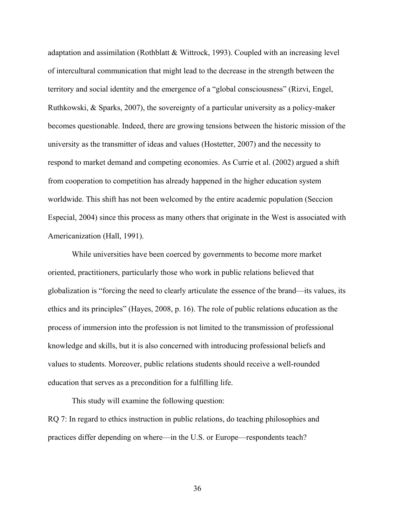adaptation and assimilation (Rothblatt & Wittrock, 1993). Coupled with an increasing level of intercultural communication that might lead to the decrease in the strength between the territory and social identity and the emergence of a "global consciousness" (Rizvi, Engel, Ruthkowski, & Sparks, 2007), the sovereignty of a particular university as a policy-maker becomes questionable. Indeed, there are growing tensions between the historic mission of the university as the transmitter of ideas and values (Hostetter, 2007) and the necessity to respond to market demand and competing economies. As Currie et al. (2002) argued a shift from cooperation to competition has already happened in the higher education system worldwide. This shift has not been welcomed by the entire academic population (Seccion Especial, 2004) since this process as many others that originate in the West is associated with Americanization (Hall, 1991).

While universities have been coerced by governments to become more market oriented, practitioners, particularly those who work in public relations believed that globalization is "forcing the need to clearly articulate the essence of the brand—its values, its ethics and its principles" (Hayes, 2008, p. 16). The role of public relations education as the process of immersion into the profession is not limited to the transmission of professional knowledge and skills, but it is also concerned with introducing professional beliefs and values to students. Moreover, public relations students should receive a well-rounded education that serves as a precondition for a fulfilling life.

This study will examine the following question:

RQ 7: In regard to ethics instruction in public relations, do teaching philosophies and practices differ depending on where—in the U.S. or Europe—respondents teach?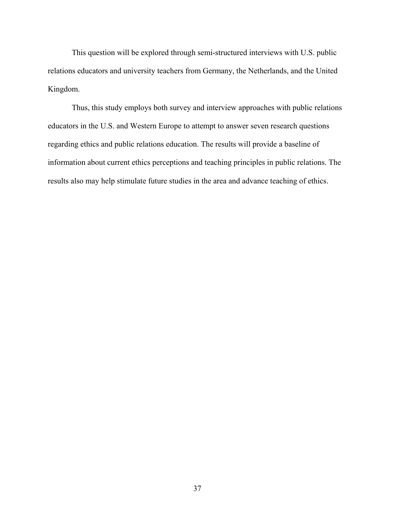This question will be explored through semi-structured interviews with U.S. public relations educators and university teachers from Germany, the Netherlands, and the United Kingdom.

Thus, this study employs both survey and interview approaches with public relations educators in the U.S. and Western Europe to attempt to answer seven research questions regarding ethics and public relations education. The results will provide a baseline of information about current ethics perceptions and teaching principles in public relations. The results also may help stimulate future studies in the area and advance teaching of ethics.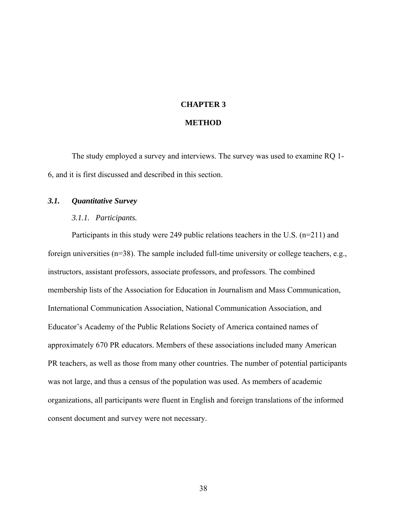#### **CHAPTER 3**

#### **METHOD**

The study employed a survey and interviews. The survey was used to examine RQ 1- 6, and it is first discussed and described in this section.

# *3.1. Quantitative Survey*

#### *3.1.1. Participants.*

Participants in this study were 249 public relations teachers in the U.S. (n=211) and foreign universities (n=38). The sample included full-time university or college teachers, e.g., instructors, assistant professors, associate professors, and professors. The combined membership lists of the Association for Education in Journalism and Mass Communication, International Communication Association, National Communication Association, and Educator's Academy of the Public Relations Society of America contained names of approximately 670 PR educators. Members of these associations included many American PR teachers, as well as those from many other countries. The number of potential participants was not large, and thus a census of the population was used. As members of academic organizations, all participants were fluent in English and foreign translations of the informed consent document and survey were not necessary.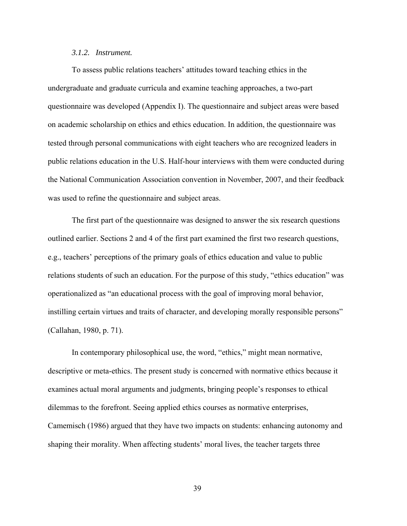# *3.1.2. Instrument.*

To assess public relations teachers' attitudes toward teaching ethics in the undergraduate and graduate curricula and examine teaching approaches, a two-part questionnaire was developed (Appendix I). The questionnaire and subject areas were based on academic scholarship on ethics and ethics education. In addition, the questionnaire was tested through personal communications with eight teachers who are recognized leaders in public relations education in the U.S. Half-hour interviews with them were conducted during the National Communication Association convention in November, 2007, and their feedback was used to refine the questionnaire and subject areas.

The first part of the questionnaire was designed to answer the six research questions outlined earlier. Sections 2 and 4 of the first part examined the first two research questions, e.g., teachers' perceptions of the primary goals of ethics education and value to public relations students of such an education. For the purpose of this study, "ethics education" was operationalized as "an educational process with the goal of improving moral behavior, instilling certain virtues and traits of character, and developing morally responsible persons" (Callahan, 1980, p. 71).

In contemporary philosophical use, the word, "ethics," might mean normative, descriptive or meta-ethics. The present study is concerned with normative ethics because it examines actual moral arguments and judgments, bringing people's responses to ethical dilemmas to the forefront. Seeing applied ethics courses as normative enterprises, Camemisch (1986) argued that they have two impacts on students: enhancing autonomy and shaping their morality. When affecting students' moral lives, the teacher targets three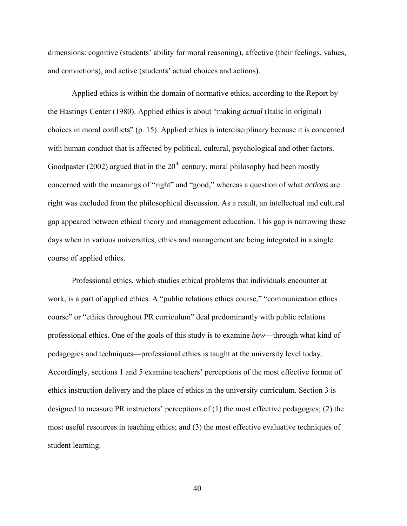dimensions: cognitive (students' ability for moral reasoning), affective (their feelings, values, and convictions), and active (students' actual choices and actions).

Applied ethics is within the domain of normative ethics, according to the Report by the Hastings Center (1980). Applied ethics is about "making *actual* (Italic in original) choices in moral conflicts" (p. 15). Applied ethics is interdisciplinary because it is concerned with human conduct that is affected by political, cultural, psychological and other factors. Goodpaster (2002) argued that in the  $20<sup>th</sup>$  century, moral philosophy had been mostly concerned with the meanings of "right" and "good," whereas a question of what *actions* are right was excluded from the philosophical discussion. As a result, an intellectual and cultural gap appeared between ethical theory and management education. This gap is narrowing these days when in various universities, ethics and management are being integrated in a single course of applied ethics.

Professional ethics, which studies ethical problems that individuals encounter at work, is a part of applied ethics. A "public relations ethics course," "communication ethics course" or "ethics throughout PR curriculum" deal predominantly with public relations professional ethics. One of the goals of this study is to examine *how*—through what kind of pedagogies and techniques—professional ethics is taught at the university level today. Accordingly, sections 1 and 5 examine teachers' perceptions of the most effective format of ethics instruction delivery and the place of ethics in the university curriculum. Section 3 is designed to measure PR instructors' perceptions of (1) the most effective pedagogies; (2) the most useful resources in teaching ethics; and (3) the most effective evaluative techniques of student learning.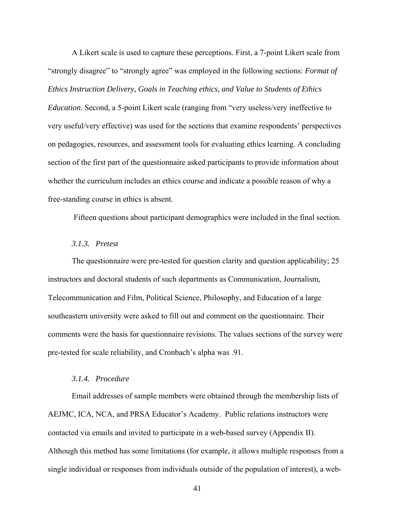A Likert scale is used to capture these perceptions. First, a 7-point Likert scale from "strongly disagree" to "strongly agree" was employed in the following sections: *Format of Ethics Instruction Delivery, Goals in Teaching ethics, and Value to Students of Ethics* 

*Education*. Second, a 5-point Likert scale (ranging from "very useless/very ineffective to very useful/very effective) was used for the sections that examine respondents' perspectives on pedagogies, resources, and assessment tools for evaluating ethics learning. A concluding section of the first part of the questionnaire asked participants to provide information about whether the curriculum includes an ethics course and indicate a possible reason of why a free-standing course in ethics is absent.

Fifteen questions about participant demographics were included in the final section.

# *3.1.3. Pretest*

The questionnaire were pre-tested for question clarity and question applicability; 25 instructors and doctoral students of such departments as Communication, Journalism, Telecommunication and Film, Political Science, Philosophy, and Education of a large southeastern university were asked to fill out and comment on the questionnaire. Their comments were the basis for questionnaire revisions. The values sections of the survey were pre-tested for scale reliability, and Cronbach's alpha was .91.

## *3.1.4. Procedure*

Email addresses of sample members were obtained through the membership lists of AEJMC, ICA, NCA, and PRSA Educator's Academy. Public relations instructors were contacted via emails and invited to participate in a web-based survey (Appendix II). Although this method has some limitations (for example, it allows multiple responses from a single individual or responses from individuals outside of the population of interest), a web-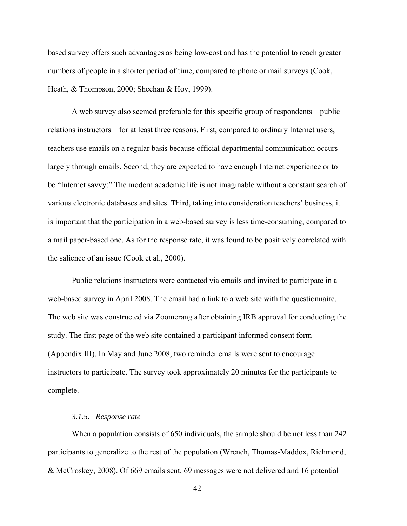based survey offers such advantages as being low-cost and has the potential to reach greater numbers of people in a shorter period of time, compared to phone or mail surveys (Cook, Heath, & Thompson, 2000; Sheehan & Hoy, 1999).

A web survey also seemed preferable for this specific group of respondents—public relations instructors—for at least three reasons. First, compared to ordinary Internet users, teachers use emails on a regular basis because official departmental communication occurs largely through emails. Second, they are expected to have enough Internet experience or to be "Internet savvy:" The modern academic life is not imaginable without a constant search of various electronic databases and sites. Third, taking into consideration teachers' business, it is important that the participation in a web-based survey is less time-consuming, compared to a mail paper-based one. As for the response rate, it was found to be positively correlated with the salience of an issue (Cook et al., 2000).

Public relations instructors were contacted via emails and invited to participate in a web-based survey in April 2008. The email had a link to a web site with the questionnaire. The web site was constructed via Zoomerang after obtaining IRB approval for conducting the study. The first page of the web site contained a participant informed consent form (Appendix III). In May and June 2008, two reminder emails were sent to encourage instructors to participate. The survey took approximately 20 minutes for the participants to complete.

# *3.1.5. Response rate*

When a population consists of 650 individuals, the sample should be not less than 242 participants to generalize to the rest of the population (Wrench, Thomas-Maddox, Richmond, & McCroskey, 2008). Of 669 emails sent, 69 messages were not delivered and 16 potential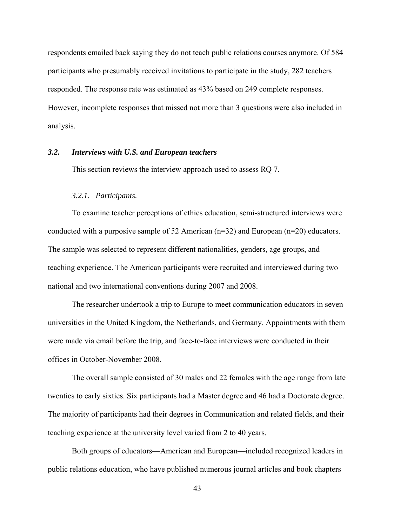respondents emailed back saying they do not teach public relations courses anymore. Of 584 participants who presumably received invitations to participate in the study, 282 teachers responded. The response rate was estimated as 43% based on 249 complete responses. However, incomplete responses that missed not more than 3 questions were also included in analysis.

#### *3.2. Interviews with U.S. and European teachers*

This section reviews the interview approach used to assess RQ 7.

#### *3.2.1. Participants.*

To examine teacher perceptions of ethics education, semi-structured interviews were conducted with a purposive sample of 52 American (n=32) and European (n=20) educators. The sample was selected to represent different nationalities, genders, age groups, and teaching experience. The American participants were recruited and interviewed during two national and two international conventions during 2007 and 2008.

The researcher undertook a trip to Europe to meet communication educators in seven universities in the United Kingdom, the Netherlands, and Germany. Appointments with them were made via email before the trip, and face-to-face interviews were conducted in their offices in October-November 2008.

The overall sample consisted of 30 males and 22 females with the age range from late twenties to early sixties. Six participants had a Master degree and 46 had a Doctorate degree. The majority of participants had their degrees in Communication and related fields, and their teaching experience at the university level varied from 2 to 40 years.

Both groups of educators—American and European—included recognized leaders in public relations education, who have published numerous journal articles and book chapters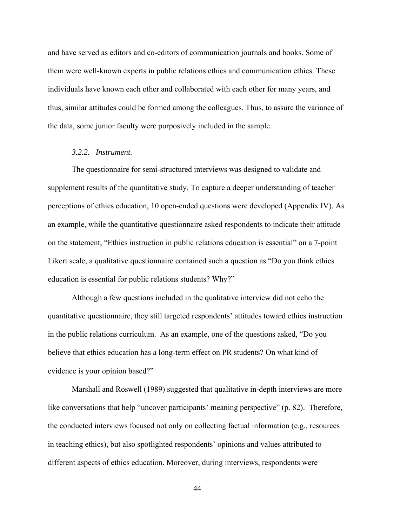and have served as editors and co-editors of communication journals and books. Some of them were well-known experts in public relations ethics and communication ethics. These individuals have known each other and collaborated with each other for many years, and thus, similar attitudes could be formed among the colleagues. Thus, to assure the variance of the data, some junior faculty were purposively included in the sample.

#### *3.2.2. Instrument.*

The questionnaire for semi-structured interviews was designed to validate and supplement results of the quantitative study. To capture a deeper understanding of teacher perceptions of ethics education, 10 open-ended questions were developed (Appendix IV). As an example, while the quantitative questionnaire asked respondents to indicate their attitude on the statement, "Ethics instruction in public relations education is essential" on a 7-point Likert scale, a qualitative questionnaire contained such a question as "Do you think ethics education is essential for public relations students? Why?"

Although a few questions included in the qualitative interview did not echo the quantitative questionnaire, they still targeted respondents' attitudes toward ethics instruction in the public relations curriculum. As an example, one of the questions asked, "Do you believe that ethics education has a long-term effect on PR students? On what kind of evidence is your opinion based?"

 Marshall and Roswell (1989) suggested that qualitative in-depth interviews are more like conversations that help "uncover participants' meaning perspective" (p. 82). Therefore, the conducted interviews focused not only on collecting factual information (e.g., resources in teaching ethics), but also spotlighted respondents' opinions and values attributed to different aspects of ethics education. Moreover, during interviews, respondents were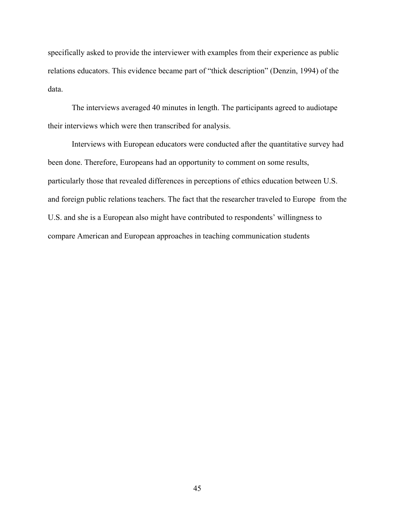specifically asked to provide the interviewer with examples from their experience as public relations educators. This evidence became part of "thick description" (Denzin, 1994) of the data.

The interviews averaged 40 minutes in length. The participants agreed to audiotape their interviews which were then transcribed for analysis.

Interviews with European educators were conducted after the quantitative survey had been done. Therefore, Europeans had an opportunity to comment on some results, particularly those that revealed differences in perceptions of ethics education between U.S. and foreign public relations teachers. The fact that the researcher traveled to Europe from the U.S. and she is a European also might have contributed to respondents' willingness to compare American and European approaches in teaching communication students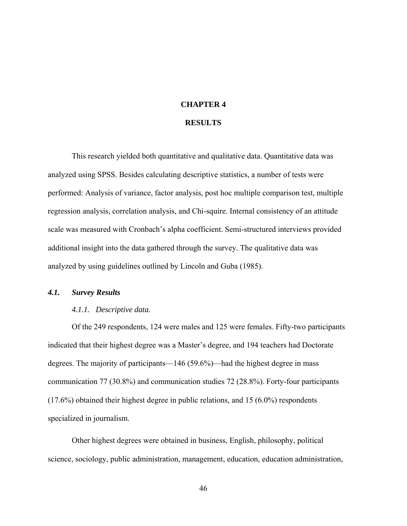#### **CHAPTER 4**

# **RESULTS**

This research yielded both quantitative and qualitative data. Quantitative data was analyzed using SPSS. Besides calculating descriptive statistics, a number of tests were performed: Analysis of variance, factor analysis, post hoc multiple comparison test, multiple regression analysis, correlation analysis, and Chi-squire. Internal consistency of an attitude scale was measured with Cronbach's alpha coefficient. Semi-structured interviews provided additional insight into the data gathered through the survey. The qualitative data was analyzed by using guidelines outlined by Lincoln and Guba (1985).

# *4.1. Survey Results*

#### *4.1.1. Descriptive data.*

Of the 249 respondents, 124 were males and 125 were females. Fifty-two participants indicated that their highest degree was a Master's degree, and 194 teachers had Doctorate degrees. The majority of participants—146 (59.6%)—had the highest degree in mass communication 77 (30.8%) and communication studies 72 (28.8%). Forty-four participants (17.6%) obtained their highest degree in public relations, and 15 (6.0%) respondents specialized in journalism.

Other highest degrees were obtained in business, English, philosophy, political science, sociology, public administration, management, education, education administration,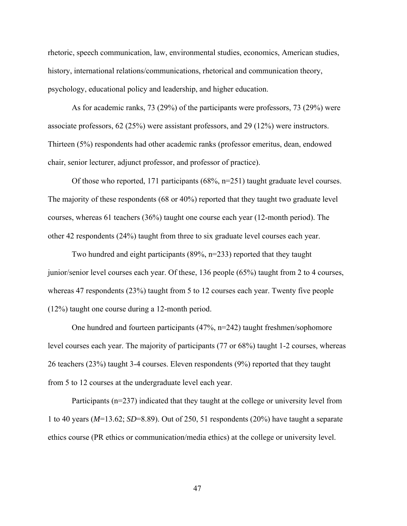rhetoric, speech communication, law, environmental studies, economics, American studies, history, international relations/communications, rhetorical and communication theory, psychology, educational policy and leadership, and higher education.

 As for academic ranks, 73 (29%) of the participants were professors, 73 (29%) were associate professors, 62 (25%) were assistant professors, and 29 (12%) were instructors. Thirteen (5%) respondents had other academic ranks (professor emeritus, dean, endowed chair, senior lecturer, adjunct professor, and professor of practice).

 Of those who reported, 171 participants (68%, n=251) taught graduate level courses. The majority of these respondents (68 or 40%) reported that they taught two graduate level courses, whereas 61 teachers (36%) taught one course each year (12-month period). The other 42 respondents (24%) taught from three to six graduate level courses each year.

 Two hundred and eight participants (89%, n=233) reported that they taught junior/senior level courses each year. Of these, 136 people (65%) taught from 2 to 4 courses, whereas 47 respondents (23%) taught from 5 to 12 courses each year. Twenty five people (12%) taught one course during a 12-month period.

 One hundred and fourteen participants (47%, n=242) taught freshmen/sophomore level courses each year. The majority of participants (77 or 68%) taught 1-2 courses, whereas 26 teachers (23%) taught 3-4 courses. Eleven respondents (9%) reported that they taught from 5 to 12 courses at the undergraduate level each year.

Participants (n=237) indicated that they taught at the college or university level from 1 to 40 years (*M*=13.62; *SD*=8.89). Out of 250, 51 respondents (20%) have taught a separate ethics course (PR ethics or communication/media ethics) at the college or university level.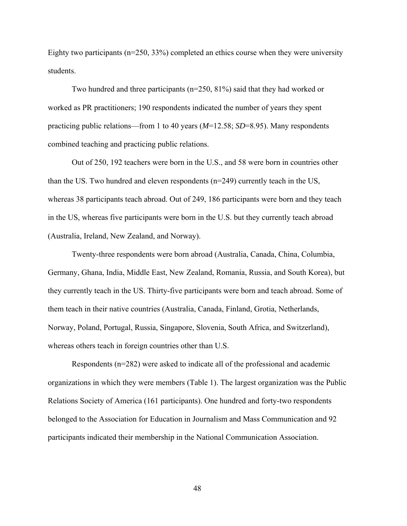Eighty two participants (n=250, 33%) completed an ethics course when they were university students.

Two hundred and three participants ( $n=250$ ,  $81\%$ ) said that they had worked or worked as PR practitioners; 190 respondents indicated the number of years they spent practicing public relations—from 1 to 40 years (*M*=12.58; *SD*=8.95). Many respondents combined teaching and practicing public relations.

Out of 250, 192 teachers were born in the U.S., and 58 were born in countries other than the US. Two hundred and eleven respondents (n=249) currently teach in the US, whereas 38 participants teach abroad. Out of 249, 186 participants were born and they teach in the US, whereas five participants were born in the U.S. but they currently teach abroad (Australia, Ireland, New Zealand, and Norway).

Twenty-three respondents were born abroad (Australia, Canada, China, Columbia, Germany, Ghana, India, Middle East, New Zealand, Romania, Russia, and South Korea), but they currently teach in the US. Thirty-five participants were born and teach abroad. Some of them teach in their native countries (Australia, Canada, Finland, Grotia, Netherlands, Norway, Poland, Portugal, Russia, Singapore, Slovenia, South Africa, and Switzerland), whereas others teach in foreign countries other than U.S.

Respondents (n=282) were asked to indicate all of the professional and academic organizations in which they were members (Table 1). The largest organization was the Public Relations Society of America (161 participants). One hundred and forty-two respondents belonged to the Association for Education in Journalism and Mass Communication and 92 participants indicated their membership in the National Communication Association.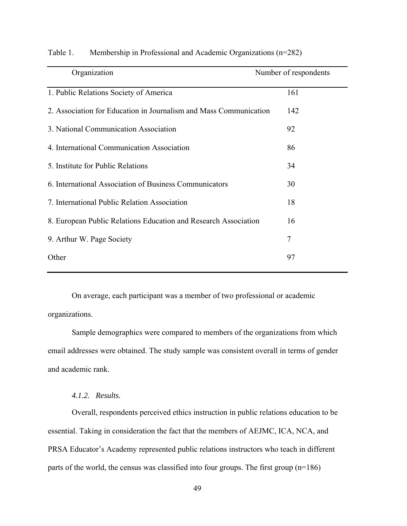| Organization                                                      | Number of respondents |  |  |
|-------------------------------------------------------------------|-----------------------|--|--|
| 1. Public Relations Society of America                            | 161                   |  |  |
| 2. Association for Education in Journalism and Mass Communication | 142                   |  |  |
| 3. National Communication Association                             | 92                    |  |  |
| 4. International Communication Association                        | 86                    |  |  |
| 5. Institute for Public Relations                                 | 34                    |  |  |
| 6. International Association of Business Communicators            | 30                    |  |  |
| 7. International Public Relation Association                      | 18                    |  |  |
| 8. European Public Relations Education and Research Association   | 16                    |  |  |
| 9. Arthur W. Page Society                                         | 7                     |  |  |
| Other                                                             | 97                    |  |  |

Table 1. Membership in Professional and Academic Organizations (n=282)

On average, each participant was a member of two professional or academic organizations.

Sample demographics were compared to members of the organizations from which email addresses were obtained. The study sample was consistent overall in terms of gender and academic rank.

*4.1.2. Results.* 

Overall, respondents perceived ethics instruction in public relations education to be essential. Taking in consideration the fact that the members of AEJMC, ICA, NCA, and PRSA Educator's Academy represented public relations instructors who teach in different parts of the world, the census was classified into four groups. The first group (n=186)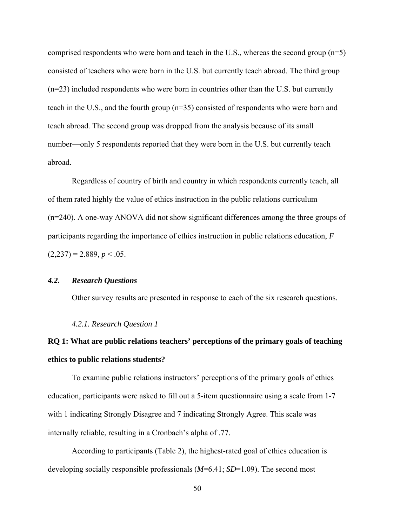comprised respondents who were born and teach in the U.S., whereas the second group (n=5) consisted of teachers who were born in the U.S. but currently teach abroad. The third group (n=23) included respondents who were born in countries other than the U.S. but currently teach in the U.S., and the fourth group (n=35) consisted of respondents who were born and teach abroad. The second group was dropped from the analysis because of its small number—only 5 respondents reported that they were born in the U.S. but currently teach abroad.

Regardless of country of birth and country in which respondents currently teach, all of them rated highly the value of ethics instruction in the public relations curriculum (n=240). A one-way ANOVA did not show significant differences among the three groups of participants regarding the importance of ethics instruction in public relations education, *F*  $(2,237) = 2.889, p < .05.$ 

# *4.2. Research Questions*

Other survey results are presented in response to each of the six research questions.

#### *4.2.1. Research Question 1*

# **RQ 1: What are public relations teachers' perceptions of the primary goals of teaching ethics to public relations students?**

To examine public relations instructors' perceptions of the primary goals of ethics education, participants were asked to fill out a 5-item questionnaire using a scale from 1-7 with 1 indicating Strongly Disagree and 7 indicating Strongly Agree. This scale was internally reliable, resulting in a Cronbach's alpha of .77.

According to participants (Table 2), the highest-rated goal of ethics education is developing socially responsible professionals (*M*=6.41; *SD*=1.09). The second most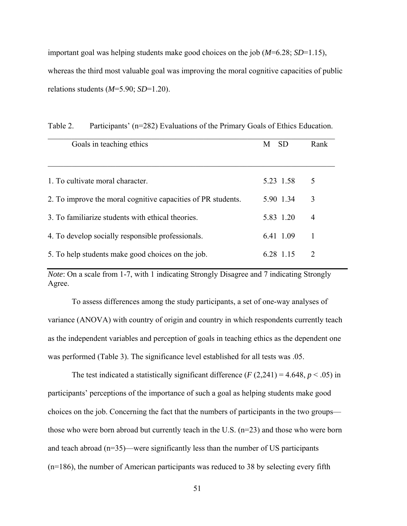important goal was helping students make good choices on the job (*M*=6.28; *SD*=1.15), whereas the third most valuable goal was improving the moral cognitive capacities of public relations students (*M*=5.90; *SD*=1.20).

| Goals in teaching ethics                                     | <b>SD</b><br>M | Rank                        |
|--------------------------------------------------------------|----------------|-----------------------------|
|                                                              |                |                             |
| 1. To cultivate moral character.                             | 5.23 1.58      | 5                           |
| 2. To improve the moral cognitive capacities of PR students. | 5.90 1.34      | 3                           |
| 3. To familiarize students with ethical theories.            | 5 83 1 20      | 4                           |
| 4. To develop socially responsible professionals.            | 6.41 1.09      |                             |
| 5. To help students make good choices on the job.            | 6 28 1 15      | $\mathcal{D}_{\mathcal{L}}$ |

Table 2. Participants' (n=282) Evaluations of the Primary Goals of Ethics Education.

*Note*: On a scale from 1-7, with 1 indicating Strongly Disagree and 7 indicating Strongly Agree.

To assess differences among the study participants, a set of one-way analyses of variance (ANOVA) with country of origin and country in which respondents currently teach as the independent variables and perception of goals in teaching ethics as the dependent one was performed (Table 3). The significance level established for all tests was .05.

The test indicated a statistically significant difference  $(F(2,241) = 4.648, p < .05)$  in participants' perceptions of the importance of such a goal as helping students make good choices on the job. Concerning the fact that the numbers of participants in the two groups those who were born abroad but currently teach in the U.S.  $(n=23)$  and those who were born and teach abroad (n=35)—were significantly less than the number of US participants (n=186), the number of American participants was reduced to 38 by selecting every fifth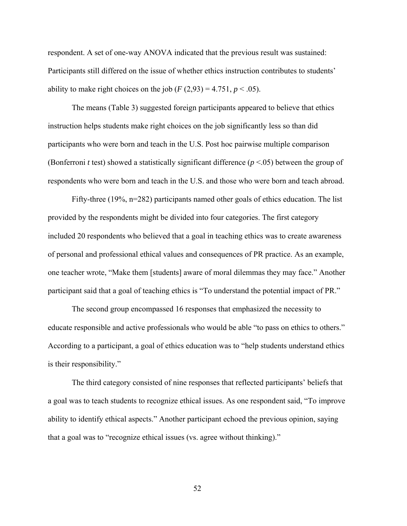respondent. A set of one-way ANOVA indicated that the previous result was sustained: Participants still differed on the issue of whether ethics instruction contributes to students' ability to make right choices on the job  $(F(2, 93) = 4.751, p < .05)$ .

The means (Table 3) suggested foreign participants appeared to believe that ethics instruction helps students make right choices on the job significantly less so than did participants who were born and teach in the U.S. Post hoc pairwise multiple comparison (Bonferroni *t* test) showed a statistically significant difference (*p* <.05) between the group of respondents who were born and teach in the U.S. and those who were born and teach abroad.

Fifty-three (19%, n=282) participants named other goals of ethics education. The list provided by the respondents might be divided into four categories. The first category included 20 respondents who believed that a goal in teaching ethics was to create awareness of personal and professional ethical values and consequences of PR practice. As an example, one teacher wrote, "Make them [students] aware of moral dilemmas they may face." Another participant said that a goal of teaching ethics is "To understand the potential impact of PR."

The second group encompassed 16 responses that emphasized the necessity to educate responsible and active professionals who would be able "to pass on ethics to others." According to a participant, a goal of ethics education was to "help students understand ethics is their responsibility."

The third category consisted of nine responses that reflected participants' beliefs that a goal was to teach students to recognize ethical issues. As one respondent said, "To improve ability to identify ethical aspects." Another participant echoed the previous opinion, saying that a goal was to "recognize ethical issues (vs. agree without thinking)."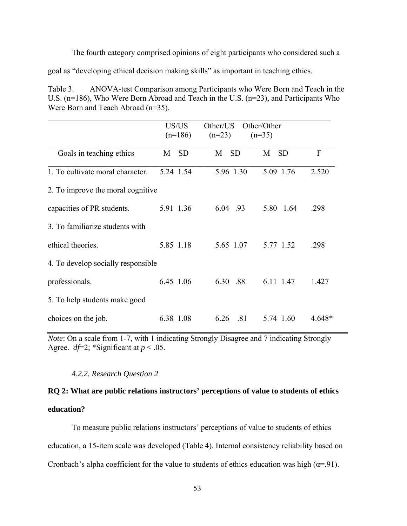The fourth category comprised opinions of eight participants who considered such a

goal as "developing ethical decision making skills" as important in teaching ethics.

Table 3. ANOVA-test Comparison among Participants who Were Born and Teach in the U.S. (n=186), Who Were Born Abroad and Teach in the U.S. (n=23), and Participants Who Were Born and Teach Abroad (n=35).

|                                    | US/US<br>$(n=186)$ | Other/US<br>$(n=23)$ | Other/Other<br>$(n=35)$ |        |
|------------------------------------|--------------------|----------------------|-------------------------|--------|
| Goals in teaching ethics           | <b>SD</b><br>M     | <b>SD</b><br>M       | <b>SD</b><br>M          | F      |
| 1. To cultivate moral character.   | 5.24 1.54          | 5.96 1.30            | 5.09 1.76               | 2.520  |
| 2. To improve the moral cognitive  |                    |                      |                         |        |
| capacities of PR students.         | 5.91 1.36          | 6.04 .93             | 5.80 1.64               | .298   |
| 3. To familiarize students with    |                    |                      |                         |        |
| ethical theories.                  | 5.85 1.18          | 5.65 1.07            | 5.77 1.52               | .298   |
| 4. To develop socially responsible |                    |                      |                         |        |
| professionals.                     | 6.45 1.06          | 6.30 .88             | 6.11 1.47               | 1.427  |
| 5. To help students make good      |                    |                      |                         |        |
| choices on the job.                | 6.38 1.08          | 6.26<br>.81          | 5.74 1.60               | 4.648* |

*Note*: On a scale from 1-7, with 1 indicating Strongly Disagree and 7 indicating Strongly Agree.  $df=2$ ; \*Significant at  $p < .05$ .

# *4.2.2. Research Question 2*

# **RQ 2: What are public relations instructors' perceptions of value to students of ethics education?**

To measure public relations instructors' perceptions of value to students of ethics education, a 15-item scale was developed (Table 4). Internal consistency reliability based on Cronbach's alpha coefficient for the value to students of ethics education was high ( $\alpha$ =.91).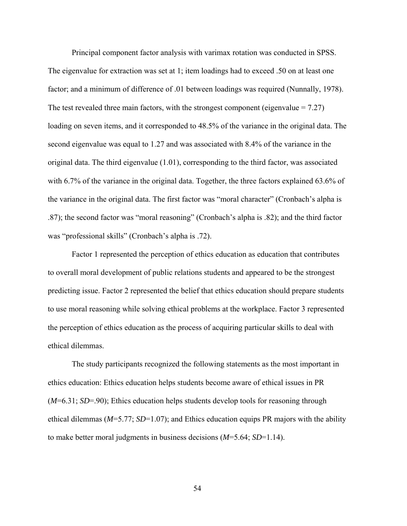Principal component factor analysis with varimax rotation was conducted in SPSS. The eigenvalue for extraction was set at 1; item loadings had to exceed .50 on at least one factor; and a minimum of difference of .01 between loadings was required (Nunnally, 1978). The test revealed three main factors, with the strongest component (eigenvalue  $= 7.27$ ) loading on seven items, and it corresponded to 48.5% of the variance in the original data. The second eigenvalue was equal to 1.27 and was associated with 8.4% of the variance in the original data. The third eigenvalue (1.01), corresponding to the third factor, was associated with 6.7% of the variance in the original data. Together, the three factors explained 63.6% of the variance in the original data. The first factor was "moral character" (Cronbach's alpha is .87); the second factor was "moral reasoning" (Cronbach's alpha is .82); and the third factor was "professional skills" (Cronbach's alpha is .72).

Factor 1 represented the perception of ethics education as education that contributes to overall moral development of public relations students and appeared to be the strongest predicting issue. Factor 2 represented the belief that ethics education should prepare students to use moral reasoning while solving ethical problems at the workplace. Factor 3 represented the perception of ethics education as the process of acquiring particular skills to deal with ethical dilemmas.

The study participants recognized the following statements as the most important in ethics education: Ethics education helps students become aware of ethical issues in PR (*M*=6.31; *SD*=.90); Ethics education helps students develop tools for reasoning through ethical dilemmas (*M*=5.77; *SD*=1.07); and Ethics education equips PR majors with the ability to make better moral judgments in business decisions (*M*=5.64; *SD*=1.14).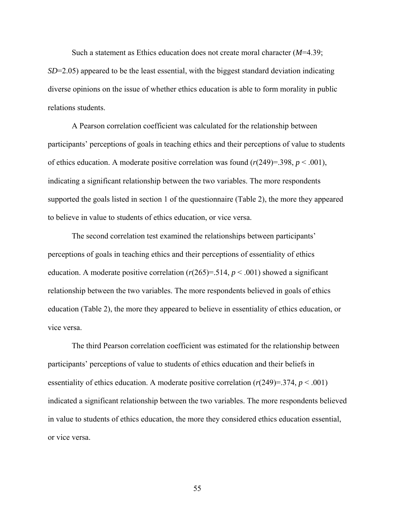Such a statement as Ethics education does not create moral character (*M*=4.39; *SD*=2.05) appeared to be the least essential, with the biggest standard deviation indicating diverse opinions on the issue of whether ethics education is able to form morality in public relations students.

A Pearson correlation coefficient was calculated for the relationship between participants' perceptions of goals in teaching ethics and their perceptions of value to students of ethics education. A moderate positive correlation was found  $(r(249)=398, p < .001)$ , indicating a significant relationship between the two variables. The more respondents supported the goals listed in section 1 of the questionnaire (Table 2), the more they appeared to believe in value to students of ethics education, or vice versa.

The second correlation test examined the relationships between participants' perceptions of goals in teaching ethics and their perceptions of essentiality of ethics education. A moderate positive correlation  $(r(265)=0.514, p<0.001)$  showed a significant relationship between the two variables. The more respondents believed in goals of ethics education (Table 2), the more they appeared to believe in essentiality of ethics education, or vice versa.

The third Pearson correlation coefficient was estimated for the relationship between participants' perceptions of value to students of ethics education and their beliefs in essentiality of ethics education. A moderate positive correlation  $(r(249)=374, p < .001)$ indicated a significant relationship between the two variables. The more respondents believed in value to students of ethics education, the more they considered ethics education essential, or vice versa.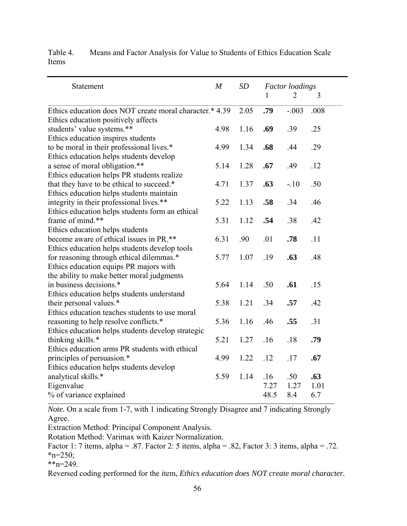| Statement                                               | $\boldsymbol{M}$ | SD   | <b>Factor</b> loadings |         |      |
|---------------------------------------------------------|------------------|------|------------------------|---------|------|
|                                                         |                  |      | 1                      | 2       | 3    |
| Ethics education does NOT create moral character.* 4.39 |                  | 2.05 | .79                    | $-.003$ | .008 |
| Ethics education positively affects                     |                  |      |                        |         |      |
| students' value systems.**                              | 4.98             | 1.16 | .69                    | .39     | .25  |
| Ethics education inspires students                      |                  |      |                        |         |      |
| to be moral in their professional lives.*               | 4.99             | 1.34 | .68                    | .44     | .29  |
| Ethics education helps students develop                 |                  |      |                        |         |      |
| a sense of moral obligation.**                          | 5.14             | 1.28 | .67                    | .49     | .12  |
| Ethics education helps PR students realize              |                  |      |                        |         |      |
| that they have to be ethical to succeed.*               | 4.71             | 1.37 | .63                    | $-.10$  | .50  |
| Ethics education helps students maintain                |                  |      |                        |         |      |
| integrity in their professional lives.**                | 5.22             | 1.13 | .58                    | .34     | .46  |
| Ethics education helps students form an ethical         |                  |      |                        |         |      |
| frame of mind.**                                        | 5.31             | 1.12 | .54                    | .38     | .42  |
| Ethics education helps students                         |                  |      |                        |         |      |
| become aware of ethical issues in PR.**                 | 6.31             | .90  | .01                    | .78     | .11  |
| Ethics education helps students develop tools           |                  |      |                        |         |      |
| for reasoning through ethical dilemmas.*                | 5.77             | 1.07 | .19                    | .63     | .48  |
| Ethics education equips PR majors with                  |                  |      |                        |         |      |
| the ability to make better moral judgments              |                  |      |                        |         |      |
| in business decisions.*                                 | 5.64             | 1.14 | .50                    | .61     | .15  |
| Ethics education helps students understand              |                  |      |                        |         |      |
| their personal values.*                                 | 5.38             | 1.21 | .34                    | .57     | .42  |
| Ethics education teaches students to use moral          |                  |      |                        |         |      |
| reasoning to help resolve conflicts.*                   | 5.36             | 1.16 | .46                    | .55     | .31  |
| Ethics education helps students develop strategic       |                  |      |                        |         |      |
| thinking skills.*                                       | 5.21             | 1.27 | .16                    | .18     | .79  |
| Ethics education arms PR students with ethical          |                  |      |                        |         |      |
| principles of persuasion.*                              | 4.99             | 1.22 | .12                    | .17     | .67  |
| Ethics education helps students develop                 |                  |      |                        |         |      |
| analytical skills.*                                     | 5.59             | 1.14 | .16                    | .50     | .63  |
| Eigenvalue                                              |                  |      | 7.27                   | 1.27    | 1.01 |
| % of variance explained                                 |                  |      | 48.5                   | 8.4     | 6.7  |

Table 4. Means and Factor Analysis for Value to Students of Ethics Education Scale Items

*Note.* On a scale from 1-7, with 1 indicating Strongly Disagree and 7 indicating Strongly Agree.

Extraction Method: Principal Component Analysis.

Rotation Method: Varimax with Kaizer Normalization.

Factor 1: 7 items, alpha = .87. Factor 2: 5 items, alpha = .82, Factor 3: 3 items, alpha = .72.  $n=250$ ;

 $*_{n=249}$ .

Reversed coding performed for the item, *Ethics education does NOT create moral character.*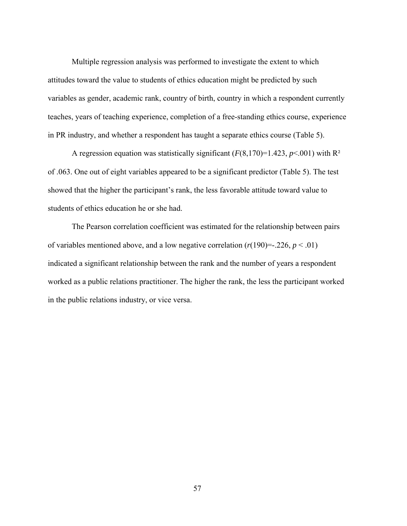Multiple regression analysis was performed to investigate the extent to which attitudes toward the value to students of ethics education might be predicted by such variables as gender, academic rank, country of birth, country in which a respondent currently teaches, years of teaching experience, completion of a free-standing ethics course, experience in PR industry, and whether a respondent has taught a separate ethics course (Table 5).

A regression equation was statistically significant  $(F(8,170)=1.423, p<.001)$  with R<sup>2</sup> of .063. One out of eight variables appeared to be a significant predictor (Table 5). The test showed that the higher the participant's rank, the less favorable attitude toward value to students of ethics education he or she had.

The Pearson correlation coefficient was estimated for the relationship between pairs of variables mentioned above, and a low negative correlation  $(r(190)=226, p < .01)$ indicated a significant relationship between the rank and the number of years a respondent worked as a public relations practitioner. The higher the rank, the less the participant worked in the public relations industry, or vice versa.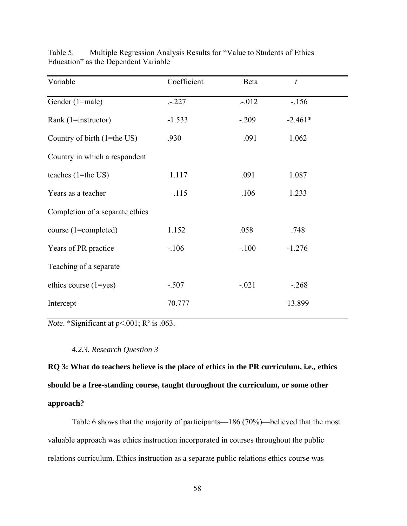| Variable                        | Coefficient | Beta    | $\boldsymbol{t}$ |
|---------------------------------|-------------|---------|------------------|
| Gender (1=male)                 | $-.227$     | $-.012$ | $-156$           |
| Rank $(1 = instructor)$         | $-1.533$    | $-.209$ | $-2.461*$        |
| Country of birth (1=the US)     | .930        | .091    | 1.062            |
| Country in which a respondent   |             |         |                  |
| teaches $(1=$ the US $)$        | 1.117       | .091    | 1.087            |
| Years as a teacher              | .115        | .106    | 1.233            |
| Completion of a separate ethics |             |         |                  |
| course (1=completed)            | 1.152       | .058    | .748             |
| Years of PR practice            | $-.106$     | $-.100$ | $-1.276$         |
| Teaching of a separate          |             |         |                  |
| ethics course $(1 = yes)$       | $-.507$     | $-.021$ | $-268$           |
| Intercept                       | 70.777      |         | 13.899           |

Table 5. Multiple Regression Analysis Results for "Value to Students of Ethics Education" as the Dependent Variable

*Note*. \*Significant at *p*<.001; R² is .063.

#### *4.2.3. Research Question 3*

**RQ 3: What do teachers believe is the place of ethics in the PR curriculum, i.e., ethics should be a free-standing course, taught throughout the curriculum, or some other approach?** 

Table 6 shows that the majority of participants—186 (70%)—believed that the most valuable approach was ethics instruction incorporated in courses throughout the public relations curriculum. Ethics instruction as a separate public relations ethics course was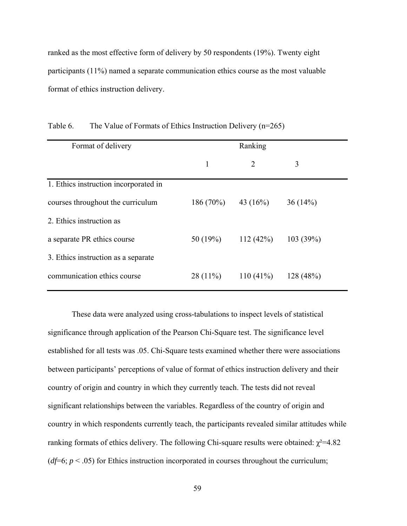ranked as the most effective form of delivery by 50 respondents (19%). Twenty eight participants (11%) named a separate communication ethics course as the most valuable format of ethics instruction delivery.

| Format of delivery                    | Ranking     |             |           |  |
|---------------------------------------|-------------|-------------|-----------|--|
|                                       | 1           | 2           | 3         |  |
| 1. Ethics instruction incorporated in |             |             |           |  |
| courses throughout the curriculum     | $186(70\%)$ | 43 $(16%)$  | 36(14%)   |  |
| 2. Ethics instruction as              |             |             |           |  |
| a separate PR ethics course           | 50 $(19%)$  | 112(42%)    | 103(39%)  |  |
| 3. Ethics instruction as a separate   |             |             |           |  |
| communication ethics course           | $28(11\%)$  | $110(41\%)$ | 128 (48%) |  |

Table 6. The Value of Formats of Ethics Instruction Delivery (n=265)

These data were analyzed using cross-tabulations to inspect levels of statistical significance through application of the Pearson Chi-Square test. The significance level established for all tests was .05. Chi-Square tests examined whether there were associations between participants' perceptions of value of format of ethics instruction delivery and their country of origin and country in which they currently teach. The tests did not reveal significant relationships between the variables. Regardless of the country of origin and country in which respondents currently teach, the participants revealed similar attitudes while ranking formats of ethics delivery. The following Chi-square results were obtained:  $χ²=4.82$ ( $df=6$ ;  $p < .05$ ) for Ethics instruction incorporated in courses throughout the curriculum;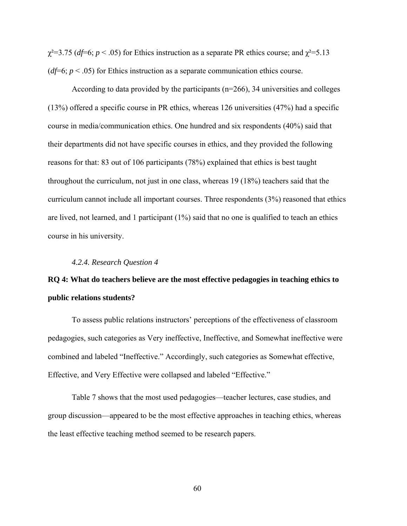$\chi^2$ =3.75 (*df*=6; *p* < .05) for Ethics instruction as a separate PR ethics course; and  $\chi^2$ =5.13 ( $df=6$ ;  $p < .05$ ) for Ethics instruction as a separate communication ethics course.

According to data provided by the participants (n=266), 34 universities and colleges (13%) offered a specific course in PR ethics, whereas 126 universities (47%) had a specific course in media/communication ethics. One hundred and six respondents (40%) said that their departments did not have specific courses in ethics, and they provided the following reasons for that: 83 out of 106 participants (78%) explained that ethics is best taught throughout the curriculum, not just in one class, whereas 19 (18%) teachers said that the curriculum cannot include all important courses. Three respondents (3%) reasoned that ethics are lived, not learned, and 1 participant (1%) said that no one is qualified to teach an ethics course in his university.

#### *4.2.4. Research Question 4*

# **RQ 4: What do teachers believe are the most effective pedagogies in teaching ethics to public relations students?**

To assess public relations instructors' perceptions of the effectiveness of classroom pedagogies, such categories as Very ineffective, Ineffective, and Somewhat ineffective were combined and labeled "Ineffective." Accordingly, such categories as Somewhat effective, Effective, and Very Effective were collapsed and labeled "Effective."

Table 7 shows that the most used pedagogies—teacher lectures, case studies, and group discussion—appeared to be the most effective approaches in teaching ethics, whereas the least effective teaching method seemed to be research papers.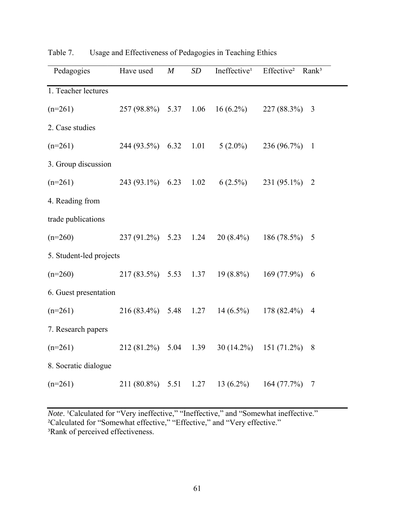| Pedagogies              | Have used          | $\boldsymbol{M}$ | SD        | Ineffective <sup>1</sup> | Effective <sup>2</sup> | Rank <sup>3</sup> |
|-------------------------|--------------------|------------------|-----------|--------------------------|------------------------|-------------------|
| 1. Teacher lectures     |                    |                  |           |                          |                        |                   |
| $(n=261)$               | $257(98.8\%)$ 5.37 |                  | 1.06      | $16(6.2\%)$              | $227(88.3\%)$          | 3                 |
| 2. Case studies         |                    |                  |           |                          |                        |                   |
| $(n=261)$               | 244 (93.5%) 6.32   |                  | 1.01      | $5(2.0\%)$               | 236 (96.7%) 1          |                   |
| 3. Group discussion     |                    |                  |           |                          |                        |                   |
| $(n=261)$               | 243 (93.1%) 6.23   |                  | 1.02      | $6(2.5\%)$               | $231(95.1\%)$          | $\overline{2}$    |
| 4. Reading from         |                    |                  |           |                          |                        |                   |
| trade publications      |                    |                  |           |                          |                        |                   |
| $(n=260)$               | 237 (91.2%) 5.23   |                  | 1.24      | $20(8.4\%)$              | 186 $(78.5\%)$         | 5                 |
| 5. Student-led projects |                    |                  |           |                          |                        |                   |
| $(n=260)$               | $217(83.5\%)$ 5.53 |                  | 1.37      | $19(8.8\%)$              | $169(77.9\%)$          | 6                 |
| 6. Guest presentation   |                    |                  |           |                          |                        |                   |
| $(n=261)$               | $216(83.4\%)$ 5.48 |                  | 1.27      | $14(6.5\%)$              | $178(82.4\%)$          | $\overline{4}$    |
| 7. Research papers      |                    |                  |           |                          |                        |                   |
| $(n=261)$               | 212 (81.2%)        |                  | 5.04 1.39 | $30(14.2\%)$             | $151(71.2\%)$          | 8                 |
| 8. Socratic dialogue    |                    |                  |           |                          |                        |                   |
| $(n=261)$               | 211 (80.8%)        | 5.51             | 1.27      | $13(6.2\%)$              | 164 (77.7%)            | $\overline{7}$    |

Table 7. Usage and Effectiveness of Pedagogies in Teaching Ethics

*Note*. <sup>1</sup>Calculated for "Very ineffective," "Ineffective," and "Somewhat ineffective." ²Calculated for "Somewhat effective," "Effective," and "Very effective." <sup>3</sup>Rank of perceived effectiveness.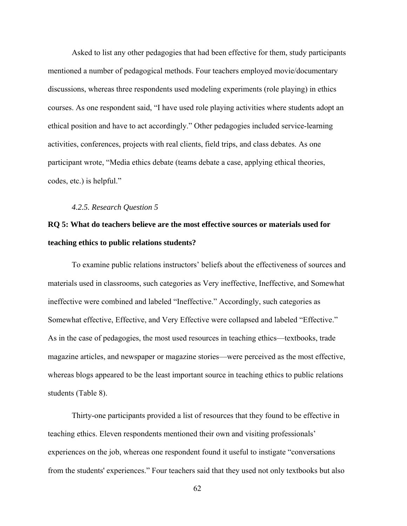Asked to list any other pedagogies that had been effective for them, study participants mentioned a number of pedagogical methods. Four teachers employed movie/documentary discussions, whereas three respondents used modeling experiments (role playing) in ethics courses. As one respondent said, "I have used role playing activities where students adopt an ethical position and have to act accordingly." Other pedagogies included service-learning activities, conferences, projects with real clients, field trips, and class debates. As one participant wrote, "Media ethics debate (teams debate a case, applying ethical theories, codes, etc.) is helpful."

#### *4.2.5. Research Question 5*

# **RQ 5: What do teachers believe are the most effective sources or materials used for teaching ethics to public relations students?**

To examine public relations instructors' beliefs about the effectiveness of sources and materials used in classrooms, such categories as Very ineffective, Ineffective, and Somewhat ineffective were combined and labeled "Ineffective." Accordingly, such categories as Somewhat effective, Effective, and Very Effective were collapsed and labeled "Effective." As in the case of pedagogies, the most used resources in teaching ethics—textbooks, trade magazine articles, and newspaper or magazine stories—were perceived as the most effective, whereas blogs appeared to be the least important source in teaching ethics to public relations students (Table 8).

Thirty-one participants provided a list of resources that they found to be effective in teaching ethics. Eleven respondents mentioned their own and visiting professionals' experiences on the job, whereas one respondent found it useful to instigate "conversations from the students' experiences." Four teachers said that they used not only textbooks but also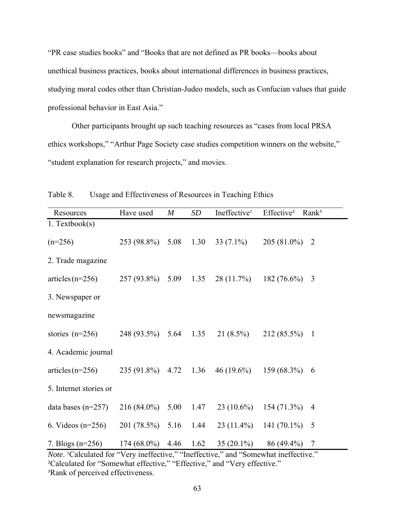"PR case studies books" and "Books that are not defined as PR books—books about unethical business practices, books about international differences in business practices, studying moral codes other than Christian-Judeo models, such as Confucian values that guide professional behavior in East Asia."

Other participants brought up such teaching resources as "cases from local PRSA ethics workshops," "Arthur Page Society case studies competition winners on the website," "student explanation for research projects," and movies.

| Resources              | Have used     | $\boldsymbol{M}$ | SD   | Ineffective <sup>1</sup> | Effective <sup>2</sup> | Rank <sup>3</sup> |
|------------------------|---------------|------------------|------|--------------------------|------------------------|-------------------|
| $1.$ Textbook(s)       |               |                  |      |                          |                        |                   |
| $(n=256)$              | 253 (98.8%)   | 5.08             | 1.30 | 33 $(7.1\%)$             | $205(81.0\%)$          | $\overline{2}$    |
| 2. Trade magazine      |               |                  |      |                          |                        |                   |
| $articles (n=256)$     | 257 (93.8%)   | 5.09             | 1.35 | $28(11.7\%)$             | 182 (76.6%)            | 3                 |
| 3. Newspaper or        |               |                  |      |                          |                        |                   |
| newsmagazine           |               |                  |      |                          |                        |                   |
| stories $(n=256)$      | 248 (93.5%)   | 5.64             | 1.35 | $21(8.5\%)$              | 212 (85.5%)            | $\overline{1}$    |
| 4. Academic journal    |               |                  |      |                          |                        |                   |
| $articles (n=256)$     | 235 (91.8%)   | 4.72             | 1.36 | $46(19.6\%)$             | 159 (68.3%)            | 6                 |
| 5. Internet stories or |               |                  |      |                          |                        |                   |
| data bases $(n=257)$   | $216(84.0\%)$ | 5.00             | 1.47 | $23(10.6\%)$             | 154 (71.3%)            | $\overline{4}$    |
| 6. Videos $(n=256)$    | 201 (78.5%)   | 5.16             | 1.44 | $23(11.4\%)$             | 141 $(70.1\%)$         | 5                 |
| 7. Blogs $(n=256)$     | 174 (68.0%)   | 4.46             | 1.62 | 35 $(20.1\%)$            | 86 (49.4%)             | 7                 |

Table 8. Usage and Effectiveness of Resources in Teaching Ethics

*Note*. <sup>1</sup>Calculated for "Very ineffective," "Ineffective," and "Somewhat ineffective." ²Calculated for "Somewhat effective," "Effective," and "Very effective." <sup>3</sup>Rank of perceived effectiveness.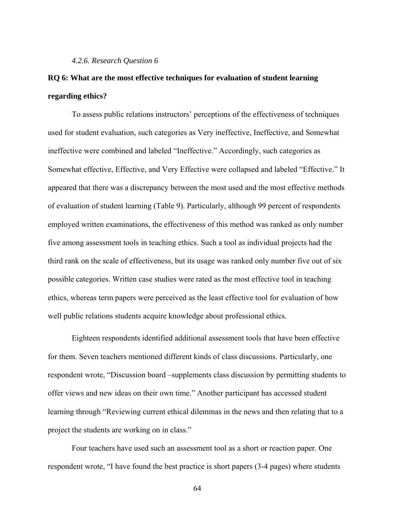#### *4.2.6. Research Question 6*

# **RQ 6: What are the most effective techniques for evaluation of student learning regarding ethics?**

To assess public relations instructors' perceptions of the effectiveness of techniques used for student evaluation, such categories as Very ineffective, Ineffective, and Somewhat ineffective were combined and labeled "Ineffective." Accordingly, such categories as Somewhat effective, Effective, and Very Effective were collapsed and labeled "Effective." It appeared that there was a discrepancy between the most used and the most effective methods of evaluation of student learning (Table 9). Particularly, although 99 percent of respondents employed written examinations, the effectiveness of this method was ranked as only number five among assessment tools in teaching ethics. Such a tool as individual projects had the third rank on the scale of effectiveness, but its usage was ranked only number five out of six possible categories. Written case studies were rated as the most effective tool in teaching ethics, whereas term papers were perceived as the least effective tool for evaluation of how well public relations students acquire knowledge about professional ethics.

Eighteen respondents identified additional assessment tools that have been effective for them. Seven teachers mentioned different kinds of class discussions. Particularly, one respondent wrote, "Discussion board –supplements class discussion by permitting students to offer views and new ideas on their own time." Another participant has accessed student learning through "Reviewing current ethical dilemmas in the news and then relating that to a project the students are working on in class."

Four teachers have used such an assessment tool as a short or reaction paper. One respondent wrote, "I have found the best practice is short papers (3-4 pages) where students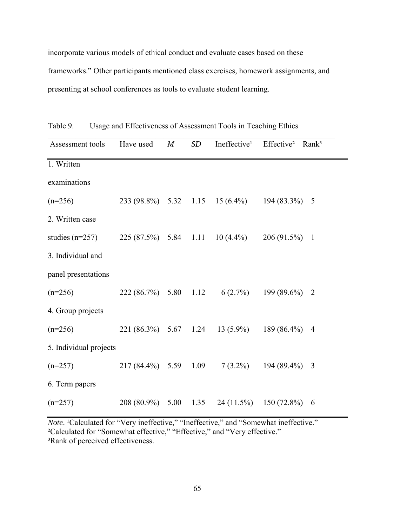incorporate various models of ethical conduct and evaluate cases based on these frameworks." Other participants mentioned class exercises, homework assignments, and presenting at school conferences as tools to evaluate student learning.

| Assessment tools       | Have used             | $\boldsymbol{M}$ | <b>SD</b> | Ineffective <sup>1</sup>        | Effective <sup>2</sup>   | Rank <sup>3</sup> |
|------------------------|-----------------------|------------------|-----------|---------------------------------|--------------------------|-------------------|
| 1. Written             |                       |                  |           |                                 |                          |                   |
| examinations           |                       |                  |           |                                 |                          |                   |
| $(n=256)$              |                       |                  |           | 233 (98.8%) 5.32 1.15 15 (6.4%) | 194 (83.3%)              | 5                 |
| 2. Written case        |                       |                  |           |                                 |                          |                   |
| studies $(n=257)$      | 225 (87.5%) 5.84 1.11 |                  |           | $10(4.4\%)$                     | 206 (91.5%)              | $\mathbf{1}$      |
| 3. Individual and      |                       |                  |           |                                 |                          |                   |
| panel presentations    |                       |                  |           |                                 |                          |                   |
| $(n=256)$              | 222(86.7%)            | 5.80             | 1.12      | $6(2.7\%)$                      | 199 (89.6%)              | $\overline{2}$    |
| 4. Group projects      |                       |                  |           |                                 |                          |                   |
| $(n=256)$              | $221 (86.3\%)$ 5.67   |                  | 1.24      | $13(5.9\%)$                     | 189 (86.4%)              | $\overline{4}$    |
| 5. Individual projects |                       |                  |           |                                 |                          |                   |
| $(n=257)$              | 217 (84.4%) 5.59      |                  | 1.09      | $7(3.2\%)$                      | 194 (89.4%)              | 3                 |
| 6. Term papers         |                       |                  |           |                                 |                          |                   |
| $(n=257)$              | 208 (80.9%)           | 5.00             | 1.35      |                                 | $24(11.5\%)$ 150 (72.8%) | 6                 |

Table 9. Usage and Effectiveness of Assessment Tools in Teaching Ethics

*Note*. <sup>1</sup>Calculated for "Very ineffective," "Ineffective," and "Somewhat ineffective." ²Calculated for "Somewhat effective," "Effective," and "Very effective." <sup>3</sup>Rank of perceived effectiveness.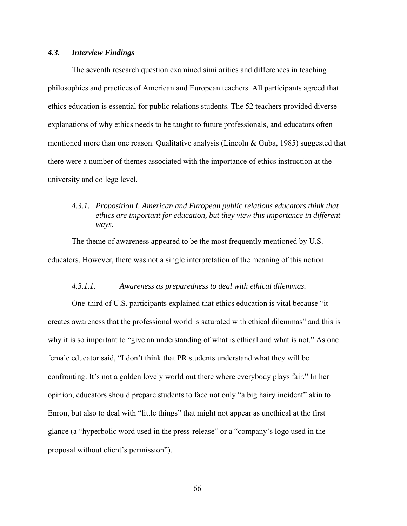## *4.3. Interview Findings*

The seventh research question examined similarities and differences in teaching philosophies and practices of American and European teachers. All participants agreed that ethics education is essential for public relations students. The 52 teachers provided diverse explanations of why ethics needs to be taught to future professionals, and educators often mentioned more than one reason. Qualitative analysis (Lincoln & Guba, 1985) suggested that there were a number of themes associated with the importance of ethics instruction at the university and college level.

# *4.3.1. Proposition I. American and European public relations educators think that ethics are important for education, but they view this importance in different ways.*

The theme of awareness appeared to be the most frequently mentioned by U.S. educators. However, there was not a single interpretation of the meaning of this notion.

## *4.3.1.1. Awareness as preparedness to deal with ethical dilemmas.*

One-third of U.S. participants explained that ethics education is vital because "it creates awareness that the professional world is saturated with ethical dilemmas" and this is why it is so important to "give an understanding of what is ethical and what is not." As one female educator said, "I don't think that PR students understand what they will be confronting. It's not a golden lovely world out there where everybody plays fair." In her opinion, educators should prepare students to face not only "a big hairy incident" akin to Enron, but also to deal with "little things" that might not appear as unethical at the first glance (a "hyperbolic word used in the press-release" or a "company's logo used in the proposal without client's permission").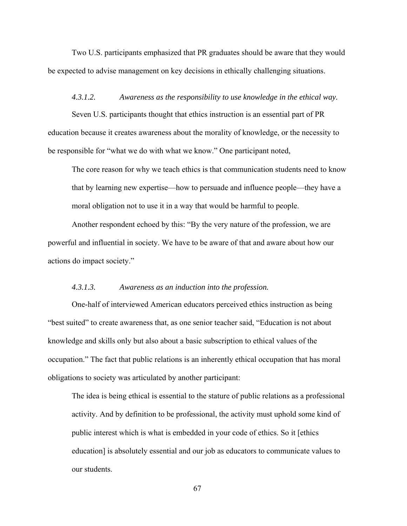Two U.S. participants emphasized that PR graduates should be aware that they would be expected to advise management on key decisions in ethically challenging situations.

#### *4.3.1.2. Awareness as the responsibility to use knowledge in the ethical way.*

Seven U.S. participants thought that ethics instruction is an essential part of PR education because it creates awareness about the morality of knowledge, or the necessity to be responsible for "what we do with what we know." One participant noted,

The core reason for why we teach ethics is that communication students need to know that by learning new expertise—how to persuade and influence people—they have a moral obligation not to use it in a way that would be harmful to people.

 Another respondent echoed by this: "By the very nature of the profession, we are powerful and influential in society. We have to be aware of that and aware about how our actions do impact society."

### *4.3.1.3. Awareness as an induction into the profession.*

 One-half of interviewed American educators perceived ethics instruction as being "best suited" to create awareness that, as one senior teacher said, "Education is not about knowledge and skills only but also about a basic subscription to ethical values of the occupation." The fact that public relations is an inherently ethical occupation that has moral obligations to society was articulated by another participant:

The idea is being ethical is essential to the stature of public relations as a professional activity. And by definition to be professional, the activity must uphold some kind of public interest which is what is embedded in your code of ethics. So it [ethics education] is absolutely essential and our job as educators to communicate values to our students.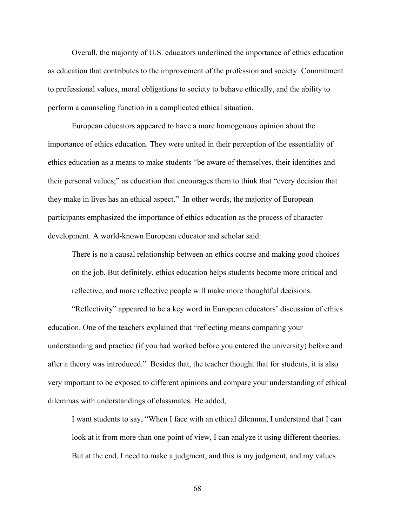Overall, the majority of U.S. educators underlined the importance of ethics education as education that contributes to the improvement of the profession and society: Commitment to professional values, moral obligations to society to behave ethically, and the ability to perform a counseling function in a complicated ethical situation.

European educators appeared to have a more homogenous opinion about the importance of ethics education. They were united in their perception of the essentiality of ethics education as a means to make students "be aware of themselves, their identities and their personal values;" as education that encourages them to think that "every decision that they make in lives has an ethical aspect." In other words, the majority of European participants emphasized the importance of ethics education as the process of character development. A world-known European educator and scholar said:

There is no a causal relationship between an ethics course and making good choices on the job. But definitely, ethics education helps students become more critical and reflective, and more reflective people will make more thoughtful decisions.

"Reflectivity" appeared to be a key word in European educators' discussion of ethics education. One of the teachers explained that "reflecting means comparing your understanding and practice (if you had worked before you entered the university) before and after a theory was introduced." Besides that, the teacher thought that for students, it is also very important to be exposed to different opinions and compare your understanding of ethical dilemmas with understandings of classmates. He added,

I want students to say, "When I face with an ethical dilemma, I understand that I can look at it from more than one point of view, I can analyze it using different theories. But at the end, I need to make a judgment, and this is my judgment, and my values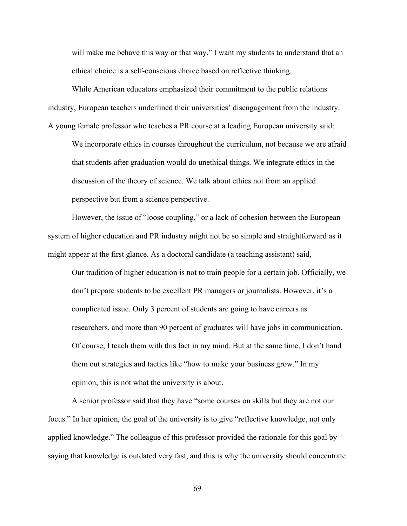will make me behave this way or that way." I want my students to understand that an ethical choice is a self-conscious choice based on reflective thinking.

While American educators emphasized their commitment to the public relations industry, European teachers underlined their universities' disengagement from the industry. A young female professor who teaches a PR course at a leading European university said:

We incorporate ethics in courses throughout the curriculum, not because we are afraid that students after graduation would do unethical things. We integrate ethics in the discussion of the theory of science. We talk about ethics not from an applied perspective but from a science perspective.

However, the issue of "loose coupling," or a lack of cohesion between the European system of higher education and PR industry might not be so simple and straightforward as it might appear at the first glance. As a doctoral candidate (a teaching assistant) said,

Our tradition of higher education is not to train people for a certain job. Officially, we don't prepare students to be excellent PR managers or journalists. However, it's a complicated issue. Only 3 percent of students are going to have careers as researchers, and more than 90 percent of graduates will have jobs in communication. Of course, I teach them with this fact in my mind. But at the same time, I don't hand them out strategies and tactics like "how to make your business grow." In my opinion, this is not what the university is about.

A senior professor said that they have "some courses on skills but they are not our focus." In her opinion, the goal of the university is to give "reflective knowledge, not only applied knowledge." The colleague of this professor provided the rationale for this goal by saying that knowledge is outdated very fast, and this is why the university should concentrate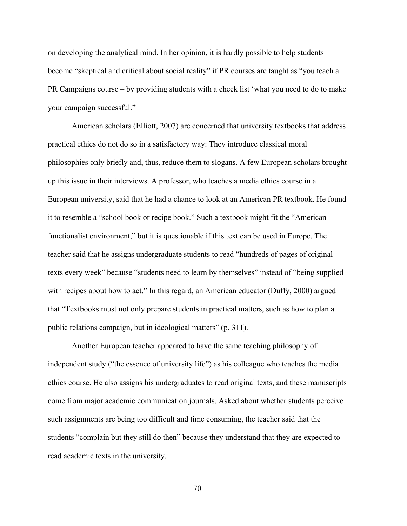on developing the analytical mind. In her opinion, it is hardly possible to help students become "skeptical and critical about social reality" if PR courses are taught as "you teach a PR Campaigns course – by providing students with a check list 'what you need to do to make your campaign successful."

American scholars (Elliott, 2007) are concerned that university textbooks that address practical ethics do not do so in a satisfactory way: They introduce classical moral philosophies only briefly and, thus, reduce them to slogans. A few European scholars brought up this issue in their interviews. A professor, who teaches a media ethics course in a European university, said that he had a chance to look at an American PR textbook. He found it to resemble a "school book or recipe book." Such a textbook might fit the "American functionalist environment," but it is questionable if this text can be used in Europe. The teacher said that he assigns undergraduate students to read "hundreds of pages of original texts every week" because "students need to learn by themselves" instead of "being supplied with recipes about how to act." In this regard, an American educator (Duffy, 2000) argued that "Textbooks must not only prepare students in practical matters, such as how to plan a public relations campaign, but in ideological matters" (p. 311).

Another European teacher appeared to have the same teaching philosophy of independent study ("the essence of university life") as his colleague who teaches the media ethics course. He also assigns his undergraduates to read original texts, and these manuscripts come from major academic communication journals. Asked about whether students perceive such assignments are being too difficult and time consuming, the teacher said that the students "complain but they still do then" because they understand that they are expected to read academic texts in the university.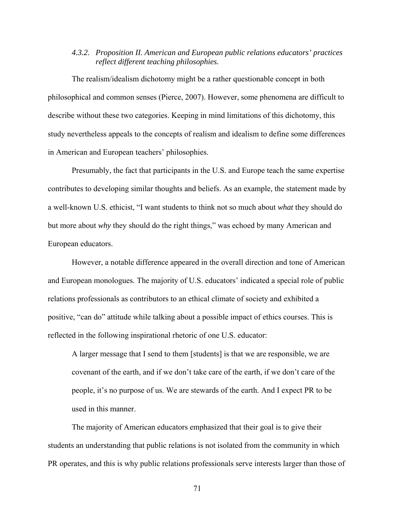## *4.3.2. Proposition II. American and European public relations educators' practices reflect different teaching philosophies.*

The realism/idealism dichotomy might be a rather questionable concept in both philosophical and common senses (Pierce, 2007). However, some phenomena are difficult to describe without these two categories. Keeping in mind limitations of this dichotomy, this study nevertheless appeals to the concepts of realism and idealism to define some differences in American and European teachers' philosophies.

Presumably, the fact that participants in the U.S. and Europe teach the same expertise contributes to developing similar thoughts and beliefs. As an example, the statement made by a well-known U.S. ethicist, "I want students to think not so much about *what* they should do but more about *why* they should do the right things," was echoed by many American and European educators.

However, a notable difference appeared in the overall direction and tone of American and European monologues. The majority of U.S. educators' indicated a special role of public relations professionals as contributors to an ethical climate of society and exhibited a positive, "can do" attitude while talking about a possible impact of ethics courses. This is reflected in the following inspirational rhetoric of one U.S. educator:

A larger message that I send to them [students] is that we are responsible, we are covenant of the earth, and if we don't take care of the earth, if we don't care of the people, it's no purpose of us. We are stewards of the earth. And I expect PR to be used in this manner.

The majority of American educators emphasized that their goal is to give their students an understanding that public relations is not isolated from the community in which PR operates, and this is why public relations professionals serve interests larger than those of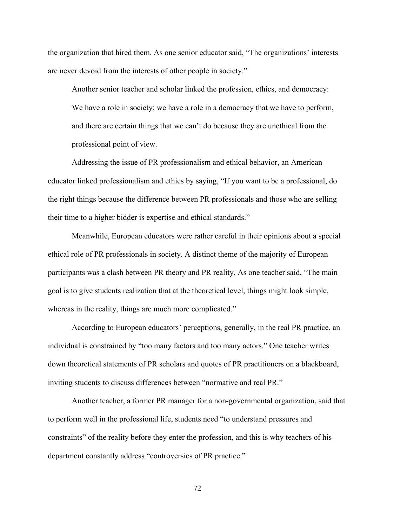the organization that hired them. As one senior educator said, "The organizations' interests are never devoid from the interests of other people in society."

Another senior teacher and scholar linked the profession, ethics, and democracy: We have a role in society; we have a role in a democracy that we have to perform, and there are certain things that we can't do because they are unethical from the professional point of view.

 Addressing the issue of PR professionalism and ethical behavior, an American educator linked professionalism and ethics by saying, "If you want to be a professional, do the right things because the difference between PR professionals and those who are selling their time to a higher bidder is expertise and ethical standards."

Meanwhile, European educators were rather careful in their opinions about a special ethical role of PR professionals in society. A distinct theme of the majority of European participants was a clash between PR theory and PR reality. As one teacher said, "The main goal is to give students realization that at the theoretical level, things might look simple, whereas in the reality, things are much more complicated."

According to European educators' perceptions, generally, in the real PR practice, an individual is constrained by "too many factors and too many actors." One teacher writes down theoretical statements of PR scholars and quotes of PR practitioners on a blackboard, inviting students to discuss differences between "normative and real PR."

Another teacher, a former PR manager for a non-governmental organization, said that to perform well in the professional life, students need "to understand pressures and constraints" of the reality before they enter the profession, and this is why teachers of his department constantly address "controversies of PR practice."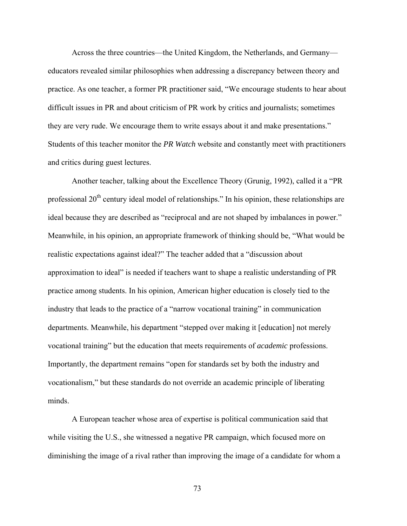Across the three countries—the United Kingdom, the Netherlands, and Germany educators revealed similar philosophies when addressing a discrepancy between theory and practice. As one teacher, a former PR practitioner said, "We encourage students to hear about difficult issues in PR and about criticism of PR work by critics and journalists; sometimes they are very rude. We encourage them to write essays about it and make presentations." Students of this teacher monitor the *PR Watch* website and constantly meet with practitioners and critics during guest lectures.

Another teacher, talking about the Excellence Theory (Grunig, 1992), called it a "PR professional  $20<sup>th</sup>$  century ideal model of relationships." In his opinion, these relationships are ideal because they are described as "reciprocal and are not shaped by imbalances in power." Meanwhile, in his opinion, an appropriate framework of thinking should be, "What would be realistic expectations against ideal?" The teacher added that a "discussion about approximation to ideal" is needed if teachers want to shape a realistic understanding of PR practice among students. In his opinion, American higher education is closely tied to the industry that leads to the practice of a "narrow vocational training" in communication departments. Meanwhile, his department "stepped over making it [education] not merely vocational training" but the education that meets requirements of *academic* professions. Importantly, the department remains "open for standards set by both the industry and vocationalism," but these standards do not override an academic principle of liberating minds.

A European teacher whose area of expertise is political communication said that while visiting the U.S., she witnessed a negative PR campaign, which focused more on diminishing the image of a rival rather than improving the image of a candidate for whom a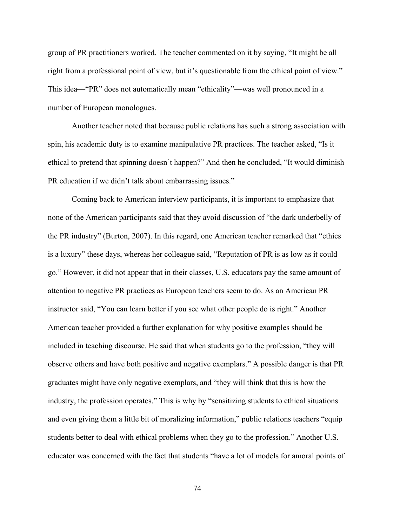group of PR practitioners worked. The teacher commented on it by saying, "It might be all right from a professional point of view, but it's questionable from the ethical point of view." This idea—"PR" does not automatically mean "ethicality"—was well pronounced in a number of European monologues.

Another teacher noted that because public relations has such a strong association with spin, his academic duty is to examine manipulative PR practices. The teacher asked, "Is it ethical to pretend that spinning doesn't happen?" And then he concluded, "It would diminish PR education if we didn't talk about embarrassing issues."

Coming back to American interview participants, it is important to emphasize that none of the American participants said that they avoid discussion of "the dark underbelly of the PR industry" (Burton, 2007). In this regard, one American teacher remarked that "ethics is a luxury" these days, whereas her colleague said, "Reputation of PR is as low as it could go." However, it did not appear that in their classes, U.S. educators pay the same amount of attention to negative PR practices as European teachers seem to do. As an American PR instructor said, "You can learn better if you see what other people do is right." Another American teacher provided a further explanation for why positive examples should be included in teaching discourse. He said that when students go to the profession, "they will observe others and have both positive and negative exemplars." A possible danger is that PR graduates might have only negative exemplars, and "they will think that this is how the industry, the profession operates." This is why by "sensitizing students to ethical situations and even giving them a little bit of moralizing information," public relations teachers "equip students better to deal with ethical problems when they go to the profession." Another U.S. educator was concerned with the fact that students "have a lot of models for amoral points of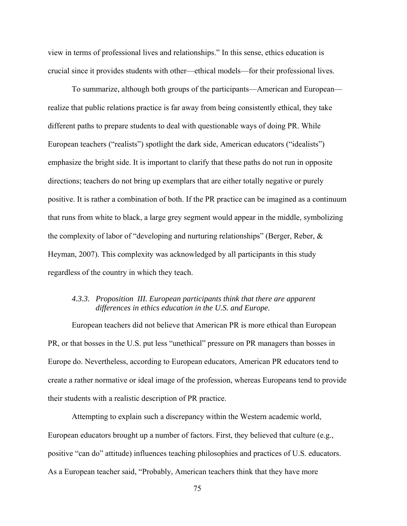view in terms of professional lives and relationships." In this sense, ethics education is crucial since it provides students with other—ethical models—for their professional lives.

To summarize, although both groups of the participants—American and European realize that public relations practice is far away from being consistently ethical, they take different paths to prepare students to deal with questionable ways of doing PR. While European teachers ("realists") spotlight the dark side, American educators ("idealists") emphasize the bright side. It is important to clarify that these paths do not run in opposite directions; teachers do not bring up exemplars that are either totally negative or purely positive. It is rather a combination of both. If the PR practice can be imagined as a continuum that runs from white to black, a large grey segment would appear in the middle, symbolizing the complexity of labor of "developing and nurturing relationships" (Berger, Reber, & Heyman, 2007). This complexity was acknowledged by all participants in this study regardless of the country in which they teach.

## *4.3.3. Proposition III. European participants think that there are apparent differences in ethics education in the U.S. and Europe.*

European teachers did not believe that American PR is more ethical than European PR, or that bosses in the U.S. put less "unethical" pressure on PR managers than bosses in Europe do. Nevertheless, according to European educators, American PR educators tend to create a rather normative or ideal image of the profession, whereas Europeans tend to provide their students with a realistic description of PR practice.

Attempting to explain such a discrepancy within the Western academic world, European educators brought up a number of factors. First, they believed that culture (e.g., positive "can do" attitude) influences teaching philosophies and practices of U.S. educators. As a European teacher said, "Probably, American teachers think that they have more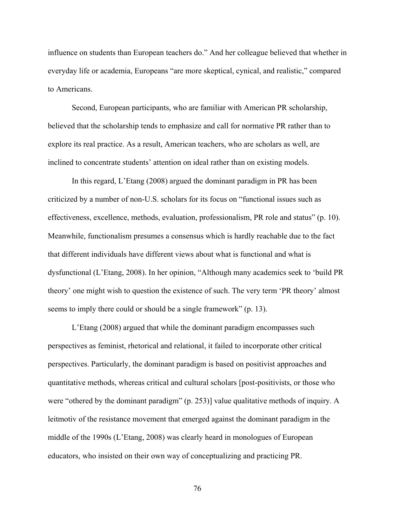influence on students than European teachers do." And her colleague believed that whether in everyday life or academia, Europeans "are more skeptical, cynical, and realistic," compared to Americans.

Second, European participants, who are familiar with American PR scholarship, believed that the scholarship tends to emphasize and call for normative PR rather than to explore its real practice. As a result, American teachers, who are scholars as well, are inclined to concentrate students' attention on ideal rather than on existing models.

In this regard, L'Etang (2008) argued the dominant paradigm in PR has been criticized by a number of non-U.S. scholars for its focus on "functional issues such as effectiveness, excellence, methods, evaluation, professionalism, PR role and status" (p. 10). Meanwhile, functionalism presumes a consensus which is hardly reachable due to the fact that different individuals have different views about what is functional and what is dysfunctional (L'Etang, 2008). In her opinion, "Although many academics seek to 'build PR theory' one might wish to question the existence of such. The very term 'PR theory' almost seems to imply there could or should be a single framework" (p. 13).

L'Etang (2008) argued that while the dominant paradigm encompasses such perspectives as feminist, rhetorical and relational, it failed to incorporate other critical perspectives. Particularly, the dominant paradigm is based on positivist approaches and quantitative methods, whereas critical and cultural scholars [post-positivists, or those who were "othered by the dominant paradigm" (p. 253)] value qualitative methods of inquiry. A leitmotiv of the resistance movement that emerged against the dominant paradigm in the middle of the 1990s (L'Etang, 2008) was clearly heard in monologues of European educators, who insisted on their own way of conceptualizing and practicing PR.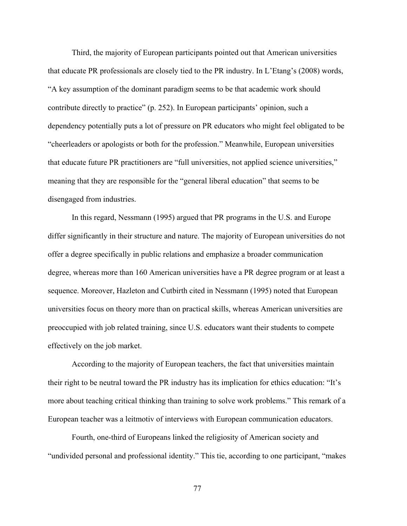Third, the majority of European participants pointed out that American universities that educate PR professionals are closely tied to the PR industry. In L'Etang's (2008) words, "A key assumption of the dominant paradigm seems to be that academic work should contribute directly to practice" (p. 252). In European participants' opinion, such a dependency potentially puts a lot of pressure on PR educators who might feel obligated to be "cheerleaders or apologists or both for the profession." Meanwhile, European universities that educate future PR practitioners are "full universities, not applied science universities," meaning that they are responsible for the "general liberal education" that seems to be disengaged from industries.

In this regard, Nessmann (1995) argued that PR programs in the U.S. and Europe differ significantly in their structure and nature. The majority of European universities do not offer a degree specifically in public relations and emphasize a broader communication degree, whereas more than 160 American universities have a PR degree program or at least a sequence. Moreover, Hazleton and Cutbirth cited in Nessmann (1995) noted that European universities focus on theory more than on practical skills, whereas American universities are preoccupied with job related training, since U.S. educators want their students to compete effectively on the job market.

According to the majority of European teachers, the fact that universities maintain their right to be neutral toward the PR industry has its implication for ethics education: "It's more about teaching critical thinking than training to solve work problems." This remark of a European teacher was a leitmotiv of interviews with European communication educators.

Fourth, one-third of Europeans linked the religiosity of American society and "undivided personal and professional identity." This tie, according to one participant, "makes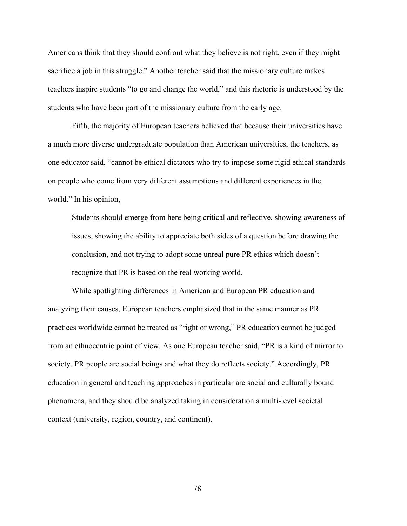Americans think that they should confront what they believe is not right, even if they might sacrifice a job in this struggle." Another teacher said that the missionary culture makes teachers inspire students "to go and change the world," and this rhetoric is understood by the students who have been part of the missionary culture from the early age.

Fifth, the majority of European teachers believed that because their universities have a much more diverse undergraduate population than American universities, the teachers, as one educator said, "cannot be ethical dictators who try to impose some rigid ethical standards on people who come from very different assumptions and different experiences in the world." In his opinion,

Students should emerge from here being critical and reflective, showing awareness of issues, showing the ability to appreciate both sides of a question before drawing the conclusion, and not trying to adopt some unreal pure PR ethics which doesn't recognize that PR is based on the real working world.

While spotlighting differences in American and European PR education and analyzing their causes, European teachers emphasized that in the same manner as PR practices worldwide cannot be treated as "right or wrong," PR education cannot be judged from an ethnocentric point of view. As one European teacher said, "PR is a kind of mirror to society. PR people are social beings and what they do reflects society." Accordingly, PR education in general and teaching approaches in particular are social and culturally bound phenomena, and they should be analyzed taking in consideration a multi-level societal context (university, region, country, and continent).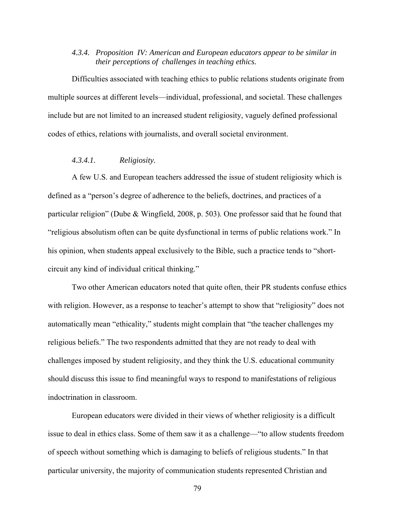## *4.3.4. Proposition IV: American and European educators appear to be similar in their perceptions of challenges in teaching ethics.*

Difficulties associated with teaching ethics to public relations students originate from multiple sources at different levels—individual, professional, and societal. These challenges include but are not limited to an increased student religiosity, vaguely defined professional codes of ethics, relations with journalists, and overall societal environment.

### *4.3.4.1. Religiosity.*

A few U.S. and European teachers addressed the issue of student religiosity which is defined as a "person's degree of adherence to the beliefs, doctrines, and practices of a particular religion" (Dube & Wingfield, 2008, p. 503). One professor said that he found that "religious absolutism often can be quite dysfunctional in terms of public relations work." In his opinion, when students appeal exclusively to the Bible, such a practice tends to "shortcircuit any kind of individual critical thinking."

Two other American educators noted that quite often, their PR students confuse ethics with religion. However, as a response to teacher's attempt to show that "religiosity" does not automatically mean "ethicality," students might complain that "the teacher challenges my religious beliefs." The two respondents admitted that they are not ready to deal with challenges imposed by student religiosity, and they think the U.S. educational community should discuss this issue to find meaningful ways to respond to manifestations of religious indoctrination in classroom.

European educators were divided in their views of whether religiosity is a difficult issue to deal in ethics class. Some of them saw it as a challenge—"to allow students freedom of speech without something which is damaging to beliefs of religious students." In that particular university, the majority of communication students represented Christian and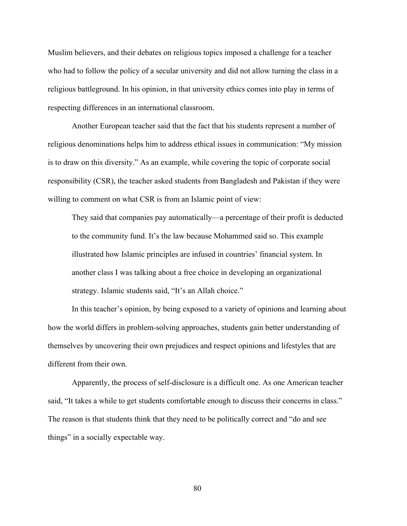Muslim believers, and their debates on religious topics imposed a challenge for a teacher who had to follow the policy of a secular university and did not allow turning the class in a religious battleground. In his opinion, in that university ethics comes into play in terms of respecting differences in an international classroom.

Another European teacher said that the fact that his students represent a number of religious denominations helps him to address ethical issues in communication: "My mission is to draw on this diversity." As an example, while covering the topic of corporate social responsibility (CSR), the teacher asked students from Bangladesh and Pakistan if they were willing to comment on what CSR is from an Islamic point of view:

They said that companies pay automatically—a percentage of their profit is deducted to the community fund. It's the law because Mohammed said so. This example illustrated how Islamic principles are infused in countries' financial system. In another class I was talking about a free choice in developing an organizational strategy. Islamic students said, "It's an Allah choice."

In this teacher's opinion, by being exposed to a variety of opinions and learning about how the world differs in problem-solving approaches, students gain better understanding of themselves by uncovering their own prejudices and respect opinions and lifestyles that are different from their own.

Apparently, the process of self-disclosure is a difficult one. As one American teacher said, "It takes a while to get students comfortable enough to discuss their concerns in class." The reason is that students think that they need to be politically correct and "do and see things" in a socially expectable way.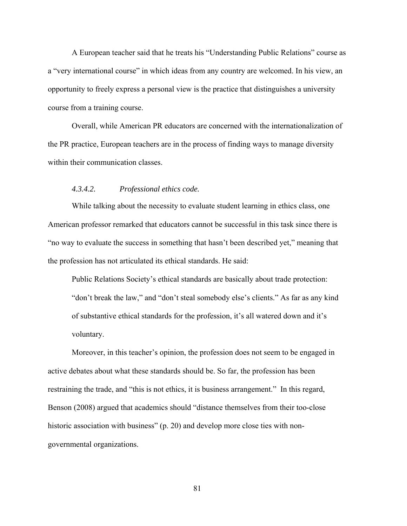A European teacher said that he treats his "Understanding Public Relations" course as a "very international course" in which ideas from any country are welcomed. In his view, an opportunity to freely express a personal view is the practice that distinguishes a university course from a training course.

Overall, while American PR educators are concerned with the internationalization of the PR practice, European teachers are in the process of finding ways to manage diversity within their communication classes.

## *4.3.4.2. Professional ethics code.*

While talking about the necessity to evaluate student learning in ethics class, one American professor remarked that educators cannot be successful in this task since there is "no way to evaluate the success in something that hasn't been described yet," meaning that the profession has not articulated its ethical standards. He said:

Public Relations Society's ethical standards are basically about trade protection: "don't break the law," and "don't steal somebody else's clients." As far as any kind of substantive ethical standards for the profession, it's all watered down and it's voluntary.

Moreover, in this teacher's opinion, the profession does not seem to be engaged in active debates about what these standards should be. So far, the profession has been restraining the trade, and "this is not ethics, it is business arrangement." In this regard, Benson (2008) argued that academics should "distance themselves from their too-close historic association with business" (p. 20) and develop more close ties with nongovernmental organizations.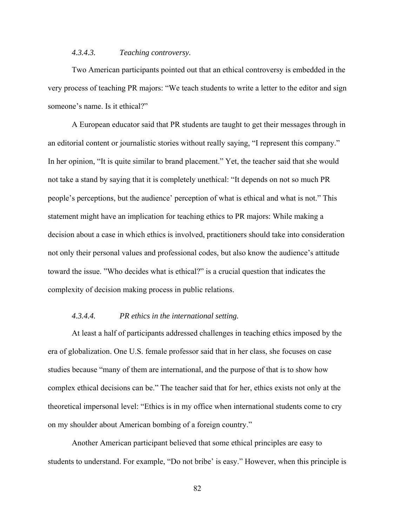## *4.3.4.3. Teaching controversy.*

Two American participants pointed out that an ethical controversy is embedded in the very process of teaching PR majors: "We teach students to write a letter to the editor and sign someone's name. Is it ethical?"

A European educator said that PR students are taught to get their messages through in an editorial content or journalistic stories without really saying, "I represent this company." In her opinion, "It is quite similar to brand placement." Yet, the teacher said that she would not take a stand by saying that it is completely unethical: "It depends on not so much PR people's perceptions, but the audience' perception of what is ethical and what is not." This statement might have an implication for teaching ethics to PR majors: While making a decision about a case in which ethics is involved, practitioners should take into consideration not only their personal values and professional codes, but also know the audience's attitude toward the issue. "Who decides what is ethical?" is a crucial question that indicates the complexity of decision making process in public relations.

## *4.3.4.4. PR ethics in the international setting.*

At least a half of participants addressed challenges in teaching ethics imposed by the era of globalization. One U.S. female professor said that in her class, she focuses on case studies because "many of them are international, and the purpose of that is to show how complex ethical decisions can be." The teacher said that for her, ethics exists not only at the theoretical impersonal level: "Ethics is in my office when international students come to cry on my shoulder about American bombing of a foreign country."

Another American participant believed that some ethical principles are easy to students to understand. For example, "Do not bribe' is easy." However, when this principle is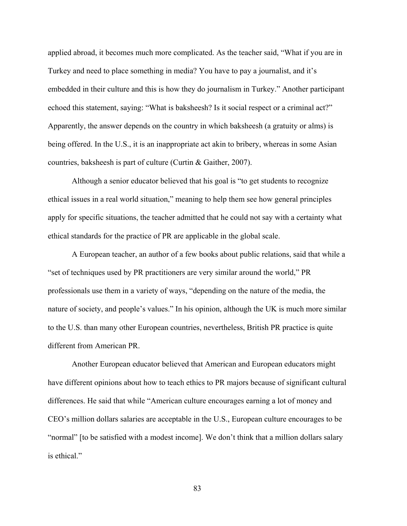applied abroad, it becomes much more complicated. As the teacher said, "What if you are in Turkey and need to place something in media? You have to pay a journalist, and it's embedded in their culture and this is how they do journalism in Turkey." Another participant echoed this statement, saying: "What is baksheesh? Is it social respect or a criminal act?" Apparently, the answer depends on the country in which baksheesh (a gratuity or alms) is being offered. In the U.S., it is an inappropriate act akin to bribery, whereas in some Asian countries, baksheesh is part of culture (Curtin & Gaither, 2007).

Although a senior educator believed that his goal is "to get students to recognize ethical issues in a real world situation," meaning to help them see how general principles apply for specific situations, the teacher admitted that he could not say with a certainty what ethical standards for the practice of PR are applicable in the global scale.

A European teacher, an author of a few books about public relations, said that while a "set of techniques used by PR practitioners are very similar around the world," PR professionals use them in a variety of ways, "depending on the nature of the media, the nature of society, and people's values." In his opinion, although the UK is much more similar to the U.S. than many other European countries, nevertheless, British PR practice is quite different from American PR.

Another European educator believed that American and European educators might have different opinions about how to teach ethics to PR majors because of significant cultural differences. He said that while "American culture encourages earning a lot of money and CEO's million dollars salaries are acceptable in the U.S., European culture encourages to be "normal" [to be satisfied with a modest income]. We don't think that a million dollars salary is ethical."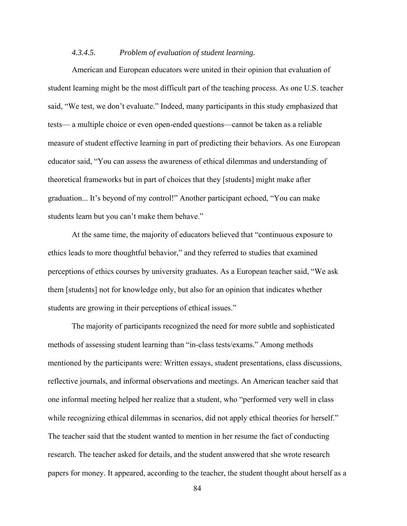## *4.3.4.5. Problem of evaluation of student learning.*

American and European educators were united in their opinion that evaluation of student learning might be the most difficult part of the teaching process. As one U.S. teacher said, "We test, we don't evaluate." Indeed, many participants in this study emphasized that tests— a multiple choice or even open-ended questions—cannot be taken as a reliable measure of student effective learning in part of predicting their behaviors. As one European educator said, "You can assess the awareness of ethical dilemmas and understanding of theoretical frameworks but in part of choices that they [students] might make after graduation... It's beyond of my control!" Another participant echoed, "You can make students learn but you can't make them behave."

At the same time, the majority of educators believed that "continuous exposure to ethics leads to more thoughtful behavior," and they referred to studies that examined perceptions of ethics courses by university graduates. As a European teacher said, "We ask them [students] not for knowledge only, but also for an opinion that indicates whether students are growing in their perceptions of ethical issues."

The majority of participants recognized the need for more subtle and sophisticated methods of assessing student learning than "in-class tests/exams." Among methods mentioned by the participants were: Written essays, student presentations, class discussions, reflective journals, and informal observations and meetings. An American teacher said that one informal meeting helped her realize that a student, who "performed very well in class while recognizing ethical dilemmas in scenarios, did not apply ethical theories for herself." The teacher said that the student wanted to mention in her resume the fact of conducting research. The teacher asked for details, and the student answered that she wrote research papers for money. It appeared, according to the teacher, the student thought about herself as a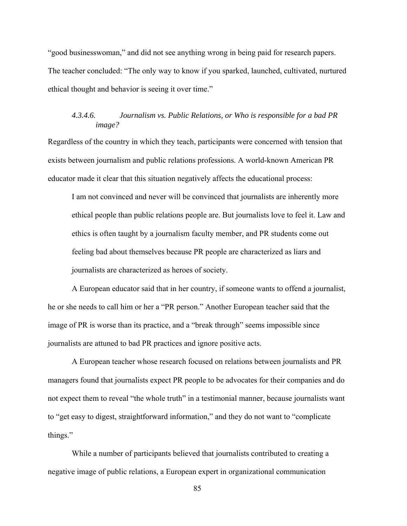"good businesswoman," and did not see anything wrong in being paid for research papers. The teacher concluded: "The only way to know if you sparked, launched, cultivated, nurtured ethical thought and behavior is seeing it over time."

# *4.3.4.6. Journalism vs. Public Relations, or Who is responsible for a bad PR image?*

Regardless of the country in which they teach, participants were concerned with tension that exists between journalism and public relations professions. A world-known American PR educator made it clear that this situation negatively affects the educational process:

I am not convinced and never will be convinced that journalists are inherently more ethical people than public relations people are. But journalists love to feel it. Law and ethics is often taught by a journalism faculty member, and PR students come out feeling bad about themselves because PR people are characterized as liars and journalists are characterized as heroes of society.

A European educator said that in her country, if someone wants to offend a journalist, he or she needs to call him or her a "PR person." Another European teacher said that the image of PR is worse than its practice, and a "break through" seems impossible since journalists are attuned to bad PR practices and ignore positive acts.

A European teacher whose research focused on relations between journalists and PR managers found that journalists expect PR people to be advocates for their companies and do not expect them to reveal "the whole truth" in a testimonial manner, because journalists want to "get easy to digest, straightforward information," and they do not want to "complicate things."

While a number of participants believed that journalists contributed to creating a negative image of public relations, a European expert in organizational communication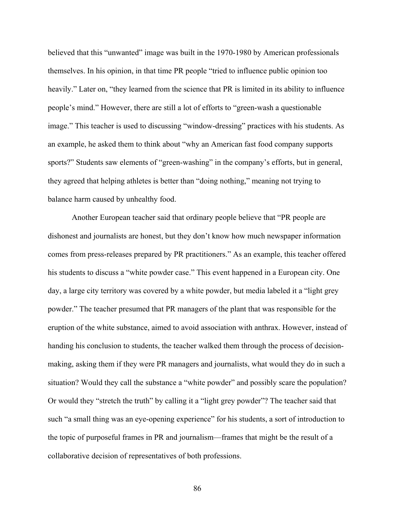believed that this "unwanted" image was built in the 1970-1980 by American professionals themselves. In his opinion, in that time PR people "tried to influence public opinion too heavily." Later on, "they learned from the science that PR is limited in its ability to influence people's mind." However, there are still a lot of efforts to "green-wash a questionable image." This teacher is used to discussing "window-dressing" practices with his students. As an example, he asked them to think about "why an American fast food company supports sports?" Students saw elements of "green-washing" in the company's efforts, but in general, they agreed that helping athletes is better than "doing nothing," meaning not trying to balance harm caused by unhealthy food.

Another European teacher said that ordinary people believe that "PR people are dishonest and journalists are honest, but they don't know how much newspaper information comes from press-releases prepared by PR practitioners." As an example, this teacher offered his students to discuss a "white powder case." This event happened in a European city. One day, a large city territory was covered by a white powder, but media labeled it a "light grey powder." The teacher presumed that PR managers of the plant that was responsible for the eruption of the white substance, aimed to avoid association with anthrax. However, instead of handing his conclusion to students, the teacher walked them through the process of decisionmaking, asking them if they were PR managers and journalists, what would they do in such a situation? Would they call the substance a "white powder" and possibly scare the population? Or would they "stretch the truth" by calling it a "light grey powder"? The teacher said that such "a small thing was an eye-opening experience" for his students, a sort of introduction to the topic of purposeful frames in PR and journalism—frames that might be the result of a collaborative decision of representatives of both professions.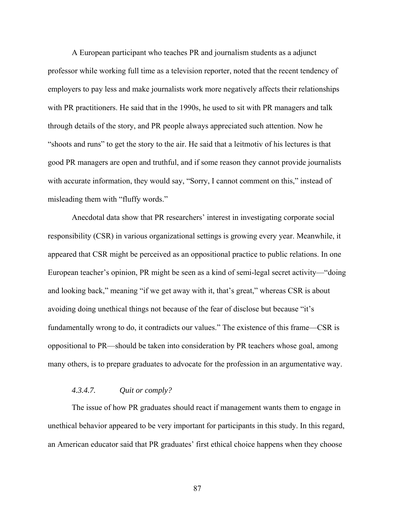A European participant who teaches PR and journalism students as a adjunct professor while working full time as a television reporter, noted that the recent tendency of employers to pay less and make journalists work more negatively affects their relationships with PR practitioners. He said that in the 1990s, he used to sit with PR managers and talk through details of the story, and PR people always appreciated such attention. Now he "shoots and runs" to get the story to the air. He said that a leitmotiv of his lectures is that good PR managers are open and truthful, and if some reason they cannot provide journalists with accurate information, they would say, "Sorry, I cannot comment on this," instead of misleading them with "fluffy words."

Anecdotal data show that PR researchers' interest in investigating corporate social responsibility (CSR) in various organizational settings is growing every year. Meanwhile, it appeared that CSR might be perceived as an oppositional practice to public relations. In one European teacher's opinion, PR might be seen as a kind of semi-legal secret activity—"doing and looking back," meaning "if we get away with it, that's great," whereas CSR is about avoiding doing unethical things not because of the fear of disclose but because "it's fundamentally wrong to do, it contradicts our values." The existence of this frame—CSR is oppositional to PR—should be taken into consideration by PR teachers whose goal, among many others, is to prepare graduates to advocate for the profession in an argumentative way.

#### *4.3.4.7. Quit or comply?*

The issue of how PR graduates should react if management wants them to engage in unethical behavior appeared to be very important for participants in this study. In this regard, an American educator said that PR graduates' first ethical choice happens when they choose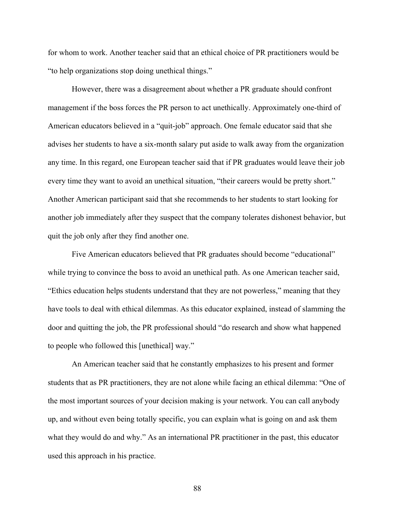for whom to work. Another teacher said that an ethical choice of PR practitioners would be "to help organizations stop doing unethical things."

However, there was a disagreement about whether a PR graduate should confront management if the boss forces the PR person to act unethically. Approximately one-third of American educators believed in a "quit-job" approach. One female educator said that she advises her students to have a six-month salary put aside to walk away from the organization any time. In this regard, one European teacher said that if PR graduates would leave their job every time they want to avoid an unethical situation, "their careers would be pretty short." Another American participant said that she recommends to her students to start looking for another job immediately after they suspect that the company tolerates dishonest behavior, but quit the job only after they find another one.

Five American educators believed that PR graduates should become "educational" while trying to convince the boss to avoid an unethical path. As one American teacher said, "Ethics education helps students understand that they are not powerless," meaning that they have tools to deal with ethical dilemmas. As this educator explained, instead of slamming the door and quitting the job, the PR professional should "do research and show what happened to people who followed this [unethical] way."

An American teacher said that he constantly emphasizes to his present and former students that as PR practitioners, they are not alone while facing an ethical dilemma: "One of the most important sources of your decision making is your network. You can call anybody up, and without even being totally specific, you can explain what is going on and ask them what they would do and why." As an international PR practitioner in the past, this educator used this approach in his practice.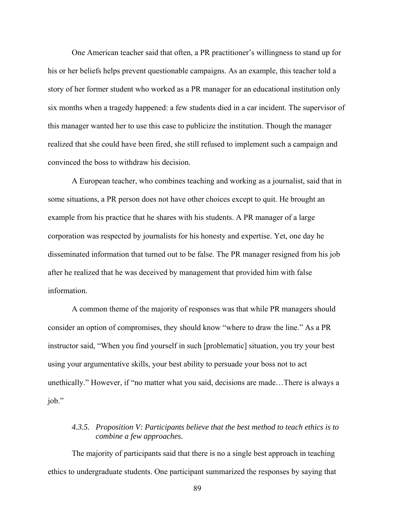One American teacher said that often, a PR practitioner's willingness to stand up for his or her beliefs helps prevent questionable campaigns. As an example, this teacher told a story of her former student who worked as a PR manager for an educational institution only six months when a tragedy happened: a few students died in a car incident. The supervisor of this manager wanted her to use this case to publicize the institution. Though the manager realized that she could have been fired, she still refused to implement such a campaign and convinced the boss to withdraw his decision.

A European teacher, who combines teaching and working as a journalist, said that in some situations, a PR person does not have other choices except to quit. He brought an example from his practice that he shares with his students. A PR manager of a large corporation was respected by journalists for his honesty and expertise. Yet, one day he disseminated information that turned out to be false. The PR manager resigned from his job after he realized that he was deceived by management that provided him with false information.

A common theme of the majority of responses was that while PR managers should consider an option of compromises, they should know "where to draw the line." As a PR instructor said, "When you find yourself in such [problematic] situation, you try your best using your argumentative skills, your best ability to persuade your boss not to act unethically." However, if "no matter what you said, decisions are made…There is always a job."

# *4.3.5. Proposition V: Participants believe that the best method to teach ethics is to combine a few approaches.*

The majority of participants said that there is no a single best approach in teaching ethics to undergraduate students. One participant summarized the responses by saying that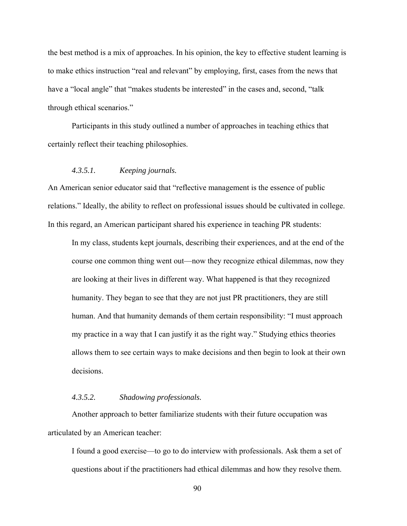the best method is a mix of approaches. In his opinion, the key to effective student learning is to make ethics instruction "real and relevant" by employing, first, cases from the news that have a "local angle" that "makes students be interested" in the cases and, second, "talk through ethical scenarios."

Participants in this study outlined a number of approaches in teaching ethics that certainly reflect their teaching philosophies.

### *4.3.5.1. Keeping journals.*

An American senior educator said that "reflective management is the essence of public relations." Ideally, the ability to reflect on professional issues should be cultivated in college. In this regard, an American participant shared his experience in teaching PR students:

In my class, students kept journals, describing their experiences, and at the end of the course one common thing went out—now they recognize ethical dilemmas, now they are looking at their lives in different way. What happened is that they recognized humanity. They began to see that they are not just PR practitioners, they are still human. And that humanity demands of them certain responsibility: "I must approach my practice in a way that I can justify it as the right way." Studying ethics theories allows them to see certain ways to make decisions and then begin to look at their own decisions.

#### *4.3.5.2. Shadowing professionals.*

Another approach to better familiarize students with their future occupation was articulated by an American teacher:

I found a good exercise—to go to do interview with professionals. Ask them a set of questions about if the practitioners had ethical dilemmas and how they resolve them.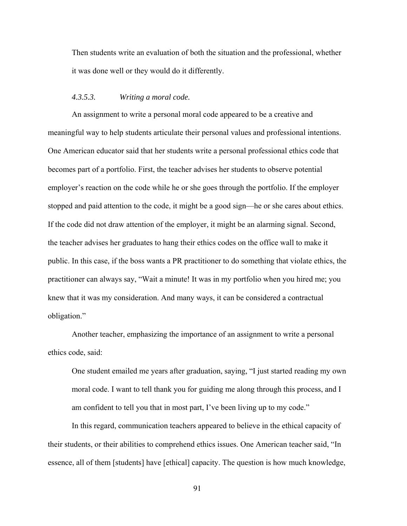Then students write an evaluation of both the situation and the professional, whether it was done well or they would do it differently.

#### *4.3.5.3. Writing a moral code.*

An assignment to write a personal moral code appeared to be a creative and meaningful way to help students articulate their personal values and professional intentions. One American educator said that her students write a personal professional ethics code that becomes part of a portfolio. First, the teacher advises her students to observe potential employer's reaction on the code while he or she goes through the portfolio. If the employer stopped and paid attention to the code, it might be a good sign—he or she cares about ethics. If the code did not draw attention of the employer, it might be an alarming signal. Second, the teacher advises her graduates to hang their ethics codes on the office wall to make it public. In this case, if the boss wants a PR practitioner to do something that violate ethics, the practitioner can always say, "Wait a minute! It was in my portfolio when you hired me; you knew that it was my consideration. And many ways, it can be considered a contractual obligation."

Another teacher, emphasizing the importance of an assignment to write a personal ethics code, said:

One student emailed me years after graduation, saying, "I just started reading my own moral code. I want to tell thank you for guiding me along through this process, and I am confident to tell you that in most part, I've been living up to my code."

In this regard, communication teachers appeared to believe in the ethical capacity of their students, or their abilities to comprehend ethics issues. One American teacher said, "In essence, all of them [students] have [ethical] capacity. The question is how much knowledge,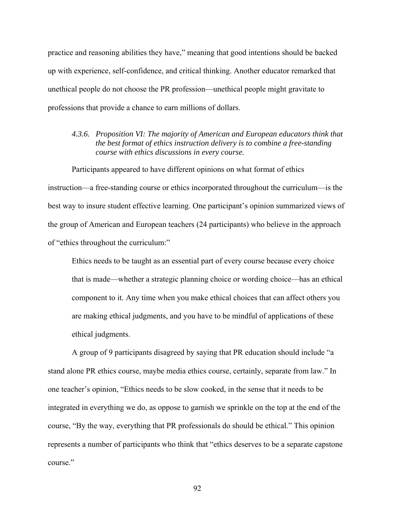practice and reasoning abilities they have," meaning that good intentions should be backed up with experience, self-confidence, and critical thinking. Another educator remarked that unethical people do not choose the PR profession—unethical people might gravitate to professions that provide a chance to earn millions of dollars.

*4.3.6. Proposition VI: The majority of American and European educators think that the best format of ethics instruction delivery is to combine a free-standing course with ethics discussions in every course.* 

Participants appeared to have different opinions on what format of ethics instruction—a free-standing course or ethics incorporated throughout the curriculum—is the best way to insure student effective learning. One participant's opinion summarized views of the group of American and European teachers (24 participants) who believe in the approach of "ethics throughout the curriculum:"

Ethics needs to be taught as an essential part of every course because every choice that is made—whether a strategic planning choice or wording choice—has an ethical component to it. Any time when you make ethical choices that can affect others you are making ethical judgments, and you have to be mindful of applications of these ethical judgments.

A group of 9 participants disagreed by saying that PR education should include "a stand alone PR ethics course, maybe media ethics course, certainly, separate from law." In one teacher's opinion, "Ethics needs to be slow cooked, in the sense that it needs to be integrated in everything we do, as oppose to garnish we sprinkle on the top at the end of the course, "By the way, everything that PR professionals do should be ethical." This opinion represents a number of participants who think that "ethics deserves to be a separate capstone course."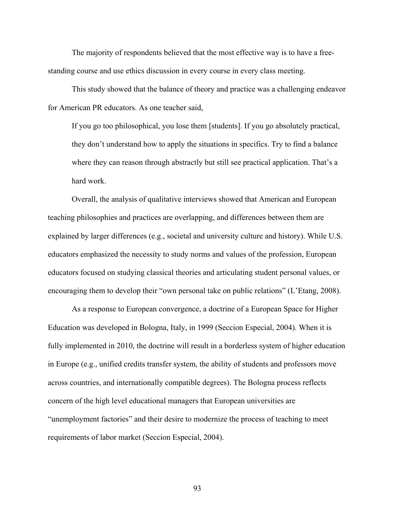The majority of respondents believed that the most effective way is to have a freestanding course and use ethics discussion in every course in every class meeting.

This study showed that the balance of theory and practice was a challenging endeavor for American PR educators. As one teacher said,

If you go too philosophical, you lose them [students]. If you go absolutely practical, they don't understand how to apply the situations in specifics. Try to find a balance where they can reason through abstractly but still see practical application. That's a hard work.

Overall, the analysis of qualitative interviews showed that American and European teaching philosophies and practices are overlapping, and differences between them are explained by larger differences (e.g., societal and university culture and history). While U.S. educators emphasized the necessity to study norms and values of the profession, European educators focused on studying classical theories and articulating student personal values, or encouraging them to develop their "own personal take on public relations" (L'Etang, 2008).

As a response to European convergence, a doctrine of a European Space for Higher Education was developed in Bologna, Italy, in 1999 (Seccion Especial, 2004). When it is fully implemented in 2010, the doctrine will result in a borderless system of higher education in Europe (e.g., unified credits transfer system, the ability of students and professors move across countries, and internationally compatible degrees). The Bologna process reflects concern of the high level educational managers that European universities are "unemployment factories" and their desire to modernize the process of teaching to meet requirements of labor market (Seccion Especial, 2004).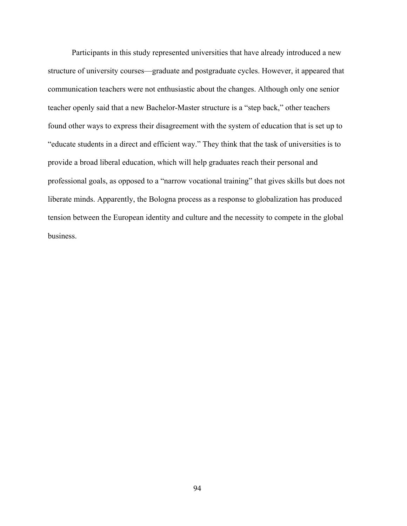Participants in this study represented universities that have already introduced a new structure of university courses—graduate and postgraduate cycles. However, it appeared that communication teachers were not enthusiastic about the changes. Although only one senior teacher openly said that a new Bachelor-Master structure is a "step back," other teachers found other ways to express their disagreement with the system of education that is set up to "educate students in a direct and efficient way." They think that the task of universities is to provide a broad liberal education, which will help graduates reach their personal and professional goals, as opposed to a "narrow vocational training" that gives skills but does not liberate minds. Apparently, the Bologna process as a response to globalization has produced tension between the European identity and culture and the necessity to compete in the global business.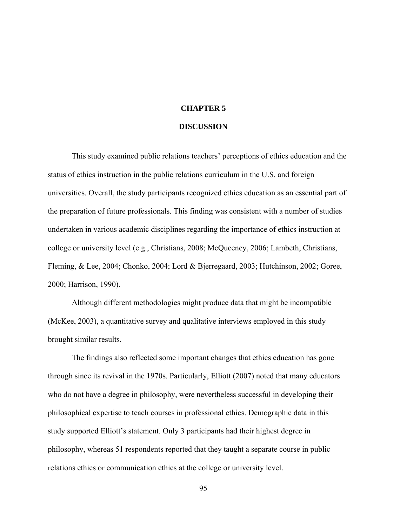# **CHAPTER 5**

### **DISCUSSION**

This study examined public relations teachers' perceptions of ethics education and the status of ethics instruction in the public relations curriculum in the U.S. and foreign universities. Overall, the study participants recognized ethics education as an essential part of the preparation of future professionals. This finding was consistent with a number of studies undertaken in various academic disciplines regarding the importance of ethics instruction at college or university level (e.g., Christians, 2008; McQueeney, 2006; Lambeth, Christians, Fleming, & Lee, 2004; Chonko, 2004; Lord & Bjerregaard, 2003; Hutchinson, 2002; Goree, 2000; Harrison, 1990).

Although different methodologies might produce data that might be incompatible (McKee, 2003), a quantitative survey and qualitative interviews employed in this study brought similar results.

The findings also reflected some important changes that ethics education has gone through since its revival in the 1970s. Particularly, Elliott (2007) noted that many educators who do not have a degree in philosophy, were nevertheless successful in developing their philosophical expertise to teach courses in professional ethics. Demographic data in this study supported Elliott's statement. Only 3 participants had their highest degree in philosophy, whereas 51 respondents reported that they taught a separate course in public relations ethics or communication ethics at the college or university level.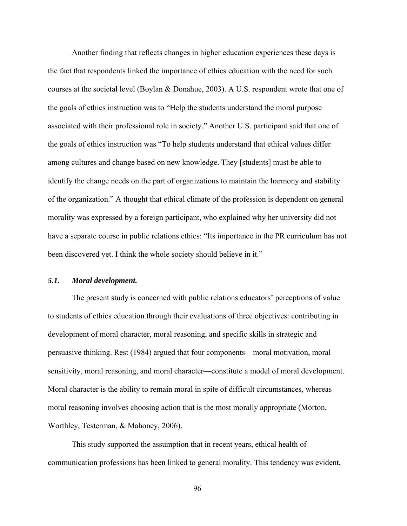Another finding that reflects changes in higher education experiences these days is the fact that respondents linked the importance of ethics education with the need for such courses at the societal level (Boylan & Donahue, 2003). A U.S. respondent wrote that one of the goals of ethics instruction was to "Help the students understand the moral purpose associated with their professional role in society." Another U.S. participant said that one of the goals of ethics instruction was "To help students understand that ethical values differ among cultures and change based on new knowledge. They [students] must be able to identify the change needs on the part of organizations to maintain the harmony and stability of the organization." A thought that ethical climate of the profession is dependent on general morality was expressed by a foreign participant, who explained why her university did not have a separate course in public relations ethics: "Its importance in the PR curriculum has not been discovered yet. I think the whole society should believe in it."

## *5.1. Moral development.*

The present study is concerned with public relations educators' perceptions of value to students of ethics education through their evaluations of three objectives: contributing in development of moral character, moral reasoning, and specific skills in strategic and persuasive thinking. Rest (1984) argued that four components—moral motivation, moral sensitivity, moral reasoning, and moral character—constitute a model of moral development. Moral character is the ability to remain moral in spite of difficult circumstances, whereas moral reasoning involves choosing action that is the most morally appropriate (Morton, Worthley, Testerman, & Mahoney, 2006).

This study supported the assumption that in recent years, ethical health of communication professions has been linked to general morality. This tendency was evident,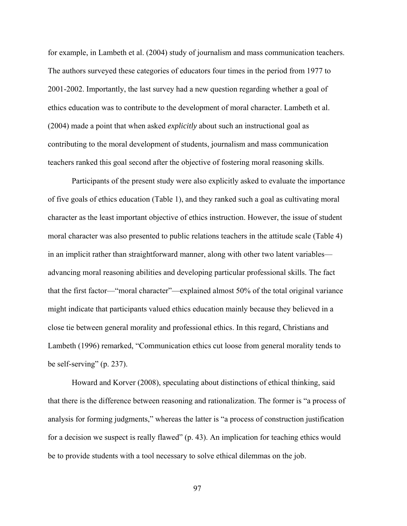for example, in Lambeth et al. (2004) study of journalism and mass communication teachers. The authors surveyed these categories of educators four times in the period from 1977 to 2001-2002. Importantly, the last survey had a new question regarding whether a goal of ethics education was to contribute to the development of moral character. Lambeth et al. (2004) made a point that when asked *explicitly* about such an instructional goal as contributing to the moral development of students, journalism and mass communication teachers ranked this goal second after the objective of fostering moral reasoning skills.

Participants of the present study were also explicitly asked to evaluate the importance of five goals of ethics education (Table 1), and they ranked such a goal as cultivating moral character as the least important objective of ethics instruction. However, the issue of student moral character was also presented to public relations teachers in the attitude scale (Table 4) in an implicit rather than straightforward manner, along with other two latent variables advancing moral reasoning abilities and developing particular professional skills. The fact that the first factor—"moral character"—explained almost 50% of the total original variance might indicate that participants valued ethics education mainly because they believed in a close tie between general morality and professional ethics. In this regard, Christians and Lambeth (1996) remarked, "Communication ethics cut loose from general morality tends to be self-serving" (p. 237).

Howard and Korver (2008), speculating about distinctions of ethical thinking, said that there is the difference between reasoning and rationalization. The former is "a process of analysis for forming judgments," whereas the latter is "a process of construction justification for a decision we suspect is really flawed" (p. 43). An implication for teaching ethics would be to provide students with a tool necessary to solve ethical dilemmas on the job.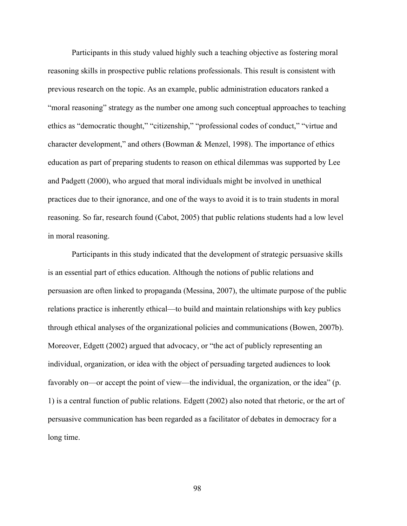Participants in this study valued highly such a teaching objective as fostering moral reasoning skills in prospective public relations professionals. This result is consistent with previous research on the topic. As an example, public administration educators ranked a "moral reasoning" strategy as the number one among such conceptual approaches to teaching ethics as "democratic thought," "citizenship," "professional codes of conduct," "virtue and character development," and others (Bowman & Menzel, 1998). The importance of ethics education as part of preparing students to reason on ethical dilemmas was supported by Lee and Padgett (2000), who argued that moral individuals might be involved in unethical practices due to their ignorance, and one of the ways to avoid it is to train students in moral reasoning. So far, research found (Cabot, 2005) that public relations students had a low level in moral reasoning.

Participants in this study indicated that the development of strategic persuasive skills is an essential part of ethics education. Although the notions of public relations and persuasion are often linked to propaganda (Messina, 2007), the ultimate purpose of the public relations practice is inherently ethical—to build and maintain relationships with key publics through ethical analyses of the organizational policies and communications (Bowen, 2007b). Moreover, Edgett (2002) argued that advocacy, or "the act of publicly representing an individual, organization, or idea with the object of persuading targeted audiences to look favorably on—or accept the point of view—the individual, the organization, or the idea" (p. 1) is a central function of public relations. Edgett (2002) also noted that rhetoric, or the art of persuasive communication has been regarded as a facilitator of debates in democracy for a long time.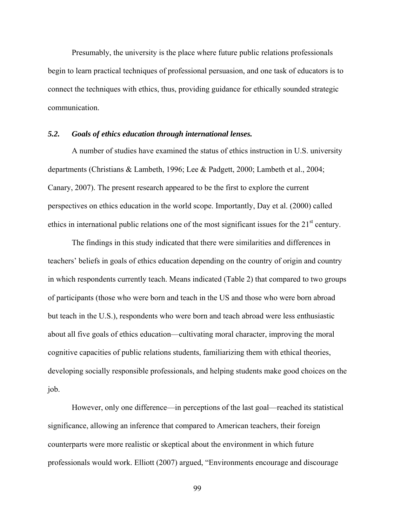Presumably, the university is the place where future public relations professionals begin to learn practical techniques of professional persuasion, and one task of educators is to connect the techniques with ethics, thus, providing guidance for ethically sounded strategic communication.

#### *5.2. Goals of ethics education through international lenses.*

A number of studies have examined the status of ethics instruction in U.S. university departments (Christians & Lambeth, 1996; Lee & Padgett, 2000; Lambeth et al., 2004; Canary, 2007). The present research appeared to be the first to explore the current perspectives on ethics education in the world scope. Importantly, Day et al. (2000) called ethics in international public relations one of the most significant issues for the  $21<sup>st</sup>$  century.

The findings in this study indicated that there were similarities and differences in teachers' beliefs in goals of ethics education depending on the country of origin and country in which respondents currently teach. Means indicated (Table 2) that compared to two groups of participants (those who were born and teach in the US and those who were born abroad but teach in the U.S.), respondents who were born and teach abroad were less enthusiastic about all five goals of ethics education—cultivating moral character, improving the moral cognitive capacities of public relations students, familiarizing them with ethical theories, developing socially responsible professionals, and helping students make good choices on the job.

However, only one difference—in perceptions of the last goal—reached its statistical significance, allowing an inference that compared to American teachers, their foreign counterparts were more realistic or skeptical about the environment in which future professionals would work. Elliott (2007) argued, "Environments encourage and discourage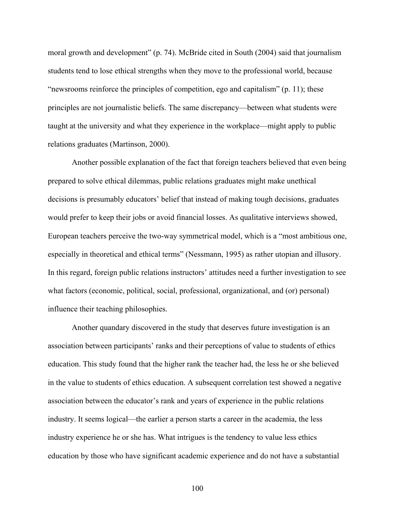moral growth and development" (p. 74). McBride cited in South (2004) said that journalism students tend to lose ethical strengths when they move to the professional world, because "newsrooms reinforce the principles of competition, ego and capitalism" (p. 11); these principles are not journalistic beliefs. The same discrepancy—between what students were taught at the university and what they experience in the workplace—might apply to public relations graduates (Martinson, 2000).

Another possible explanation of the fact that foreign teachers believed that even being prepared to solve ethical dilemmas, public relations graduates might make unethical decisions is presumably educators' belief that instead of making tough decisions, graduates would prefer to keep their jobs or avoid financial losses. As qualitative interviews showed, European teachers perceive the two-way symmetrical model, which is a "most ambitious one, especially in theoretical and ethical terms" (Nessmann, 1995) as rather utopian and illusory. In this regard, foreign public relations instructors' attitudes need a further investigation to see what factors (economic, political, social, professional, organizational, and (or) personal) influence their teaching philosophies.

Another quandary discovered in the study that deserves future investigation is an association between participants' ranks and their perceptions of value to students of ethics education. This study found that the higher rank the teacher had, the less he or she believed in the value to students of ethics education. A subsequent correlation test showed a negative association between the educator's rank and years of experience in the public relations industry. It seems logical—the earlier a person starts a career in the academia, the less industry experience he or she has. What intrigues is the tendency to value less ethics education by those who have significant academic experience and do not have a substantial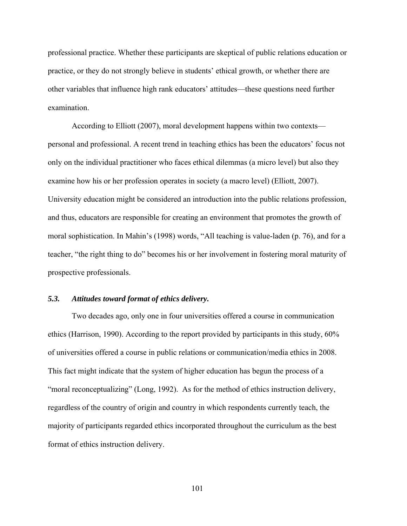professional practice. Whether these participants are skeptical of public relations education or practice, or they do not strongly believe in students' ethical growth, or whether there are other variables that influence high rank educators' attitudes—these questions need further examination.

According to Elliott (2007), moral development happens within two contexts personal and professional. A recent trend in teaching ethics has been the educators' focus not only on the individual practitioner who faces ethical dilemmas (a micro level) but also they examine how his or her profession operates in society (a macro level) (Elliott, 2007). University education might be considered an introduction into the public relations profession, and thus, educators are responsible for creating an environment that promotes the growth of moral sophistication. In Mahin's (1998) words, "All teaching is value-laden (p. 76), and for a teacher, "the right thing to do" becomes his or her involvement in fostering moral maturity of prospective professionals.

## *5.3. Attitudes toward format of ethics delivery.*

Two decades ago, only one in four universities offered a course in communication ethics (Harrison, 1990). According to the report provided by participants in this study, 60% of universities offered a course in public relations or communication/media ethics in 2008. This fact might indicate that the system of higher education has begun the process of a "moral reconceptualizing" (Long, 1992). As for the method of ethics instruction delivery, regardless of the country of origin and country in which respondents currently teach, the majority of participants regarded ethics incorporated throughout the curriculum as the best format of ethics instruction delivery.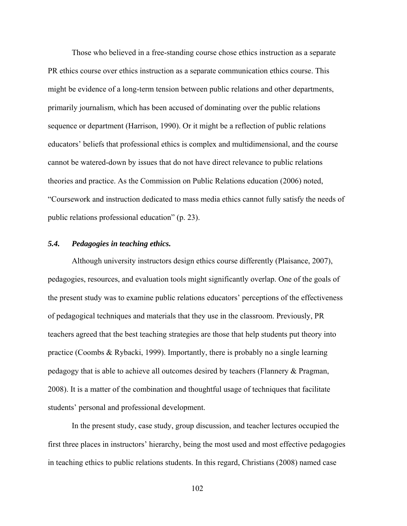Those who believed in a free-standing course chose ethics instruction as a separate PR ethics course over ethics instruction as a separate communication ethics course. This might be evidence of a long-term tension between public relations and other departments, primarily journalism, which has been accused of dominating over the public relations sequence or department (Harrison, 1990). Or it might be a reflection of public relations educators' beliefs that professional ethics is complex and multidimensional, and the course cannot be watered-down by issues that do not have direct relevance to public relations theories and practice. As the Commission on Public Relations education (2006) noted, "Coursework and instruction dedicated to mass media ethics cannot fully satisfy the needs of public relations professional education" (p. 23).

## *5.4. Pedagogies in teaching ethics.*

Although university instructors design ethics course differently (Plaisance, 2007), pedagogies, resources, and evaluation tools might significantly overlap. One of the goals of the present study was to examine public relations educators' perceptions of the effectiveness of pedagogical techniques and materials that they use in the classroom. Previously, PR teachers agreed that the best teaching strategies are those that help students put theory into practice (Coombs & Rybacki, 1999). Importantly, there is probably no a single learning pedagogy that is able to achieve all outcomes desired by teachers (Flannery & Pragman, 2008). It is a matter of the combination and thoughtful usage of techniques that facilitate students' personal and professional development.

In the present study, case study, group discussion, and teacher lectures occupied the first three places in instructors' hierarchy, being the most used and most effective pedagogies in teaching ethics to public relations students. In this regard, Christians (2008) named case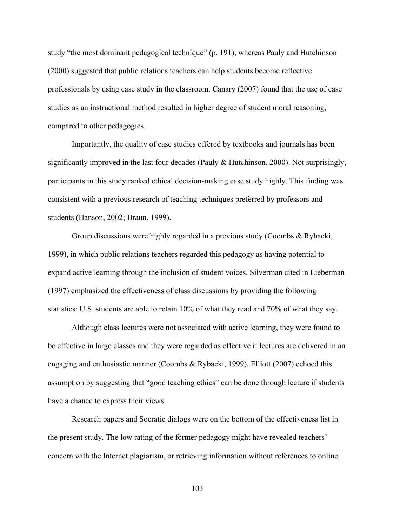study "the most dominant pedagogical technique" (p. 191), whereas Pauly and Hutchinson (2000) suggested that public relations teachers can help students become reflective professionals by using case study in the classroom. Canary (2007) found that the use of case studies as an instructional method resulted in higher degree of student moral reasoning, compared to other pedagogies.

Importantly, the quality of case studies offered by textbooks and journals has been significantly improved in the last four decades (Pauly  $\&$  Hutchinson, 2000). Not surprisingly, participants in this study ranked ethical decision-making case study highly. This finding was consistent with a previous research of teaching techniques preferred by professors and students (Hanson, 2002; Braun, 1999).

Group discussions were highly regarded in a previous study (Coombs & Rybacki, 1999), in which public relations teachers regarded this pedagogy as having potential to expand active learning through the inclusion of student voices. Silverman cited in Lieberman (1997) emphasized the effectiveness of class discussions by providing the following statistics: U.S. students are able to retain 10% of what they read and 70% of what they say.

Although class lectures were not associated with active learning, they were found to be effective in large classes and they were regarded as effective if lectures are delivered in an engaging and enthusiastic manner (Coombs & Rybacki, 1999). Elliott (2007) echoed this assumption by suggesting that "good teaching ethics" can be done through lecture if students have a chance to express their views.

Research papers and Socratic dialogs were on the bottom of the effectiveness list in the present study. The low rating of the former pedagogy might have revealed teachers' concern with the Internet plagiarism, or retrieving information without references to online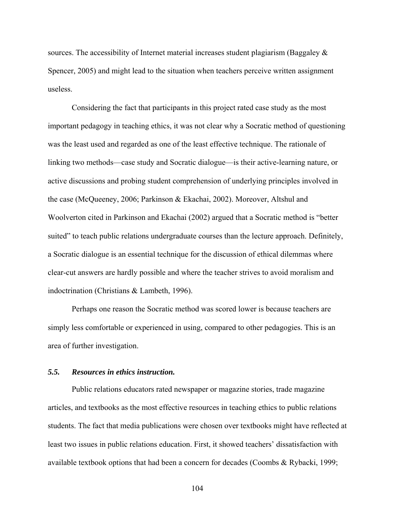sources. The accessibility of Internet material increases student plagiarism (Baggaley & Spencer, 2005) and might lead to the situation when teachers perceive written assignment useless.

Considering the fact that participants in this project rated case study as the most important pedagogy in teaching ethics, it was not clear why a Socratic method of questioning was the least used and regarded as one of the least effective technique. The rationale of linking two methods—case study and Socratic dialogue—is their active-learning nature, or active discussions and probing student comprehension of underlying principles involved in the case (McQueeney, 2006; Parkinson & Ekachai, 2002). Moreover, Altshul and Woolverton cited in Parkinson and Ekachai (2002) argued that a Socratic method is "better suited" to teach public relations undergraduate courses than the lecture approach. Definitely, a Socratic dialogue is an essential technique for the discussion of ethical dilemmas where clear-cut answers are hardly possible and where the teacher strives to avoid moralism and indoctrination (Christians & Lambeth, 1996).

Perhaps one reason the Socratic method was scored lower is because teachers are simply less comfortable or experienced in using, compared to other pedagogies. This is an area of further investigation.

## *5.5. Resources in ethics instruction.*

Public relations educators rated newspaper or magazine stories, trade magazine articles, and textbooks as the most effective resources in teaching ethics to public relations students. The fact that media publications were chosen over textbooks might have reflected at least two issues in public relations education. First, it showed teachers' dissatisfaction with available textbook options that had been a concern for decades (Coombs & Rybacki, 1999;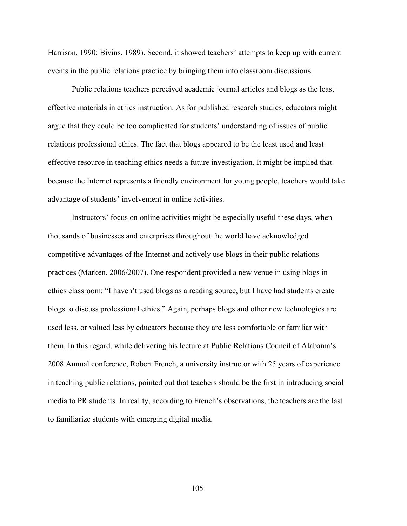Harrison, 1990; Bivins, 1989). Second, it showed teachers' attempts to keep up with current events in the public relations practice by bringing them into classroom discussions.

Public relations teachers perceived academic journal articles and blogs as the least effective materials in ethics instruction. As for published research studies, educators might argue that they could be too complicated for students' understanding of issues of public relations professional ethics. The fact that blogs appeared to be the least used and least effective resource in teaching ethics needs a future investigation. It might be implied that because the Internet represents a friendly environment for young people, teachers would take advantage of students' involvement in online activities.

Instructors' focus on online activities might be especially useful these days, when thousands of businesses and enterprises throughout the world have acknowledged competitive advantages of the Internet and actively use blogs in their public relations practices (Marken, 2006/2007). One respondent provided a new venue in using blogs in ethics classroom: "I haven't used blogs as a reading source, but I have had students create blogs to discuss professional ethics." Again, perhaps blogs and other new technologies are used less, or valued less by educators because they are less comfortable or familiar with them. In this regard, while delivering his lecture at Public Relations Council of Alabama's 2008 Annual conference, Robert French, a university instructor with 25 years of experience in teaching public relations, pointed out that teachers should be the first in introducing social media to PR students. In reality, according to French's observations, the teachers are the last to familiarize students with emerging digital media.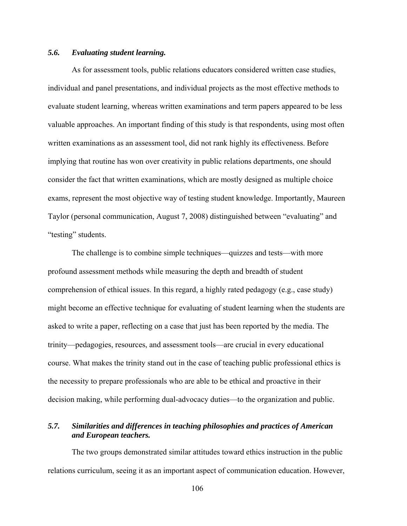## *5.6. Evaluating student learning.*

As for assessment tools, public relations educators considered written case studies, individual and panel presentations, and individual projects as the most effective methods to evaluate student learning, whereas written examinations and term papers appeared to be less valuable approaches. An important finding of this study is that respondents, using most often written examinations as an assessment tool, did not rank highly its effectiveness. Before implying that routine has won over creativity in public relations departments, one should consider the fact that written examinations, which are mostly designed as multiple choice exams, represent the most objective way of testing student knowledge. Importantly, Maureen Taylor (personal communication, August 7, 2008) distinguished between "evaluating" and "testing" students.

The challenge is to combine simple techniques—quizzes and tests—with more profound assessment methods while measuring the depth and breadth of student comprehension of ethical issues. In this regard, a highly rated pedagogy (e.g., case study) might become an effective technique for evaluating of student learning when the students are asked to write a paper, reflecting on a case that just has been reported by the media. The trinity—pedagogies, resources, and assessment tools—are crucial in every educational course. What makes the trinity stand out in the case of teaching public professional ethics is the necessity to prepare professionals who are able to be ethical and proactive in their decision making, while performing dual-advocacy duties—to the organization and public.

# *5.7. Similarities and differences in teaching philosophies and practices of American and European teachers.*

The two groups demonstrated similar attitudes toward ethics instruction in the public relations curriculum, seeing it as an important aspect of communication education. However,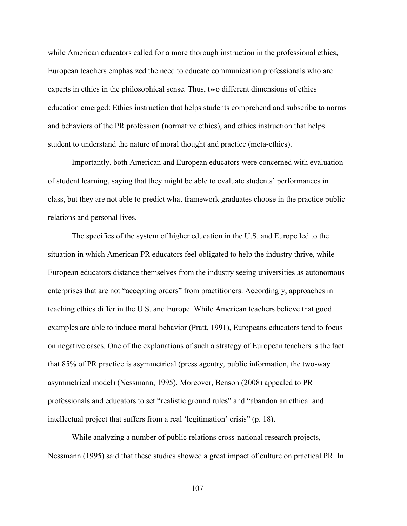while American educators called for a more thorough instruction in the professional ethics, European teachers emphasized the need to educate communication professionals who are experts in ethics in the philosophical sense. Thus, two different dimensions of ethics education emerged: Ethics instruction that helps students comprehend and subscribe to norms and behaviors of the PR profession (normative ethics), and ethics instruction that helps student to understand the nature of moral thought and practice (meta-ethics).

Importantly, both American and European educators were concerned with evaluation of student learning, saying that they might be able to evaluate students' performances in class, but they are not able to predict what framework graduates choose in the practice public relations and personal lives.

The specifics of the system of higher education in the U.S. and Europe led to the situation in which American PR educators feel obligated to help the industry thrive, while European educators distance themselves from the industry seeing universities as autonomous enterprises that are not "accepting orders" from practitioners. Accordingly, approaches in teaching ethics differ in the U.S. and Europe. While American teachers believe that good examples are able to induce moral behavior (Pratt, 1991), Europeans educators tend to focus on negative cases. One of the explanations of such a strategy of European teachers is the fact that 85% of PR practice is asymmetrical (press agentry, public information, the two-way asymmetrical model) (Nessmann, 1995). Moreover, Benson (2008) appealed to PR professionals and educators to set "realistic ground rules" and "abandon an ethical and intellectual project that suffers from a real 'legitimation' crisis" (p. 18).

While analyzing a number of public relations cross-national research projects, Nessmann (1995) said that these studies showed a great impact of culture on practical PR. In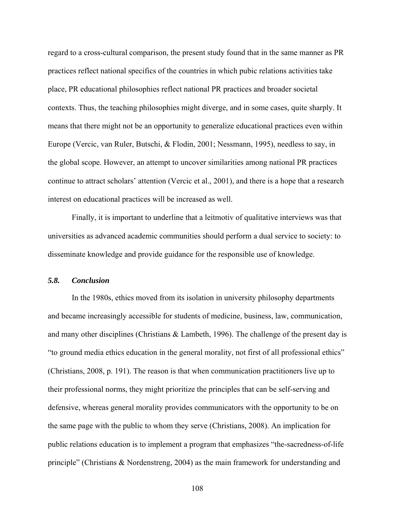regard to a cross-cultural comparison, the present study found that in the same manner as PR practices reflect national specifics of the countries in which pubic relations activities take place, PR educational philosophies reflect national PR practices and broader societal contexts. Thus, the teaching philosophies might diverge, and in some cases, quite sharply. It means that there might not be an opportunity to generalize educational practices even within Europe (Vercic, van Ruler, Butschi, & Flodin, 2001; Nessmann, 1995), needless to say, in the global scope. However, an attempt to uncover similarities among national PR practices continue to attract scholars' attention (Vercic et al., 2001), and there is a hope that a research interest on educational practices will be increased as well.

Finally, it is important to underline that a leitmotiv of qualitative interviews was that universities as advanced academic communities should perform a dual service to society: to disseminate knowledge and provide guidance for the responsible use of knowledge.

#### *5.8. Conclusion*

In the 1980s, ethics moved from its isolation in university philosophy departments and became increasingly accessible for students of medicine, business, law, communication, and many other disciplines (Christians & Lambeth, 1996). The challenge of the present day is "to ground media ethics education in the general morality, not first of all professional ethics" (Christians, 2008, p. 191). The reason is that when communication practitioners live up to their professional norms, they might prioritize the principles that can be self-serving and defensive, whereas general morality provides communicators with the opportunity to be on the same page with the public to whom they serve (Christians, 2008). An implication for public relations education is to implement a program that emphasizes "the-sacredness-of-life principle" (Christians & Nordenstreng, 2004) as the main framework for understanding and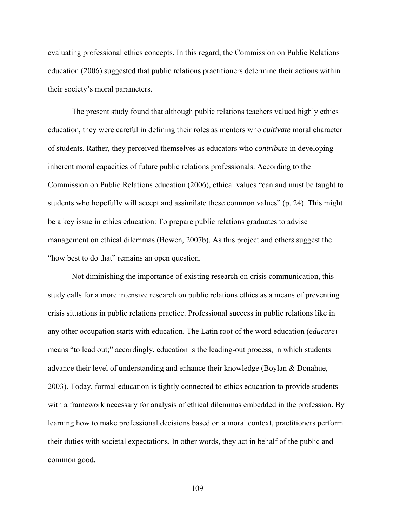evaluating professional ethics concepts. In this regard, the Commission on Public Relations education (2006) suggested that public relations practitioners determine their actions within their society's moral parameters.

The present study found that although public relations teachers valued highly ethics education, they were careful in defining their roles as mentors who *cultivate* moral character of students. Rather, they perceived themselves as educators who *contribute* in developing inherent moral capacities of future public relations professionals. According to the Commission on Public Relations education (2006), ethical values "can and must be taught to students who hopefully will accept and assimilate these common values" (p. 24). This might be a key issue in ethics education: To prepare public relations graduates to advise management on ethical dilemmas (Bowen, 2007b). As this project and others suggest the "how best to do that" remains an open question.

Not diminishing the importance of existing research on crisis communication, this study calls for a more intensive research on public relations ethics as a means of preventing crisis situations in public relations practice. Professional success in public relations like in any other occupation starts with education. The Latin root of the word education (*educare*) means "to lead out;" accordingly, education is the leading-out process, in which students advance their level of understanding and enhance their knowledge (Boylan & Donahue, 2003). Today, formal education is tightly connected to ethics education to provide students with a framework necessary for analysis of ethical dilemmas embedded in the profession. By learning how to make professional decisions based on a moral context, practitioners perform their duties with societal expectations. In other words, they act in behalf of the public and common good.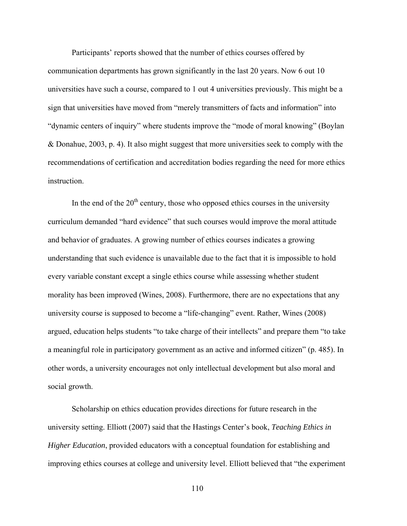Participants' reports showed that the number of ethics courses offered by communication departments has grown significantly in the last 20 years. Now 6 out 10 universities have such a course, compared to 1 out 4 universities previously. This might be a sign that universities have moved from "merely transmitters of facts and information" into "dynamic centers of inquiry" where students improve the "mode of moral knowing" (Boylan & Donahue, 2003, p. 4). It also might suggest that more universities seek to comply with the recommendations of certification and accreditation bodies regarding the need for more ethics instruction.

In the end of the  $20<sup>th</sup>$  century, those who opposed ethics courses in the university curriculum demanded "hard evidence" that such courses would improve the moral attitude and behavior of graduates. A growing number of ethics courses indicates a growing understanding that such evidence is unavailable due to the fact that it is impossible to hold every variable constant except a single ethics course while assessing whether student morality has been improved (Wines, 2008). Furthermore, there are no expectations that any university course is supposed to become a "life-changing" event. Rather, Wines (2008) argued, education helps students "to take charge of their intellects" and prepare them "to take a meaningful role in participatory government as an active and informed citizen" (p. 485). In other words, a university encourages not only intellectual development but also moral and social growth.

Scholarship on ethics education provides directions for future research in the university setting. Elliott (2007) said that the Hastings Center's book, *Teaching Ethics in Higher Education*, provided educators with a conceptual foundation for establishing and improving ethics courses at college and university level. Elliott believed that "the experiment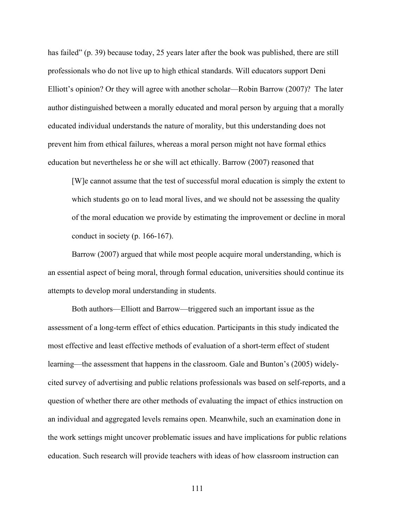has failed" (p. 39) because today, 25 years later after the book was published, there are still professionals who do not live up to high ethical standards. Will educators support Deni Elliott's opinion? Or they will agree with another scholar—Robin Barrow (2007)? The later author distinguished between a morally educated and moral person by arguing that a morally educated individual understands the nature of morality, but this understanding does not prevent him from ethical failures, whereas a moral person might not have formal ethics education but nevertheless he or she will act ethically. Barrow (2007) reasoned that

[W]e cannot assume that the test of successful moral education is simply the extent to which students go on to lead moral lives, and we should not be assessing the quality of the moral education we provide by estimating the improvement or decline in moral conduct in society (p. 166-167).

Barrow (2007) argued that while most people acquire moral understanding, which is an essential aspect of being moral, through formal education, universities should continue its attempts to develop moral understanding in students.

Both authors—Elliott and Barrow—triggered such an important issue as the assessment of a long-term effect of ethics education. Participants in this study indicated the most effective and least effective methods of evaluation of a short-term effect of student learning—the assessment that happens in the classroom. Gale and Bunton's (2005) widelycited survey of advertising and public relations professionals was based on self-reports, and a question of whether there are other methods of evaluating the impact of ethics instruction on an individual and aggregated levels remains open. Meanwhile, such an examination done in the work settings might uncover problematic issues and have implications for public relations education. Such research will provide teachers with ideas of how classroom instruction can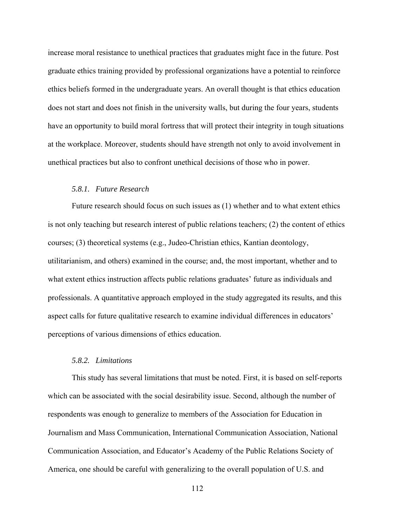increase moral resistance to unethical practices that graduates might face in the future. Post graduate ethics training provided by professional organizations have a potential to reinforce ethics beliefs formed in the undergraduate years. An overall thought is that ethics education does not start and does not finish in the university walls, but during the four years, students have an opportunity to build moral fortress that will protect their integrity in tough situations at the workplace. Moreover, students should have strength not only to avoid involvement in unethical practices but also to confront unethical decisions of those who in power.

#### *5.8.1. Future Research*

 Future research should focus on such issues as (1) whether and to what extent ethics is not only teaching but research interest of public relations teachers; (2) the content of ethics courses; (3) theoretical systems (e.g., Judeo-Christian ethics, Kantian deontology, utilitarianism, and others) examined in the course; and, the most important, whether and to what extent ethics instruction affects public relations graduates' future as individuals and professionals. A quantitative approach employed in the study aggregated its results, and this aspect calls for future qualitative research to examine individual differences in educators' perceptions of various dimensions of ethics education.

#### *5.8.2. Limitations*

This study has several limitations that must be noted. First, it is based on self-reports which can be associated with the social desirability issue. Second, although the number of respondents was enough to generalize to members of the Association for Education in Journalism and Mass Communication, International Communication Association, National Communication Association, and Educator's Academy of the Public Relations Society of America, one should be careful with generalizing to the overall population of U.S. and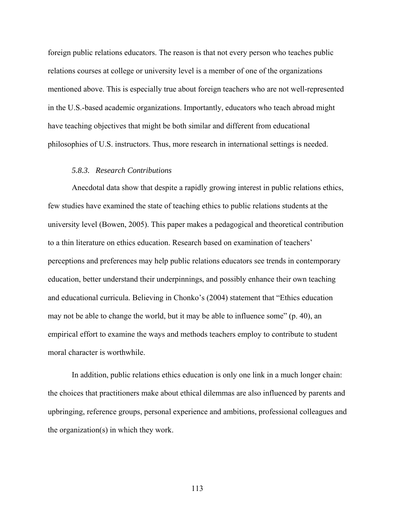foreign public relations educators. The reason is that not every person who teaches public relations courses at college or university level is a member of one of the organizations mentioned above. This is especially true about foreign teachers who are not well-represented in the U.S.-based academic organizations. Importantly, educators who teach abroad might have teaching objectives that might be both similar and different from educational philosophies of U.S. instructors. Thus, more research in international settings is needed.

#### *5.8.3. Research Contributions*

Anecdotal data show that despite a rapidly growing interest in public relations ethics, few studies have examined the state of teaching ethics to public relations students at the university level (Bowen, 2005). This paper makes a pedagogical and theoretical contribution to a thin literature on ethics education. Research based on examination of teachers' perceptions and preferences may help public relations educators see trends in contemporary education, better understand their underpinnings, and possibly enhance their own teaching and educational curricula. Believing in Chonko's (2004) statement that "Ethics education may not be able to change the world, but it may be able to influence some" (p. 40), an empirical effort to examine the ways and methods teachers employ to contribute to student moral character is worthwhile.

In addition, public relations ethics education is only one link in a much longer chain: the choices that practitioners make about ethical dilemmas are also influenced by parents and upbringing, reference groups, personal experience and ambitions, professional colleagues and the organization(s) in which they work.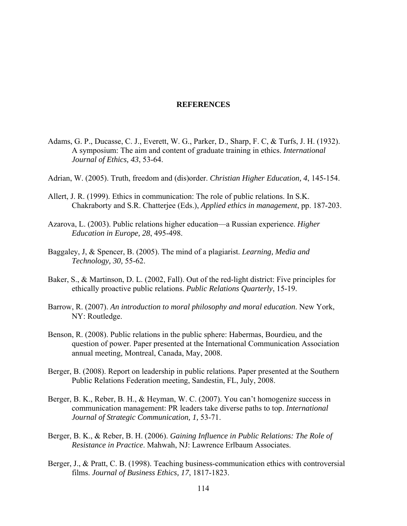#### **REFERENCES**

- Adams, G. P., Ducasse, C. J., Everett, W. G., Parker, D., Sharp, F. C, & Turfs, J. H. (1932). A symposium: The aim and content of graduate training in ethics. *International Journal of Ethics, 43*, 53-64.
- Adrian, W. (2005). Truth, freedom and (dis)order. *Christian Higher Education, 4*, 145-154.
- Allert, J. R. (1999). Ethics in communication: The role of public relations. In S.K. Chakraborty and S.R. Chatterjee (Eds.), *Applied ethics in management*, pp. 187-203.
- Azarova, L. (2003). Public relations higher education—a Russian experience. *Higher Education in Europe, 28*, 495-498.
- Baggaley, J, & Spencer, B. (2005). The mind of a plagiarist. *Learning, Media and Technology, 30,* 55-62.
- Baker, S., & Martinson, D. L. (2002, Fall). Out of the red-light district: Five principles for ethically proactive public relations. *Public Relations Quarterly*, 15-19.
- Barrow, R. (2007). *An introduction to moral philosophy and moral education*. New York, NY: Routledge.
- Benson, R. (2008). Public relations in the public sphere: Habermas, Bourdieu, and the question of power. Paper presented at the International Communication Association annual meeting, Montreal, Canada, May, 2008.
- Berger, B. (2008). Report on leadership in public relations. Paper presented at the Southern Public Relations Federation meeting, Sandestin, FL, July, 2008.
- Berger, B. K., Reber, B. H., & Heyman, W. C. (2007). You can't homogenize success in communication management: PR leaders take diverse paths to top. *International Journal of Strategic Communication, 1,* 53-71.
- Berger, B. K., & Reber, B. H. (2006). *Gaining Influence in Public Relations: The Role of Resistance in Practice*. Mahwah, NJ: Lawrence Erlbaum Associates.
- Berger, J., & Pratt, C. B. (1998). Teaching business-communication ethics with controversial films. *Journal of Business Ethics, 17*, 1817-1823.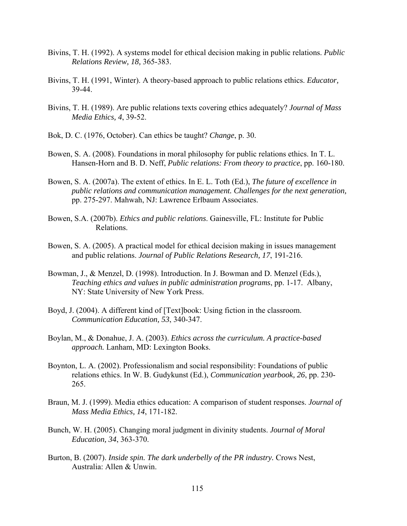- Bivins, T. H. (1992). A systems model for ethical decision making in public relations. *Public Relations Review, 18,* 365-383.
- Bivins, T. H. (1991, Winter). A theory-based approach to public relations ethics. *Educator,* 39-44.
- Bivins, T. H. (1989). Are public relations texts covering ethics adequately? *Journal of Mass Media Ethics, 4*, 39-52.
- Bok, D. C. (1976, October). Can ethics be taught? *Change*, p. 30.
- Bowen, S. A. (2008). Foundations in moral philosophy for public relations ethics. In T. L. Hansen-Horn and B. D. Neff, *Public relations: From theory to practice*, pp. 160-180.
- Bowen, S. A. (2007a). The extent of ethics. In E. L. Toth (Ed.), *The future of excellence in public relations and communication management. Challenges for the next generation,* pp. 275-297. Mahwah, NJ: Lawrence Erlbaum Associates.
- Bowen, S.A. (2007b). *Ethics and public relations*. Gainesville, FL: Institute for Public Relations.
- Bowen, S. A. (2005). A practical model for ethical decision making in issues management and public relations. *Journal of Public Relations Research, 17*, 191-216.
- Bowman, J., & Menzel, D. (1998). Introduction. In J. Bowman and D. Menzel (Eds.), *Teaching ethics and values in public administration programs*, pp. 1-17. Albany, NY: State University of New York Press.
- Boyd, J. (2004). A different kind of [Text]book: Using fiction in the classroom. *Communication Education, 53*, 340-347.
- Boylan, M., & Donahue, J. A. (2003). *Ethics across the curriculum. A practice-based approach.* Lanham, MD: Lexington Books.
- Boynton, L. A. (2002). Professionalism and social responsibility: Foundations of public relations ethics. In W. B. Gudykunst (Ed.), *Communication yearbook, 26*, pp. 230- 265.
- Braun, M. J. (1999). Media ethics education: A comparison of student responses. *Journal of Mass Media Ethics, 14*, 171-182.
- Bunch, W. H. (2005). Changing moral judgment in divinity students. *Journal of Moral Education, 34*, 363-370.
- Burton, B. (2007). *Inside spin. The dark underbelly of the PR industry.* Crows Nest, Australia: Allen & Unwin.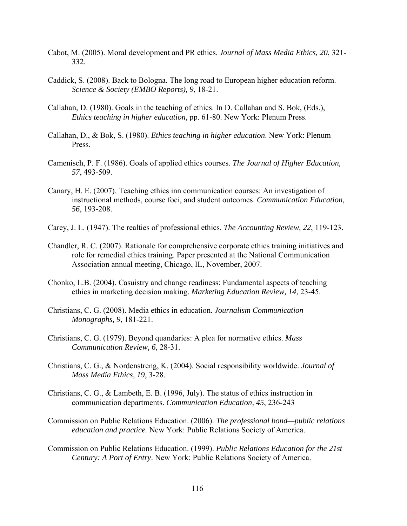- Cabot, M. (2005). Moral development and PR ethics. *Journal of Mass Media Ethics, 20*, 321- 332.
- Caddick, S. (2008). Back to Bologna. The long road to European higher education reform. *Science & Society (EMBO Reports), 9*, 18-21.
- Callahan, D. (1980). Goals in the teaching of ethics. In D. Callahan and S. Bok, (Eds.), *Ethics teaching in higher education,* pp. 61-80. New York: Plenum Press.
- Callahan, D., & Bok, S. (1980). *Ethics teaching in higher education*. New York: Plenum Press.
- Camenisch, P. F. (1986). Goals of applied ethics courses. *The Journal of Higher Education, 57*, 493-509.
- Canary, H. E. (2007). Teaching ethics inn communication courses: An investigation of instructional methods, course foci, and student outcomes. *Communication Education, 56*, 193-208.
- Carey, J. L. (1947). The realties of professional ethics. *The Accounting Review, 22*, 119-123.
- Chandler, R. C. (2007). Rationale for comprehensive corporate ethics training initiatives and role for remedial ethics training. Paper presented at the National Communication Association annual meeting, Chicago, IL, November, 2007.
- Chonko, L.B. (2004). Casuistry and change readiness: Fundamental aspects of teaching ethics in marketing decision making. *Marketing Education Review, 14*, 23-45.
- Christians, C. G. (2008). Media ethics in education. *Journalism Communication Monographs, 9*, 181-221.
- Christians, C. G. (1979). Beyond quandaries: A plea for normative ethics. *Mass Communication Review, 6*, 28-31.
- Christians, C. G., & Nordenstreng, K. (2004). Social responsibility worldwide. *Journal of Mass Media Ethics, 19*, 3-28.
- Christians, C. G., & Lambeth, E. B. (1996, July). The status of ethics instruction in communication departments. *Communication Education, 45*, 236-243
- Commission on Public Relations Education. (2006). *The professional bond—public relations education and practice.* New York: Public Relations Society of America.
- Commission on Public Relations Education. (1999). *Public Relations Education for the 21st Century: A Port of Entry*. New York: Public Relations Society of America.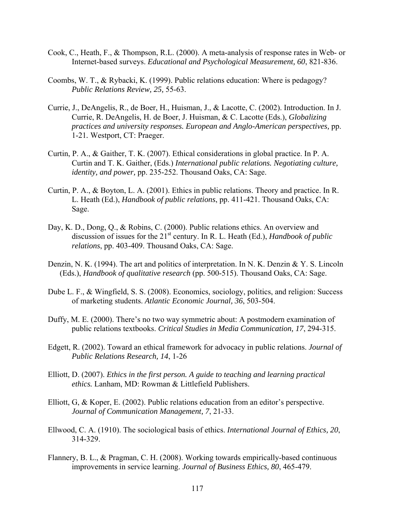- Cook, C., Heath, F., & Thompson, R.L. (2000). A meta-analysis of response rates in Web- or Internet-based surveys. *Educational and Psychological Measurement, 60*, 821-836.
- Coombs, W. T., & Rybacki, K. (1999). Public relations education: Where is pedagogy? *Public Relations Review, 25,* 55-63.
- Currie, J., DeAngelis, R., de Boer, H., Huisman, J., & Lacotte, C. (2002). Introduction. In J. Currie, R. DeAngelis, H. de Boer, J. Huisman, & C. Lacotte (Eds.), *Globalizing practices and university responses. European and Anglo-American perspectives,* pp. 1-21*.* Westport, CT: Praeger.
- Curtin, P. A., & Gaither, T. K. (2007). Ethical considerations in global practice. In P. A. Curtin and T. K. Gaither, (Eds.) *International public relations. Negotiating culture, identity, and power,* pp. 235-252. Thousand Oaks, CA: Sage.
- Curtin, P. A., & Boyton, L. A. (2001). Ethics in public relations. Theory and practice. In R. L. Heath (Ed.), *Handbook of public relations*, pp. 411-421. Thousand Oaks, CA: Sage.
- Day, K. D., Dong, Q., & Robins, C. (2000). Public relations ethics. An overview and discussion of issues for the 21<sup>st</sup> century. In R. L. Heath (Ed.), *Handbook of public relations*, pp. 403-409. Thousand Oaks, CA: Sage.
- Denzin, N. K. (1994). The art and politics of interpretation. In N. K. Denzin & Y. S. Lincoln (Eds.), *Handbook of qualitative research* (pp. 500-515). Thousand Oaks, CA: Sage.
- Dube L. F., & Wingfield, S. S. (2008). Economics, sociology, politics, and religion: Success of marketing students. *Atlantic Economic Journal, 36*, 503-504.
- Duffy, M. E. (2000). There's no two way symmetric about: A postmodern examination of public relations textbooks. *Critical Studies in Media Communication, 17*, 294-315.
- Edgett, R. (2002). Toward an ethical framework for advocacy in public relations. *Journal of Public Relations Research, 14*, 1-26
- Elliott, D. (2007). *Ethics in the first person. A guide to teaching and learning practical ethics.* Lanham, MD: Rowman & Littlefield Publishers.
- Elliott, G, & Koper, E. (2002). Public relations education from an editor's perspective. *Journal of Communication Management, 7*, 21-33.
- Ellwood, C. A. (1910). The sociological basis of ethics. *International Journal of Ethics, 20*, 314-329.
- Flannery, B. L., & Pragman, C. H. (2008). Working towards empirically-based continuous improvements in service learning. *Journal of Business Ethics, 80*, 465-479.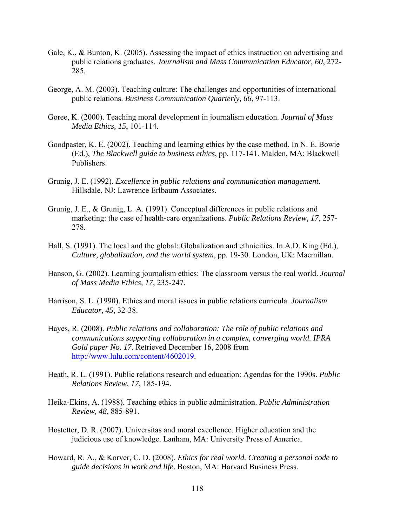- Gale, K., & Bunton, K. (2005). Assessing the impact of ethics instruction on advertising and public relations graduates. *Journalism and Mass Communication Educator, 60*, 272- 285.
- George, A. M. (2003). Teaching culture: The challenges and opportunities of international public relations. *Business Communication Quarterly, 66*, 97-113.
- Goree, K. (2000). Teaching moral development in journalism education. *Journal of Mass Media Ethics, 15*, 101-114.
- Goodpaster, K. E. (2002). Teaching and learning ethics by the case method. In N. E. Bowie (Ed.), *The Blackwell guide to business ethics*, pp. 117-141. Malden, MA: Blackwell Publishers.
- Grunig, J. E. (1992). *Excellence in public relations and communication management*. Hillsdale, NJ: Lawrence Erlbaum Associates.
- Grunig, J. E., & Grunig, L. A. (1991). Conceptual differences in public relations and marketing: the case of health-care organizations. *Public Relations Review, 17*, 257- 278.
- Hall, S. (1991). The local and the global: Globalization and ethnicities. In A.D. King (Ed.), *Culture, globalization, and the world system*, pp. 19-30. London, UK: Macmillan.
- Hanson, G. (2002). Learning journalism ethics: The classroom versus the real world. *Journal of Mass Media Ethics, 17*, 235-247.
- Harrison, S. L. (1990). Ethics and moral issues in public relations curricula. *Journalism Educator, 45*, 32-38.
- Hayes, R. (2008). *Public relations and collaboration: The role of public relations and communications supporting collaboration in a complex, converging world. IPRA Gold paper No. 17*. Retrieved December 16, 2008 from http://www.lulu.com/content/4602019.
- Heath, R. L. (1991). Public relations research and education: Agendas for the 1990s. *Public Relations Review, 17*, 185-194.
- Heika-Ekins, A. (1988). Teaching ethics in public administration. *Public Administration Review, 48*, 885-891.
- Hostetter, D. R. (2007). Universitas and moral excellence. Higher education and the judicious use of knowledge. Lanham, MA: University Press of America.
- Howard, R. A., & Korver, C. D. (2008). *Ethics for real world. Creating a personal code to guide decisions in work and life*. Boston, MA: Harvard Business Press.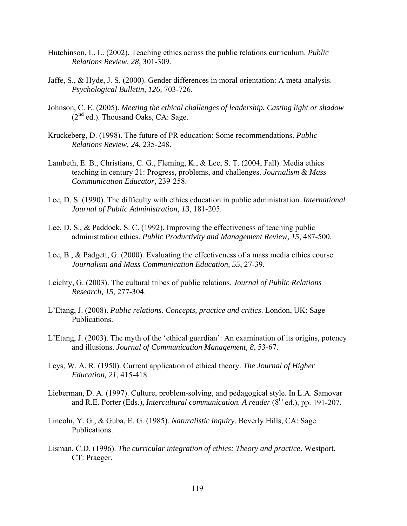- Hutchinson, L. L. (2002). Teaching ethics across the public relations curriculum. *Public Relations Review, 28*, 301-309.
- Jaffe, S., & Hyde, J. S. (2000). Gender differences in moral orientation: A meta-analysis. *Psychological Bulletin, 126,* 703-726.
- Johnson, C. E. (2005). *Meeting the ethical challenges of leadership. Casting light or shadow*  $(2<sup>nd</sup>$  ed.). Thousand Oaks, CA: Sage.
- Kruckeberg, D. (1998). The future of PR education: Some recommendations. *Public Relations Review, 24*, 235-248.
- Lambeth, E. B., Christians, C. G., Fleming, K., & Lee, S. T. (2004, Fall). Media ethics teaching in century 21: Progress, problems, and challenges. *Journalism & Mass Communication Educator*, 239-258.
- Lee, D. S. (1990). The difficulty with ethics education in public administration. *International Journal of Public Administration, 13*, 181-205.
- Lee, D. S., & Paddock, S. C. (1992). Improving the effectiveness of teaching public administration ethics. *Public Productivity and Management Review, 15,* 487-500.
- Lee, B., & Padgett, G. (2000). Evaluating the effectiveness of a mass media ethics course. *Journalism and Mass Communication Education, 55*, 27-39.
- Leichty, G. (2003). The cultural tribes of public relations. *Journal of Public Relations Research, 15*, 277-304.
- L'Etang, J. (2008). *Public relations. Concepts, practice and critics*. London, UK: Sage Publications.
- L'Etang, J. (2003). The myth of the 'ethical guardian': An examination of its origins, potency and illusions. *Journal of Communication Management, 8*, 53-67.
- Leys, W. A. R. (1950). Current application of ethical theory. *The Journal of Higher Education, 21*, 415-418.
- Lieberman, D. A. (1997). Culture, problem-solving, and pedagogical style. In L.A. Samovar and R.E. Porter (Eds.), *Intercultural communication. A reader* (8<sup>th</sup> ed.), pp. 191-207.
- Lincoln, Y. G., & Guba, E. G. (1985). *Naturalistic inquiry*. Beverly Hills, CA: Sage Publications.
- Lisman, C.D. (1996). *The curricular integration of ethics: Theory and practice*. Westport, CT: Praeger.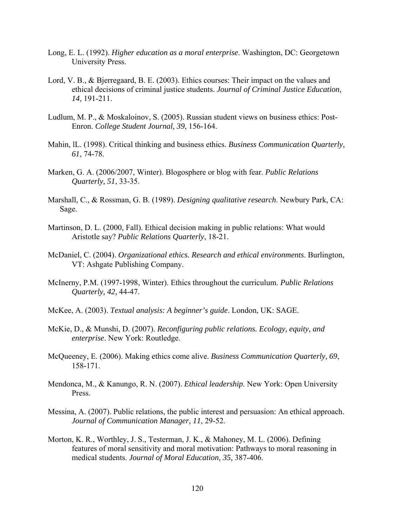- Long, E. L. (1992). *Higher education as a moral enterprise*. Washington, DC: Georgetown University Press.
- Lord, V. B., & Bjerregaard, B. E. (2003). Ethics courses: Their impact on the values and ethical decisions of criminal justice students. *Journal of Criminal Justice Education, 14*, 191-211.
- Ludlum, M. P., & Moskaloinov, S. (2005). Russian student views on business ethics: Post-Enron. *College Student Journal, 39*, 156-164.
- Mahin, lL. (1998). Critical thinking and business ethics. *Business Communication Quarterly, 61*, 74-78.
- Marken, G. A. (2006/2007, Winter). Blogosphere or blog with fear. *Public Relations Quarterly, 51*, 33-35.
- Marshall, C., & Rossman, G. B. (1989). *Designing qualitative research*. Newbury Park, CA: Sage.
- Martinson, D. L. (2000, Fall). Ethical decision making in public relations: What would Aristotle say? *Public Relations Quarterly*, 18-21.
- McDaniel, C. (2004). *Organizational ethics. Research and ethical environments*. Burlington, VT: Ashgate Publishing Company.
- McInerny, P.M. (1997-1998, Winter). Ethics throughout the curriculum. *Public Relations Quarterly, 42,* 44-47.
- McKee, A. (2003). *Textual analysis: A beginner's guide*. London, UK: SAGE.
- McKie, D., & Munshi, D. (2007). *Reconfiguring public relations. Ecology, equity, and enterprise*. New York: Routledge.
- McQueeney, E. (2006). Making ethics come alive. *Business Communication Quarterly, 69*, 158-171.
- Mendonca, M., & Kanungo, R. N. (2007). *Ethical leadership*. New York: Open University Press.
- Messina, A. (2007). Public relations, the public interest and persuasion: An ethical approach. *Journal of Communication Manager, 11*, 29-52.
- Morton, K. R., Worthley, J. S., Testerman, J. K., & Mahoney, M. L. (2006). Defining features of moral sensitivity and moral motivation: Pathways to moral reasoning in medical students. *Journal of Moral Education, 35,* 387-406.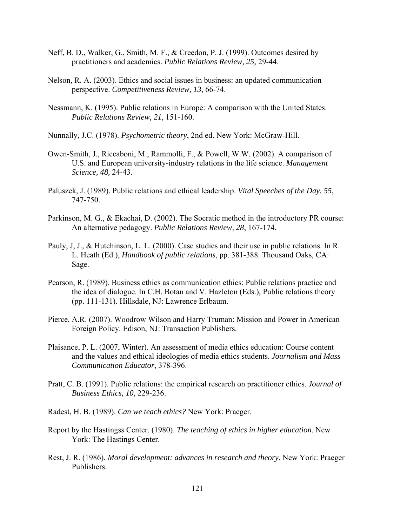- Neff, B. D., Walker, G., Smith, M. F., & Creedon, P. J. (1999). Outcomes desired by practitioners and academics. *Public Relations Review, 25,* 29-44.
- Nelson, R. A. (2003). Ethics and social issues in business: an updated communication perspective. *Competitiveness Review, 13*, 66-74.
- Nessmann, K. (1995). Public relations in Europe: A comparison with the United States. *Public Relations Review, 21*, 151-160.
- Nunnally, J.C. (1978). *Psychometric theory*, 2nd ed. New York: McGraw-Hill.
- Owen-Smith, J., Riccaboni, M., Rammolli, F., & Powell, W.W. (2002). A comparison of U.S. and European university-industry relations in the life science. *Management Science, 48,* 24-43.
- Paluszek, J. (1989). Public relations and ethical leadership. *Vital Speeches of the Day, 55*, 747-750.
- Parkinson, M. G., & Ekachai, D. (2002). The Socratic method in the introductory PR course: An alternative pedagogy. *Public Relations Review, 28*, 167-174.
- Pauly, J, J., & Hutchinson, L. L. (2000). Case studies and their use in public relations. In R. L. Heath (Ed.), *Handbook of public relations*, pp. 381-388. Thousand Oaks, CA: Sage.
- Pearson, R. (1989). Business ethics as communication ethics: Public relations practice and the idea of dialogue. In C.H. Botan and V. Hazleton (Eds.), Public relations theory (pp. 111-131). Hillsdale, NJ: Lawrence Erlbaum.
- Pierce, A.R. (2007). Woodrow Wilson and Harry Truman: Mission and Power in American Foreign Policy. Edison, NJ: Transaction Publishers.
- Plaisance, P. L. (2007, Winter). An assessment of media ethics education: Course content and the values and ethical ideologies of media ethics students. *Journalism and Mass Communication Educator*, 378-396.
- Pratt, C. B. (1991). Public relations: the empirical research on practitioner ethics. *Journal of Business Ethics, 10*, 229-236.
- Radest, H. B. (1989). *Can we teach ethics?* New York: Praeger.
- Report by the Hastingss Center. (1980). *The teaching of ethics in higher education*. New York: The Hastings Center.
- Rest, J. R. (1986). *Moral development: advances in research and theory*. New York: Praeger Publishers.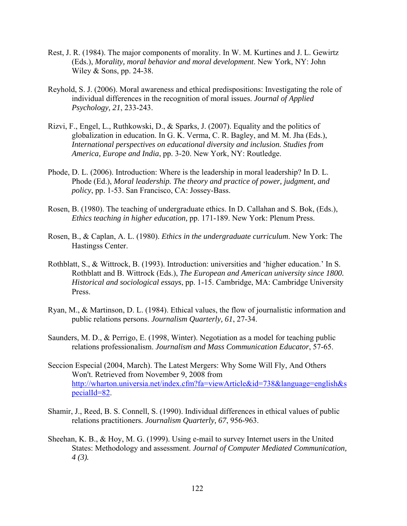- Rest, J. R. (1984). The major components of morality. In W. M. Kurtines and J. L. Gewirtz (Eds.), *Morality, moral behavior and moral development*. New York, NY: John Wiley & Sons, pp. 24-38.
- Reyhold, S. J. (2006). Moral awareness and ethical predispositions: Investigating the role of individual differences in the recognition of moral issues. *Journal of Applied Psychology, 21*, 233-243.
- Rizvi, F., Engel, L., Ruthkowski, D., & Sparks, J. (2007). Equality and the politics of globalization in education. In G. K. Verma, C. R. Bagley, and M. M. Jha (Eds.), *International perspectives on educational diversity and inclusion. Studies from America, Europe and India*, pp. 3-20. New York, NY: Routledge.
- Phode, D. L. (2006). Introduction: Where is the leadership in moral leadership? In D. L. Phode (Ed.), *Moral leadership. The theory and practice of power, judgment, and policy*, pp. 1-53. San Francisco, CA: Jossey-Bass.
- Rosen, B. (1980). The teaching of undergraduate ethics. In D. Callahan and S. Bok, (Eds.), *Ethics teaching in higher education,* pp. 171-189. New York: Plenum Press.
- Rosen, B., & Caplan, A. L. (1980). *Ethics in the undergraduate curriculum*. New York: The Hastingss Center.
- Rothblatt, S., & Wittrock, B. (1993). Introduction: universities and 'higher education.' In S. Rothblatt and B. Wittrock (Eds.), *The European and American university since 1800. Historical and sociological essays*, pp. 1-15. Cambridge, MA: Cambridge University Press.
- Ryan, M., & Martinson, D. L. (1984). Ethical values, the flow of journalistic information and public relations persons. *Journalism Quarterly, 61*, 27-34.
- Saunders, M. D., & Perrigo, E. (1998, Winter). Negotiation as a model for teaching public relations professionalism. *Journalism and Mass Communication Educator*, 57-65.
- Seccion Especial (2004, March). The Latest Mergers: Why Some Will Fly, And Others Won't. Retrieved from November 9, 2008 from http://wharton.universia.net/index.cfm?fa=viewArticle&id=738&language=english&s pecialId=82.
- Shamir, J., Reed, B. S. Connell, S. (1990). Individual differences in ethical values of public relations practitioners. *Journalism Quarterly, 67*, 956-963.
- Sheehan, K. B., & Hoy, M. G. (1999). Using e-mail to survey Internet users in the United States: Methodology and assessment. *Journal of Computer Mediated Communication, 4 (3).*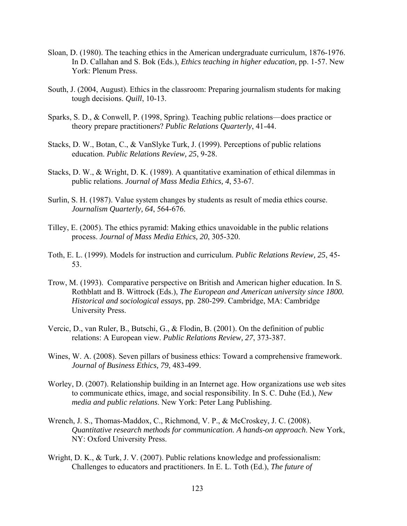- Sloan, D. (1980). The teaching ethics in the American undergraduate curriculum, 1876-1976. In D. Callahan and S. Bok (Eds.), *Ethics teaching in higher education,* pp. 1-57. New York: Plenum Press.
- South, J. (2004, August). Ethics in the classroom: Preparing journalism students for making tough decisions. *Quill*, 10-13.
- Sparks, S. D., & Conwell, P. (1998, Spring). Teaching public relations—does practice or theory prepare practitioners? *Public Relations Quarterly*, 41-44.
- Stacks, D. W., Botan, C., & VanSlyke Turk, J. (1999). Perceptions of public relations education. *Public Relations Review, 25*, 9-28.
- Stacks, D. W., & Wright, D. K. (1989). A quantitative examination of ethical dilemmas in public relations. *Journal of Mass Media Ethics, 4*, 53-67.
- Surlin, S. H. (1987). Value system changes by students as result of media ethics course. *Journalism Quarterly, 64*, 564-676.
- Tilley, E. (2005). The ethics pyramid: Making ethics unavoidable in the public relations process. *Journal of Mass Media Ethics, 20*, 305-320.
- Toth, E. L. (1999). Models for instruction and curriculum. *Public Relations Review, 25*, 45- 53.
- Trow, M. (1993). Comparative perspective on British and American higher education. In S. Rothblatt and B. Wittrock (Eds.), *The European and American university since 1800. Historical and sociological essays*, pp. 280-299. Cambridge, MA: Cambridge University Press.
- Vercic, D., van Ruler, B., Butschi, G., & Flodin, B. (2001). On the definition of public relations: A European view. *Public Relations Review, 27*, 373-387.
- Wines, W. A. (2008). Seven pillars of business ethics: Toward a comprehensive framework. *Journal of Business Ethics, 79*, 483-499.
- Worley, D. (2007). Relationship building in an Internet age. How organizations use web sites to communicate ethics, image, and social responsibility. In S. C. Duhe (Ed.), *New media and public relations*. New York: Peter Lang Publishing.
- Wrench, J. S., Thomas-Maddox, C., Richmond, V. P., & McCroskey, J. C. (2008). *Quantitative research methods for communication. A hands-on approach*. New York, NY: Oxford University Press.
- Wright, D. K., & Turk, J. V. (2007). Public relations knowledge and professionalism: Challenges to educators and practitioners. In E. L. Toth (Ed.), *The future of*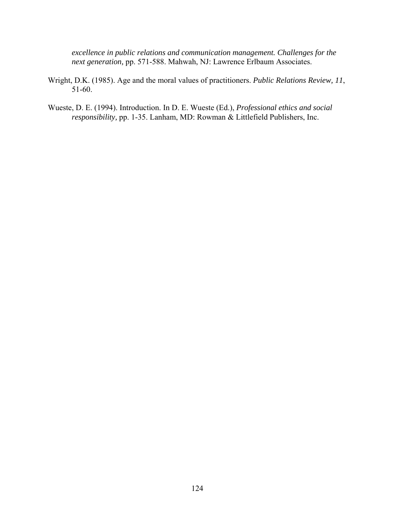*excellence in public relations and communication management. Challenges for the next generation,* pp. 571-588. Mahwah, NJ: Lawrence Erlbaum Associates.

- Wright, D.K. (1985). Age and the moral values of practitioners. *Public Relations Review, 11*, 51-60.
- Wueste, D. E. (1994). Introduction. In D. E. Wueste (Ed.), *Professional ethics and social responsibility,* pp. 1-35. Lanham, MD: Rowman & Littlefield Publishers, Inc.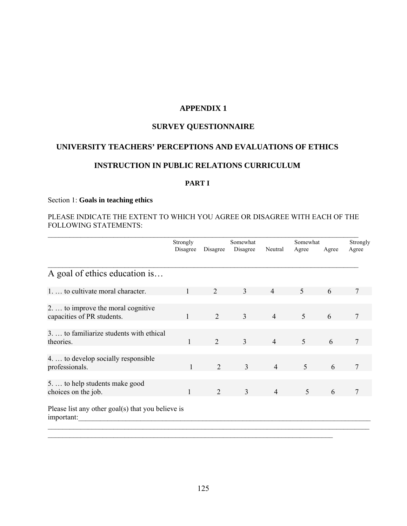# **APPENDIX 1**

# **SURVEY QUESTIONNAIRE**

# **UNIVERSITY TEACHERS' PERCEPTIONS AND EVALUATIONS OF ETHICS**

# **INSTRUCTION IN PUBLIC RELATIONS CURRICULUM**

## **PART I**

#### Section 1: **Goals in teaching ethics**

## PLEASE INDICATE THE EXTENT TO WHICH YOU AGREE OR DISAGREE WITH EACH OF THE FOLLOWING STATEMENTS:  $\mathcal{L}_\text{max} = \mathcal{L}_\text{max} = \mathcal{L}_\text{max} = \mathcal{L}_\text{max} = \mathcal{L}_\text{max} = \mathcal{L}_\text{max} = \mathcal{L}_\text{max} = \mathcal{L}_\text{max} = \mathcal{L}_\text{max} = \mathcal{L}_\text{max} = \mathcal{L}_\text{max} = \mathcal{L}_\text{max} = \mathcal{L}_\text{max} = \mathcal{L}_\text{max} = \mathcal{L}_\text{max} = \mathcal{L}_\text{max} = \mathcal{L}_\text{max} = \mathcal{L}_\text{max} = \mathcal{$

|                                                                  | Strongly |                | Somewhat       |                | Somewhat |       | Strongly |
|------------------------------------------------------------------|----------|----------------|----------------|----------------|----------|-------|----------|
|                                                                  | Disagree | Disagree       | Disagree       | Neutral        | Agree    | Agree | Agree    |
|                                                                  |          |                |                |                |          |       |          |
| A goal of ethics education is                                    |          |                |                |                |          |       |          |
| 1.  to cultivate moral character.                                |          | 2              | 3              | $\overline{4}$ | 5        | 6     |          |
|                                                                  |          |                |                |                |          |       |          |
| 2.  to improve the moral cognitive<br>capacities of PR students. |          | $\overline{2}$ | 3              | $\overline{4}$ | 5        | 6     | 7        |
|                                                                  |          |                |                |                |          |       |          |
| 3.  to familiarize students with ethical<br>theories.            | 1        | 2              | $\overline{3}$ | $\overline{4}$ | 5        | 6     | 7        |
|                                                                  |          |                |                |                |          |       |          |
| 4.  to develop socially responsible<br>professionals.            | 1        | 2              | 3              | $\overline{4}$ | 5        | 6     | 7        |
| 5.  to help students make good<br>choices on the job.            | 1        | 2              | $\overline{3}$ | $\overline{4}$ | 5        | 6     | 7        |
| Please list any other goal(s) that you believe is<br>important:  |          |                |                |                |          |       |          |
|                                                                  |          |                |                |                |          |       |          |
|                                                                  |          |                |                |                |          |       |          |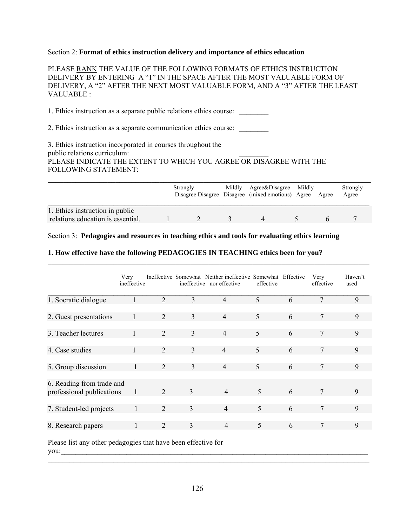#### Section 2: **Format of ethics instruction delivery and importance of ethics education**

PLEASE RANK THE VALUE OF THE FOLLOWING FORMATS OF ETHICS INSTRUCTION DELIVERY BY ENTERING A "1" IN THE SPACE AFTER THE MOST VALUABLE FORM OF DELIVERY, A "2" AFTER THE NEXT MOST VALUABLE FORM, AND A "3" AFTER THE LEAST VALUABLE :

1. Ethics instruction as a separate public relations ethics course:

2. Ethics instruction as a separate communication ethics course: \_\_\_\_\_\_\_\_\_\_\_\_\_\_\_

3. Ethics instruction incorporated in courses throughout the public relations curriculum: PLEASE INDICATE THE EXTENT TO WHICH YOU AGREE OR DISAGREE WITH THE FOLLOWING STATEMENT:

|                                                                      | Strongly | Mildly | Agree&Disagree<br>Disagree Disagree Disagree (mixed emotions) Agree | Mildly | Agree | Strongly<br>Agree |
|----------------------------------------------------------------------|----------|--------|---------------------------------------------------------------------|--------|-------|-------------------|
| 1. Ethics instruction in public<br>relations education is essential. |          |        |                                                                     |        |       |                   |

**\_\_\_\_\_\_\_\_\_\_\_\_\_\_\_\_\_\_\_\_\_\_\_\_\_\_\_\_\_\_\_\_\_\_\_\_\_\_\_\_\_\_\_\_\_\_\_\_\_\_\_\_\_\_\_\_\_\_\_\_\_\_\_\_\_\_\_\_\_\_\_\_\_\_\_\_\_\_\_\_\_\_\_\_\_\_\_\_** 

Section 3: **Pedagogies and resources in teaching ethics and tools for evaluating ethics learning**

## **1. How effective have the following PEDAGOGIES IN TEACHING ethics been for you?**

|                                                        | Very<br>ineffective |                             |   | Ineffective Somewhat Neither ineffective Somewhat Effective<br>ineffective nor effective | effective                |   | Very<br>effective | Haven't<br>used |
|--------------------------------------------------------|---------------------|-----------------------------|---|------------------------------------------------------------------------------------------|--------------------------|---|-------------------|-----------------|
| 1. Socratic dialogue                                   |                     | 2                           | 3 | $\overline{4}$                                                                           | 5                        | 6 | 7                 | 9               |
| 2. Guest presentations                                 |                     | 2                           | 3 | $\overline{4}$                                                                           | 5                        | 6 | 7                 | 9               |
| 3. Teacher lectures                                    |                     | $\mathcal{D}_{\mathcal{L}}$ | 3 | $\overline{4}$                                                                           | $\overline{\mathcal{L}}$ | 6 | 7                 | 9               |
| 4. Case studies                                        |                     | 2                           | 3 | $\overline{4}$                                                                           | 5                        | 6 | 7                 | 9               |
| 5. Group discussion                                    | $\mathbf{1}$        | 2                           | 3 | $\overline{4}$                                                                           | 5                        | 6 | 7                 | 9               |
| 6. Reading from trade and<br>professional publications | 1                   | 2                           | 3 | $\overline{4}$                                                                           | 5                        | 6 | 7                 | 9               |
| 7. Student-led projects                                |                     | $\mathcal{D}_{\mathcal{L}}$ | 3 | $\overline{4}$                                                                           | $\overline{\mathcal{L}}$ | 6 | 7                 | 9               |
| 8. Research papers                                     | 1                   | 2                           | 3 | 4                                                                                        | 5                        | 6 | 7                 | 9               |

Please list any other pedagogies that have been effective for you: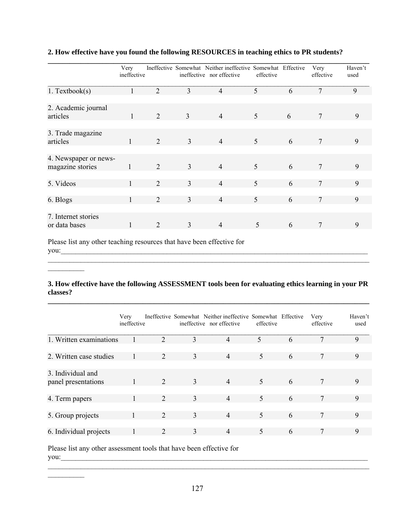|                                           | Very<br>ineffective |                |                | Ineffective Somewhat Neither ineffective Somewhat Effective<br>ineffective nor effective | effective |   | Very<br>effective | Haven't<br>used |
|-------------------------------------------|---------------------|----------------|----------------|------------------------------------------------------------------------------------------|-----------|---|-------------------|-----------------|
| 1. Textbook(s)                            |                     | $\overline{2}$ | $\overline{3}$ | $\overline{4}$                                                                           | 5         | 6 | $\overline{7}$    | 9               |
| 2. Academic journal<br>articles           | 1                   | 2              | $\overline{3}$ | $\overline{4}$                                                                           | 5         | 6 | 7                 | 9               |
| 3. Trade magazine<br>articles             | 1                   | 2              | 3              | $\overline{4}$                                                                           | 5         | 6 | 7                 | 9               |
| 4. Newspaper or news-<br>magazine stories |                     | 2              | 3              | $\overline{4}$                                                                           | 5         | 6 | 7                 | 9               |
| 5. Videos                                 |                     | 2              | 3              | $\overline{4}$                                                                           | 5         | 6 |                   | 9               |
| 6. Blogs                                  |                     | $\overline{2}$ | 3              | $\overline{4}$                                                                           | 5         | 6 | 7                 | 9               |
| 7. Internet stories<br>or data bases      | 1                   | 2              | 3              | $\overline{4}$                                                                           | 5         | 6 | 7                 | 9               |

# **2. How effective have you found the following RESOURCES in teaching ethics to PR students?**

Please list any other teaching resources that have been effective for you:\_\_\_\_\_\_\_\_\_\_\_\_\_\_\_\_\_\_\_\_\_\_\_\_\_\_\_\_\_\_\_\_\_\_\_\_\_\_\_\_\_\_\_\_\_\_\_\_\_\_\_\_\_\_\_\_\_\_\_\_\_\_\_\_\_\_\_\_\_\_\_\_\_\_\_\_\_\_\_\_\_\_\_\_

 $\frac{1}{2}$ 

 $\frac{1}{2}$ 

\_\_\_\_\_\_\_\_\_\_\_\_\_\_\_\_\_\_\_\_\_\_\_\_\_\_\_\_\_\_\_\_\_\_\_\_\_\_\_\_\_\_\_\_\_\_\_\_\_\_\_\_\_\_\_\_\_\_\_\_\_\_\_\_\_\_\_\_\_\_\_\_\_\_\_\_\_\_\_\_\_\_\_\_\_\_\_\_

## **3. How effective have the following ASSESSMENT tools been for evaluating ethics learning in your PR classes?**

**\_\_\_\_\_\_\_\_\_\_\_\_\_\_\_\_\_\_\_\_\_\_\_\_\_\_\_\_\_\_\_\_\_\_\_\_\_\_\_\_\_\_\_\_\_\_\_\_\_\_\_\_\_\_\_\_\_\_\_\_\_\_\_\_\_\_\_\_\_\_\_\_\_\_\_\_\_\_\_\_\_\_\_\_\_\_\_\_** 

|                                          | Very<br>ineffective |   |   | Ineffective Somewhat Neither ineffective Somewhat Effective<br>ineffective nor effective | effective |   | Very<br>effective | Haven't<br>used |
|------------------------------------------|---------------------|---|---|------------------------------------------------------------------------------------------|-----------|---|-------------------|-----------------|
| 1. Written examinations                  |                     | 2 | 3 | $\overline{4}$                                                                           | 5         | 6 |                   | 9               |
|                                          |                     |   |   |                                                                                          |           |   |                   |                 |
| 2. Written case studies                  |                     | 2 | 3 | $\overline{4}$                                                                           | 5         | 6 | 7                 | 9               |
|                                          |                     |   |   |                                                                                          |           |   |                   |                 |
| 3. Individual and<br>panel presentations |                     | 2 | 3 | $\overline{4}$                                                                           | 5         | 6 | 7                 | 9               |
|                                          |                     |   |   |                                                                                          |           |   |                   |                 |
| 4. Term papers                           |                     | 2 | 3 | $\overline{4}$                                                                           | 5         | 6 | 7                 | 9               |
|                                          |                     |   |   |                                                                                          |           |   |                   |                 |
| 5. Group projects                        |                     | 2 | 3 | $\overline{4}$                                                                           | 5         | 6 |                   | 9               |
|                                          |                     |   |   |                                                                                          |           |   |                   |                 |
| 6. Individual projects                   |                     | 2 | 3 | 4                                                                                        | 5         | 6 |                   | 9               |

Please list any other assessment tools that have been effective for you:\_\_\_\_\_\_\_\_\_\_\_\_\_\_\_\_\_\_\_\_\_\_\_\_\_\_\_\_\_\_\_\_\_\_\_\_\_\_\_\_\_\_\_\_\_\_\_\_\_\_\_\_\_\_\_\_\_\_\_\_\_\_\_\_\_\_\_\_\_\_\_\_\_\_\_\_\_\_\_\_\_\_\_\_

 $\mathcal{L}_\mathcal{L} = \{ \mathcal{L}_\mathcal{L} = \{ \mathcal{L}_\mathcal{L} = \{ \mathcal{L}_\mathcal{L} = \{ \mathcal{L}_\mathcal{L} = \{ \mathcal{L}_\mathcal{L} = \{ \mathcal{L}_\mathcal{L} = \{ \mathcal{L}_\mathcal{L} = \{ \mathcal{L}_\mathcal{L} = \{ \mathcal{L}_\mathcal{L} = \{ \mathcal{L}_\mathcal{L} = \{ \mathcal{L}_\mathcal{L} = \{ \mathcal{L}_\mathcal{L} = \{ \mathcal{L}_\mathcal{L} = \{ \mathcal{L}_\mathcal{$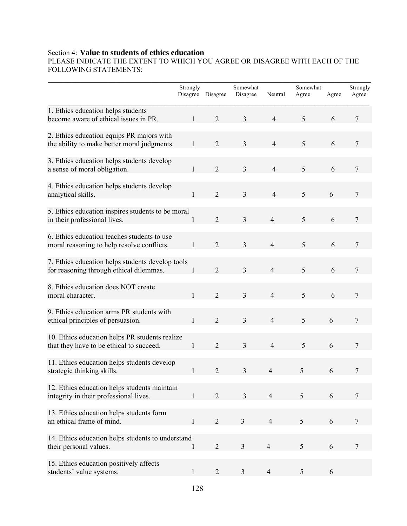# Section 4: **Value to students of ethics education**

PLEASE INDICATE THE EXTENT TO WHICH YOU AGREE OR DISAGREE WITH EACH OF THE FOLLOWING STATEMENTS:

|                                                                                             | Strongly     | Disagree Disagree | Somewhat<br>Disagree | Neutral        | Somewhat<br>Agree | Agree | Strongly<br>Agree |
|---------------------------------------------------------------------------------------------|--------------|-------------------|----------------------|----------------|-------------------|-------|-------------------|
| 1. Ethics education helps students<br>become aware of ethical issues in PR.                 | $\mathbf{1}$ | $\overline{2}$    | 3                    | $\overline{4}$ | 5                 | 6     | 7                 |
| 2. Ethics education equips PR majors with<br>the ability to make better moral judgments.    | 1            | $\overline{2}$    | 3                    | $\overline{4}$ | 5                 | 6     | 7                 |
| 3. Ethics education helps students develop<br>a sense of moral obligation.                  | 1            | $\overline{2}$    | $\overline{3}$       | 4              | 5                 | 6     | 7                 |
| 4. Ethics education helps students develop<br>analytical skills.                            | $\mathbf{1}$ | $\overline{2}$    | $\overline{3}$       | $\overline{4}$ | 5                 | 6     | $\overline{7}$    |
| 5. Ethics education inspires students to be moral<br>in their professional lives.           | 1            | $\overline{2}$    | $\overline{3}$       | $\overline{4}$ | 5                 | 6     | 7                 |
| 6. Ethics education teaches students to use<br>moral reasoning to help resolve conflicts.   | $\mathbf{1}$ | $\overline{2}$    | 3                    | $\overline{4}$ | 5                 | 6     | 7                 |
| 7. Ethics education helps students develop tools<br>for reasoning through ethical dilemmas. | 1            | $\overline{2}$    | 3                    | $\overline{4}$ | 5                 | 6     | $\overline{7}$    |
| 8. Ethics education does NOT create<br>moral character.                                     | 1            | $\overline{2}$    | $\overline{3}$       | $\overline{4}$ | 5                 | 6     | 7                 |
| 9. Ethics education arms PR students with<br>ethical principles of persuasion.              | 1            | $\overline{2}$    | $\overline{3}$       | $\overline{4}$ | 5                 | 6     | $\overline{7}$    |
| 10. Ethics education helps PR students realize<br>that they have to be ethical to succeed.  | $\mathbf{1}$ | $\overline{2}$    | $\overline{3}$       | $\overline{4}$ | 5                 | 6     | $\overline{7}$    |
| 11. Ethics education helps students develop<br>strategic thinking skills.                   | 1            | $\overline{2}$    | $\mathfrak{Z}$       | $\overline{4}$ | 5                 | 6     | 7                 |
| 12. Ethics education helps students maintain<br>integrity in their professional lives.      |              | $\overline{2}$    | $\overline{3}$       | $\overline{4}$ | 5                 | 6     | 7                 |
| 13. Ethics education helps students form<br>an ethical frame of mind.                       | 1            | $\overline{2}$    | $\overline{3}$       | $\overline{4}$ | 5                 | 6     | $\overline{7}$    |
| 14. Ethics education helps students to understand<br>their personal values.                 |              | $\overline{2}$    | $\overline{3}$       | $\overline{4}$ | 5                 | 6     | 7                 |
| 15. Ethics education positively affects<br>students' value systems.                         | $\mathbf{1}$ | 2                 | 3                    | $\overline{4}$ | 5                 | 6     |                   |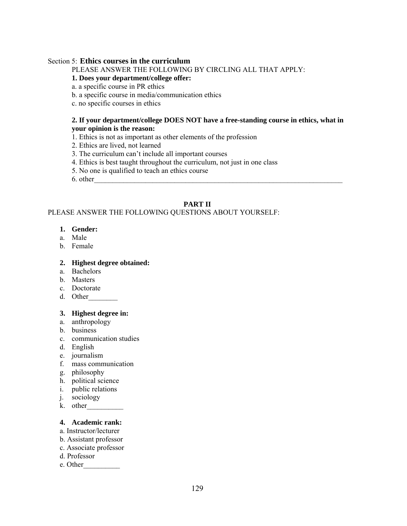#### Section 5: **Ethics courses in the curriculum**

PLEASE ANSWER THE FOLLOWING BY CIRCLING ALL THAT APPLY:

## **1. Does your department/college offer:**

a. a specific course in PR ethics

- b. a specific course in media/communication ethics
- c. no specific courses in ethics

#### **2. If your department/college DOES NOT have a free-standing course in ethics, what in your opinion is the reason:**

- 1. Ethics is not as important as other elements of the profession
- 2. Ethics are lived, not learned
- 3. The curriculum can't include all important courses
- 4. Ethics is best taught throughout the curriculum, not just in one class
- 5. No one is qualified to teach an ethics course
- $6.$  other

# **PART II**

## PLEASE ANSWER THE FOLLOWING QUESTIONS ABOUT YOURSELF:

#### **1. Gender:**

- a. Male
- b. Female

#### **2. Highest degree obtained:**

- a. Bachelors
- b. Masters
- c. Doctorate
- d. Other

## **3. Highest degree in:**

- a. anthropology
- b. business
- c. communication studies
- d. English
- e. journalism
- f. mass communication
- g. philosophy
- h. political science
- i. public relations
- j. sociology
- k. other\_\_\_\_\_\_\_\_\_\_

## **4. Academic rank:**

- a. Instructor/lecturer
- b. Assistant professor
- c. Associate professor
- d. Professor
- e. Other\_\_\_\_\_\_\_\_\_\_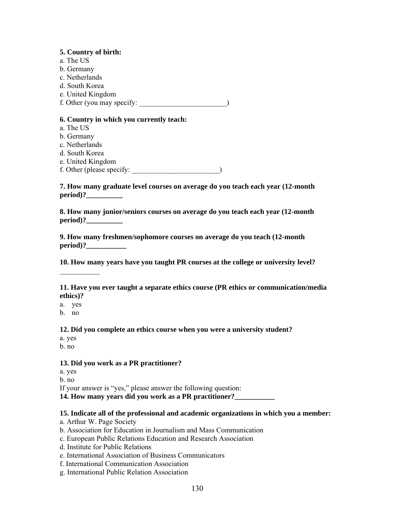**5. Country of birth:**  a. The US b. Germany c. Netherlands d. South Korea e. United Kingdom f. Other (you may specify:  $\Box$ 

#### **6. Country in which you currently teach:**

- a. The US
- b. Germany
- c. Netherlands
- d. South Korea
- e. United Kingdom
- f. Other (please specify: \_\_\_\_\_\_\_\_\_\_\_\_\_\_\_\_\_\_\_\_\_\_\_\_)

**7. How many graduate level courses on average do you teach each year (12-month period**)?

**8. How many junior/seniors courses on average do you teach each year (12-month period**)?

**9. How many freshmen/sophomore courses on average do you teach (12-month**  period)?

**10. How many years have you taught PR courses at the college or university level?**

**11. Have you ever taught a separate ethics course (PR ethics or communication/media ethics)?** 

a. yes

 $\mathcal{L}_\text{max}$ 

b. no

**12. Did you complete an ethics course when you were a university student?** 

- a. yes
- b. no

## **13. Did you work as a PR practitioner?**

a. yes b. no If your answer is "yes," please answer the following question: **14. How many years did you work as a PR practitioner?\_\_\_\_\_\_\_\_\_\_\_** 

#### **15. Indicate all of the professional and academic organizations in which you a member:**

- a. Arthur W. Page Society
- b. Association for Education in Journalism and Mass Communication
- c. European Public Relations Education and Research Association
- d. Institute for Public Relations
- e. International Association of Business Communicators
- f. International Communication Association
- g. International Public Relation Association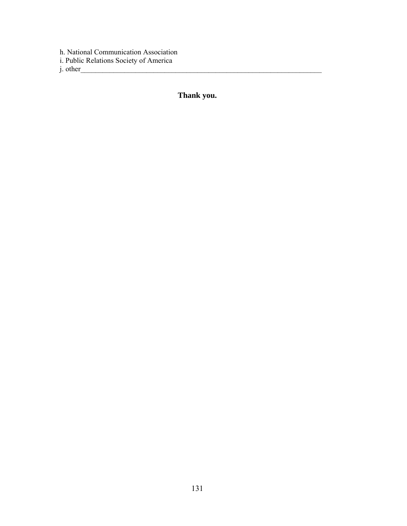h. National Communication Association i. Public Relations Society of America

 $j.$  other

**Thank you.**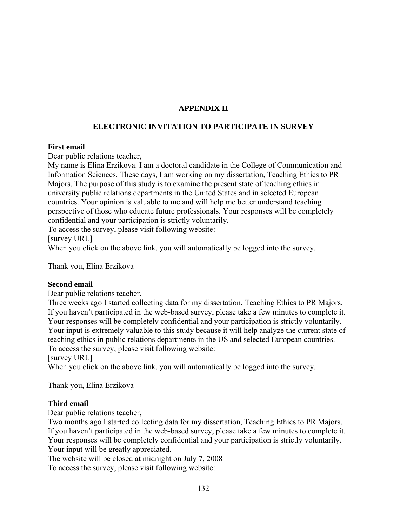# **APPENDIX II**

# **ELECTRONIC INVITATION TO PARTICIPATE IN SURVEY**

## **First email**

Dear public relations teacher,

My name is Elina Erzikova. I am a doctoral candidate in the College of Communication and Information Sciences. These days, I am working on my dissertation, Teaching Ethics to PR Majors. The purpose of this study is to examine the present state of teaching ethics in university public relations departments in the United States and in selected European countries. Your opinion is valuable to me and will help me better understand teaching perspective of those who educate future professionals. Your responses will be completely confidential and your participation is strictly voluntarily.

To access the survey, please visit following website:

[survey URL]

When you click on the above link, you will automatically be logged into the survey.

Thank you, Elina Erzikova

## **Second email**

Dear public relations teacher,

Three weeks ago I started collecting data for my dissertation, Teaching Ethics to PR Majors. If you haven't participated in the web-based survey, please take a few minutes to complete it. Your responses will be completely confidential and your participation is strictly voluntarily. Your input is extremely valuable to this study because it will help analyze the current state of teaching ethics in public relations departments in the US and selected European countries. To access the survey, please visit following website:

[survey URL]

When you click on the above link, you will automatically be logged into the survey.

Thank you, Elina Erzikova

## **Third email**

Dear public relations teacher,

Two months ago I started collecting data for my dissertation, Teaching Ethics to PR Majors. If you haven't participated in the web-based survey, please take a few minutes to complete it. Your responses will be completely confidential and your participation is strictly voluntarily. Your input will be greatly appreciated.

The website will be closed at midnight on July 7, 2008

To access the survey, please visit following website: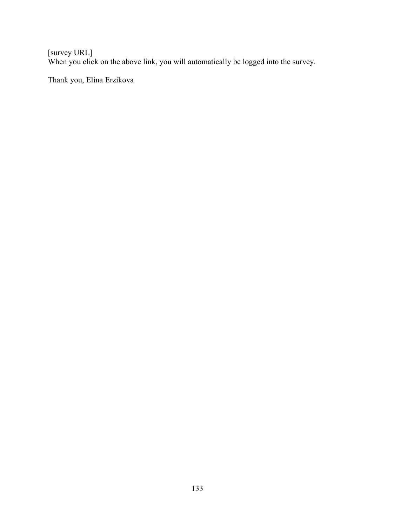[survey URL] When you click on the above link, you will automatically be logged into the survey.

Thank you, Elina Erzikova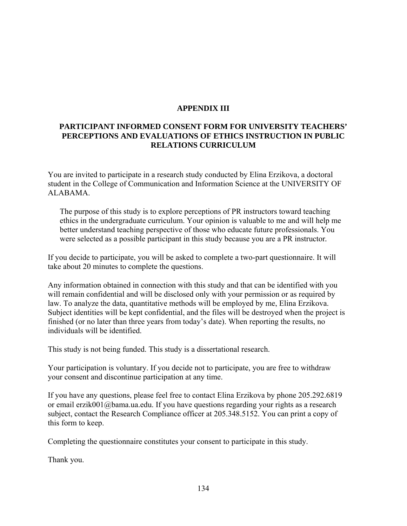## **APPENDIX III**

# **PARTICIPANT INFORMED CONSENT FORM FOR UNIVERSITY TEACHERS' PERCEPTIONS AND EVALUATIONS OF ETHICS INSTRUCTION IN PUBLIC RELATIONS CURRICULUM**

You are invited to participate in a research study conducted by Elina Erzikova, a doctoral student in the College of Communication and Information Science at the UNIVERSITY OF ALABAMA.

The purpose of this study is to explore perceptions of PR instructors toward teaching ethics in the undergraduate curriculum. Your opinion is valuable to me and will help me better understand teaching perspective of those who educate future professionals. You were selected as a possible participant in this study because you are a PR instructor*.* 

If you decide to participate, you will be asked to complete a two-part questionnaire. It will take about 20 minutes to complete the questions.

Any information obtained in connection with this study and that can be identified with you will remain confidential and will be disclosed only with your permission or as required by law. To analyze the data, quantitative methods will be employed by me, Elina Erzikova. Subject identities will be kept confidential, and the files will be destroyed when the project is finished (or no later than three years from today's date). When reporting the results, no individuals will be identified.

This study is not being funded. This study is a dissertational research.

Your participation is voluntary. If you decide not to participate, you are free to withdraw your consent and discontinue participation at any time.

If you have any questions, please feel free to contact Elina Erzikova by phone 205.292.6819 or email erzik001@bama.ua.edu. If you have questions regarding your rights as a research subject, contact the Research Compliance officer at 205.348.5152. You can print a copy of this form to keep.

Completing the questionnaire constitutes your consent to participate in this study.

Thank you.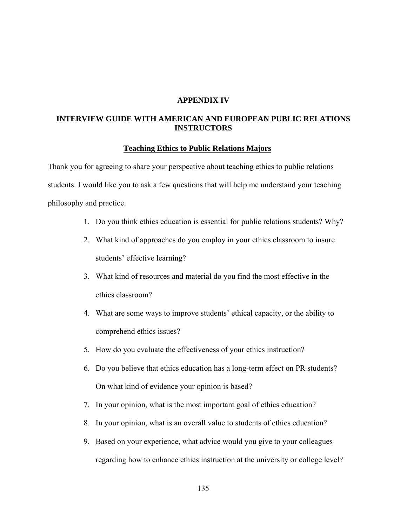#### **APPENDIX IV**

### **INTERVIEW GUIDE WITH AMERICAN AND EUROPEAN PUBLIC RELATIONS INSTRUCTORS**

#### **Teaching Ethics to Public Relations Majors**

Thank you for agreeing to share your perspective about teaching ethics to public relations students. I would like you to ask a few questions that will help me understand your teaching philosophy and practice.

- 1. Do you think ethics education is essential for public relations students? Why?
- 2. What kind of approaches do you employ in your ethics classroom to insure students' effective learning?
- 3. What kind of resources and material do you find the most effective in the ethics classroom?
- 4. What are some ways to improve students' ethical capacity, or the ability to comprehend ethics issues?
- 5. How do you evaluate the effectiveness of your ethics instruction?
- 6. Do you believe that ethics education has a long-term effect on PR students? On what kind of evidence your opinion is based?
- 7. In your opinion, what is the most important goal of ethics education?
- 8. In your opinion, what is an overall value to students of ethics education?
- 9. Based on your experience, what advice would you give to your colleagues regarding how to enhance ethics instruction at the university or college level?